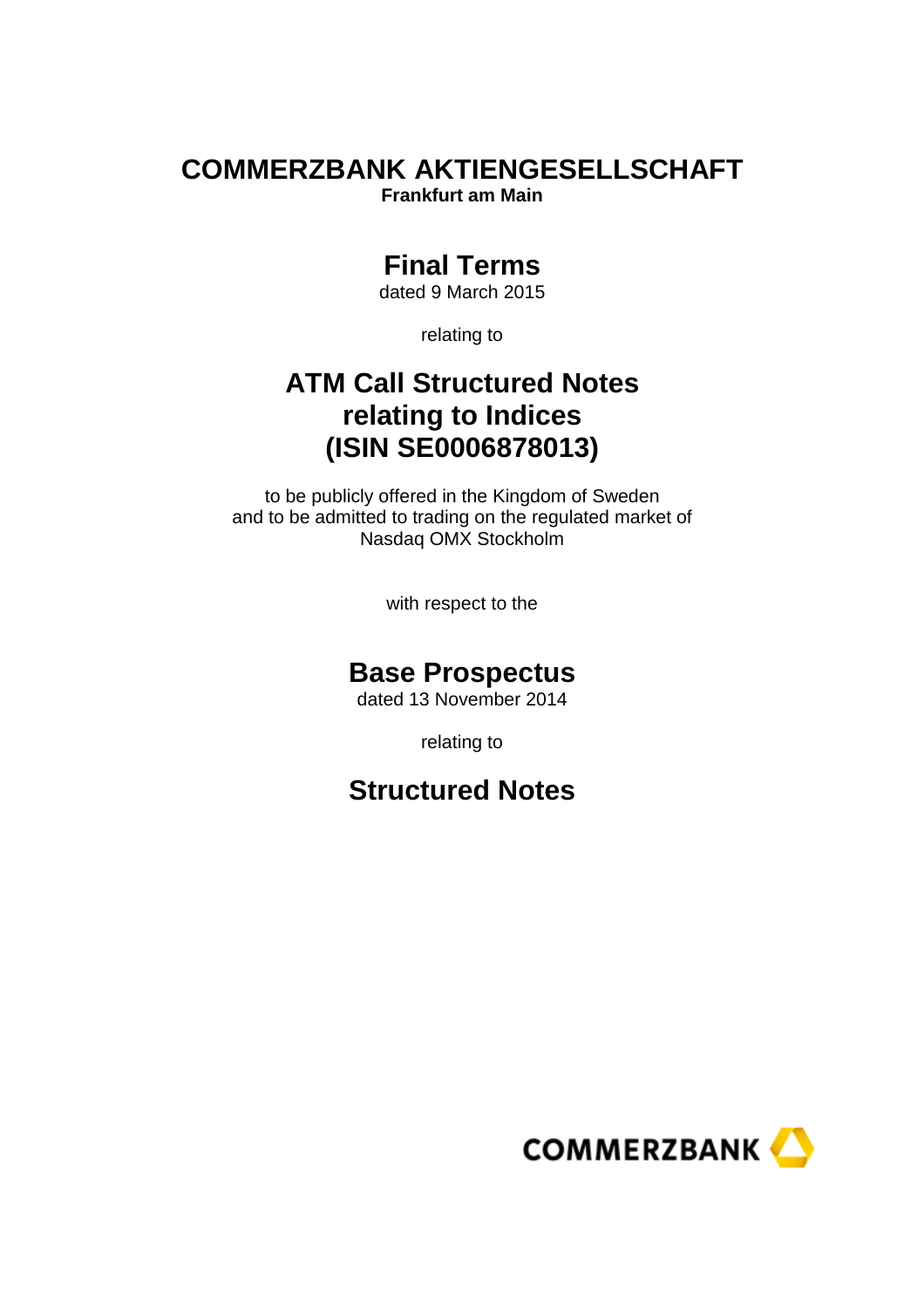# **COMMERZBANK AKTIENGESELLSCHAFT**

**Frankfurt am Main** 

# **Final Terms**

dated 9 March 2015

relating to

# **ATM Call Structured Notes relating to Indices (ISIN SE0006878013)**

to be publicly offered in the Kingdom of Sweden and to be admitted to trading on the regulated market of Nasdaq OMX Stockholm

with respect to the

# **Base Prospectus**

dated 13 November 2014

relating to

# **Structured Notes**

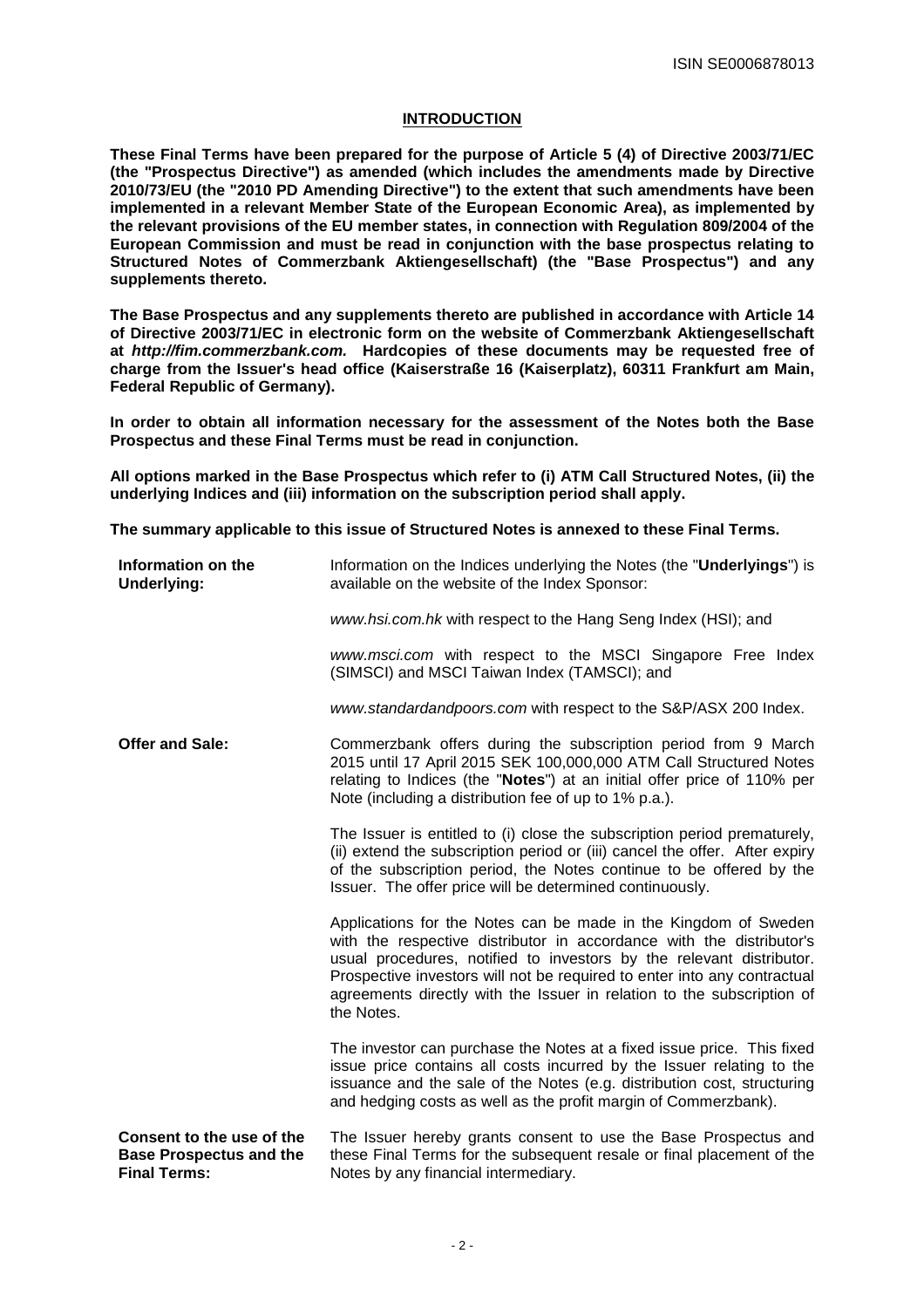# **INTRODUCTION**

**These Final Terms have been prepared for the purpose of Article 5 (4) of Directive 2003/71/EC (the "Prospectus Directive") as amended (which includes the amendments made by Directive 2010/73/EU (the "2010 PD Amending Directive") to the extent that such amendments have been implemented in a relevant Member State of the European Economic Area), as implemented by the relevant provisions of the EU member states, in connection with Regulation 809/2004 of the European Commission and must be read in conjunction with the base prospectus relating to Structured Notes of Commerzbank Aktiengesellschaft) (the "Base Prospectus") and any supplements thereto.** 

**The Base Prospectus and any supplements thereto are published in accordance with Article 14 of Directive 2003/71/EC in electronic form on the website of Commerzbank Aktiengesellschaft at http://fim.commerzbank.com. Hardcopies of these documents may be requested free of charge from the Issuer's head office (Kaiserstraße 16 (Kaiserplatz), 60311 Frankfurt am Main, Federal Republic of Germany).** 

**In order to obtain all information necessary for the assessment of the Notes both the Base Prospectus and these Final Terms must be read in conjunction.**

**All options marked in the Base Prospectus which refer to (i) ATM Call Structured Notes, (ii) the underlying Indices and (iii) information on the subscription period shall apply.** 

**The summary applicable to this issue of Structured Notes is annexed to these Final Terms.** 

| Information on the<br><b>Underlying:</b>                                           | Information on the Indices underlying the Notes (the " <b>Underlyings</b> ") is<br>available on the website of the Index Sponsor:                                                                                                                                                                                                                                                   |
|------------------------------------------------------------------------------------|-------------------------------------------------------------------------------------------------------------------------------------------------------------------------------------------------------------------------------------------------------------------------------------------------------------------------------------------------------------------------------------|
|                                                                                    | www.hsi.com.hk with respect to the Hang Seng Index (HSI); and                                                                                                                                                                                                                                                                                                                       |
|                                                                                    | www.msci.com with respect to the MSCI Singapore Free Index<br>(SIMSCI) and MSCI Taiwan Index (TAMSCI); and                                                                                                                                                                                                                                                                          |
|                                                                                    | www.standardandpoors.com with respect to the S&P/ASX 200 Index.                                                                                                                                                                                                                                                                                                                     |
| <b>Offer and Sale:</b>                                                             | Commerzbank offers during the subscription period from 9 March<br>2015 until 17 April 2015 SEK 100,000,000 ATM Call Structured Notes<br>relating to Indices (the "Notes") at an initial offer price of 110% per<br>Note (including a distribution fee of up to 1% p.a.).                                                                                                            |
|                                                                                    | The Issuer is entitled to (i) close the subscription period prematurely,<br>(ii) extend the subscription period or (iii) cancel the offer. After expiry<br>of the subscription period, the Notes continue to be offered by the<br>Issuer. The offer price will be determined continuously.                                                                                          |
|                                                                                    | Applications for the Notes can be made in the Kingdom of Sweden<br>with the respective distributor in accordance with the distributor's<br>usual procedures, notified to investors by the relevant distributor.<br>Prospective investors will not be required to enter into any contractual<br>agreements directly with the Issuer in relation to the subscription of<br>the Notes. |
|                                                                                    | The investor can purchase the Notes at a fixed issue price. This fixed<br>issue price contains all costs incurred by the Issuer relating to the<br>issuance and the sale of the Notes (e.g. distribution cost, structuring<br>and hedging costs as well as the profit margin of Commerzbank).                                                                                       |
| Consent to the use of the<br><b>Base Prospectus and the</b><br><b>Final Terms:</b> | The Issuer hereby grants consent to use the Base Prospectus and<br>these Final Terms for the subsequent resale or final placement of the<br>Notes by any financial intermediary.                                                                                                                                                                                                    |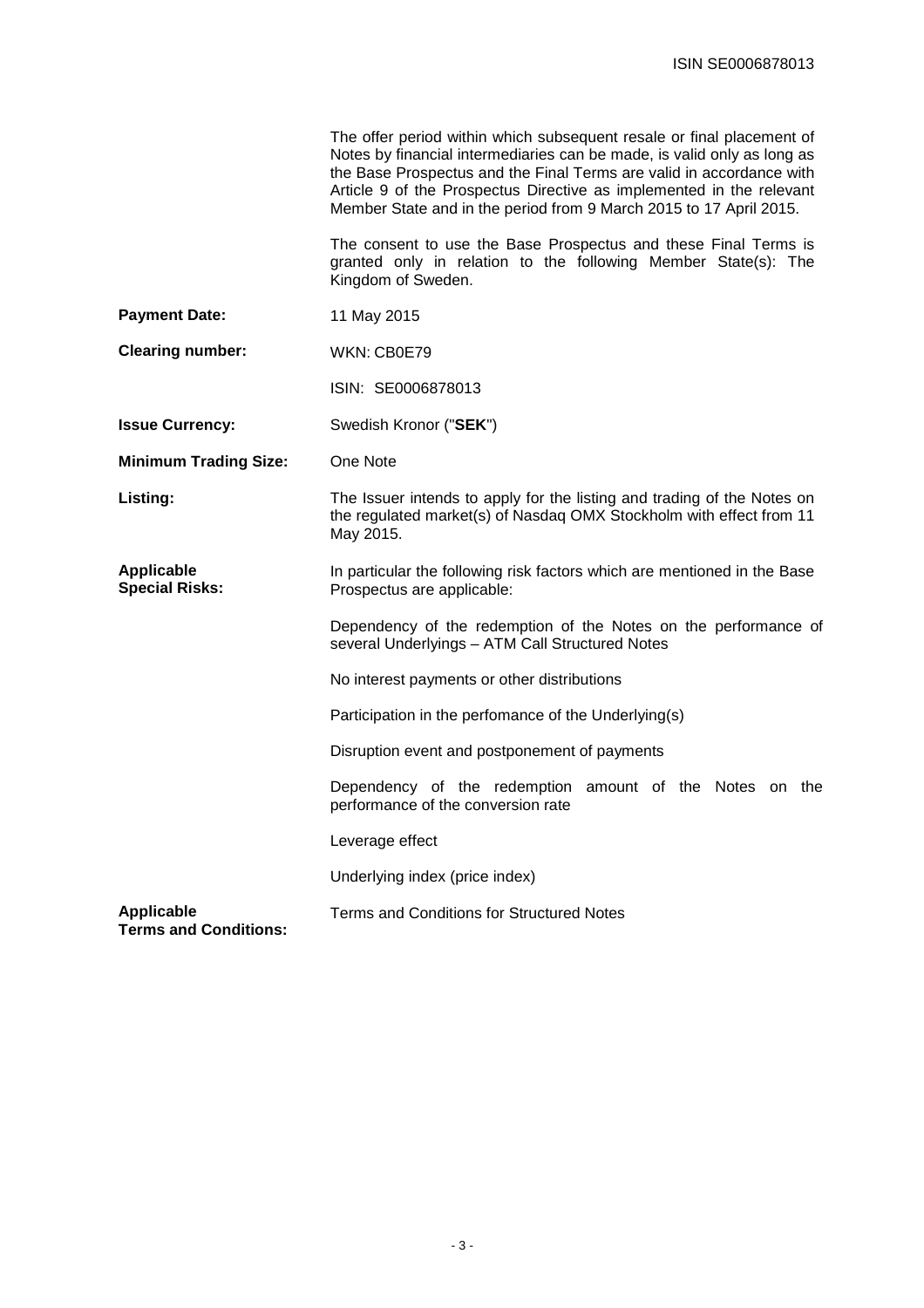|                                                   | The offer period within which subsequent resale or final placement of<br>Notes by financial intermediaries can be made, is valid only as long as<br>the Base Prospectus and the Final Terms are valid in accordance with<br>Article 9 of the Prospectus Directive as implemented in the relevant<br>Member State and in the period from 9 March 2015 to 17 April 2015. |  |
|---------------------------------------------------|------------------------------------------------------------------------------------------------------------------------------------------------------------------------------------------------------------------------------------------------------------------------------------------------------------------------------------------------------------------------|--|
|                                                   | The consent to use the Base Prospectus and these Final Terms is<br>granted only in relation to the following Member State(s): The<br>Kingdom of Sweden.                                                                                                                                                                                                                |  |
| <b>Payment Date:</b>                              | 11 May 2015                                                                                                                                                                                                                                                                                                                                                            |  |
| <b>Clearing number:</b>                           | WKN: CB0E79                                                                                                                                                                                                                                                                                                                                                            |  |
|                                                   | ISIN: SE0006878013                                                                                                                                                                                                                                                                                                                                                     |  |
| <b>Issue Currency:</b>                            | Swedish Kronor ("SEK")                                                                                                                                                                                                                                                                                                                                                 |  |
| <b>Minimum Trading Size:</b>                      | One Note                                                                                                                                                                                                                                                                                                                                                               |  |
| Listing:                                          | The Issuer intends to apply for the listing and trading of the Notes on<br>the regulated market(s) of Nasdag OMX Stockholm with effect from 11<br>May 2015.                                                                                                                                                                                                            |  |
| <b>Applicable</b><br><b>Special Risks:</b>        | In particular the following risk factors which are mentioned in the Base<br>Prospectus are applicable:                                                                                                                                                                                                                                                                 |  |
|                                                   | Dependency of the redemption of the Notes on the performance of<br>several Underlyings - ATM Call Structured Notes                                                                                                                                                                                                                                                     |  |
|                                                   | No interest payments or other distributions                                                                                                                                                                                                                                                                                                                            |  |
|                                                   | Participation in the perfomance of the Underlying(s)                                                                                                                                                                                                                                                                                                                   |  |
|                                                   | Disruption event and postponement of payments                                                                                                                                                                                                                                                                                                                          |  |
|                                                   | Dependency of the redemption amount of the Notes on the<br>performance of the conversion rate                                                                                                                                                                                                                                                                          |  |
|                                                   | Leverage effect                                                                                                                                                                                                                                                                                                                                                        |  |
|                                                   | Underlying index (price index)                                                                                                                                                                                                                                                                                                                                         |  |
| <b>Applicable</b><br><b>Terms and Conditions:</b> | Terms and Conditions for Structured Notes                                                                                                                                                                                                                                                                                                                              |  |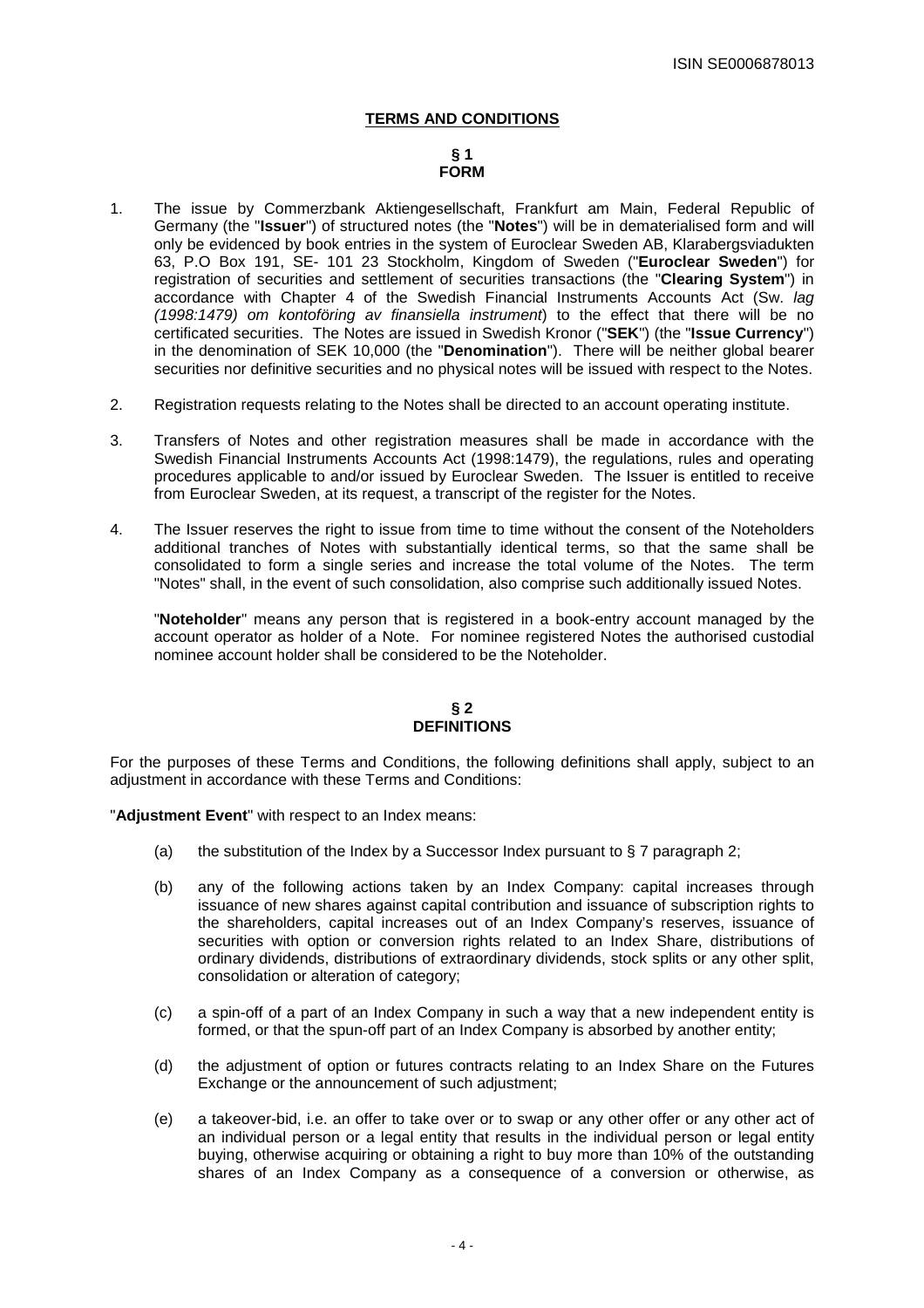# **TERMS AND CONDITIONS**

# **§ 1 FORM**

- 1. The issue by Commerzbank Aktiengesellschaft, Frankfurt am Main, Federal Republic of Germany (the "**Issuer**") of structured notes (the "**Notes**") will be in dematerialised form and will only be evidenced by book entries in the system of Euroclear Sweden AB, Klarabergsviadukten 63, P.O Box 191, SE- 101 23 Stockholm, Kingdom of Sweden ("**Euroclear Sweden**") for registration of securities and settlement of securities transactions (the "**Clearing System**") in accordance with Chapter 4 of the Swedish Financial Instruments Accounts Act (Sw. lag (1998:1479) om kontoföring av finansiella instrument) to the effect that there will be no certificated securities. The Notes are issued in Swedish Kronor ("**SEK**") (the "**Issue Currency**") in the denomination of SEK 10,000 (the "**Denomination**"). There will be neither global bearer securities nor definitive securities and no physical notes will be issued with respect to the Notes.
- 2. Registration requests relating to the Notes shall be directed to an account operating institute.
- 3. Transfers of Notes and other registration measures shall be made in accordance with the Swedish Financial Instruments Accounts Act (1998:1479), the regulations, rules and operating procedures applicable to and/or issued by Euroclear Sweden. The Issuer is entitled to receive from Euroclear Sweden, at its request, a transcript of the register for the Notes.
- 4. The Issuer reserves the right to issue from time to time without the consent of the Noteholders additional tranches of Notes with substantially identical terms, so that the same shall be consolidated to form a single series and increase the total volume of the Notes. The term "Notes" shall, in the event of such consolidation, also comprise such additionally issued Notes.

 "**Noteholder**" means any person that is registered in a book-entry account managed by the account operator as holder of a Note. For nominee registered Notes the authorised custodial nominee account holder shall be considered to be the Noteholder.

# **§ 2 DEFINITIONS**

For the purposes of these Terms and Conditions, the following definitions shall apply, subject to an adjustment in accordance with these Terms and Conditions:

"**Adjustment Event**" with respect to an Index means:

- (a) the substitution of the Index by a Successor Index pursuant to  $\S 7$  paragraph 2;
- (b) any of the following actions taken by an Index Company: capital increases through issuance of new shares against capital contribution and issuance of subscription rights to the shareholders, capital increases out of an Index Company's reserves, issuance of securities with option or conversion rights related to an Index Share, distributions of ordinary dividends, distributions of extraordinary dividends, stock splits or any other split, consolidation or alteration of category;
- (c) a spin-off of a part of an Index Company in such a way that a new independent entity is formed, or that the spun-off part of an Index Company is absorbed by another entity;
- (d) the adjustment of option or futures contracts relating to an Index Share on the Futures Exchange or the announcement of such adjustment;
- (e) a takeover-bid, i.e. an offer to take over or to swap or any other offer or any other act of an individual person or a legal entity that results in the individual person or legal entity buying, otherwise acquiring or obtaining a right to buy more than 10% of the outstanding shares of an Index Company as a consequence of a conversion or otherwise, as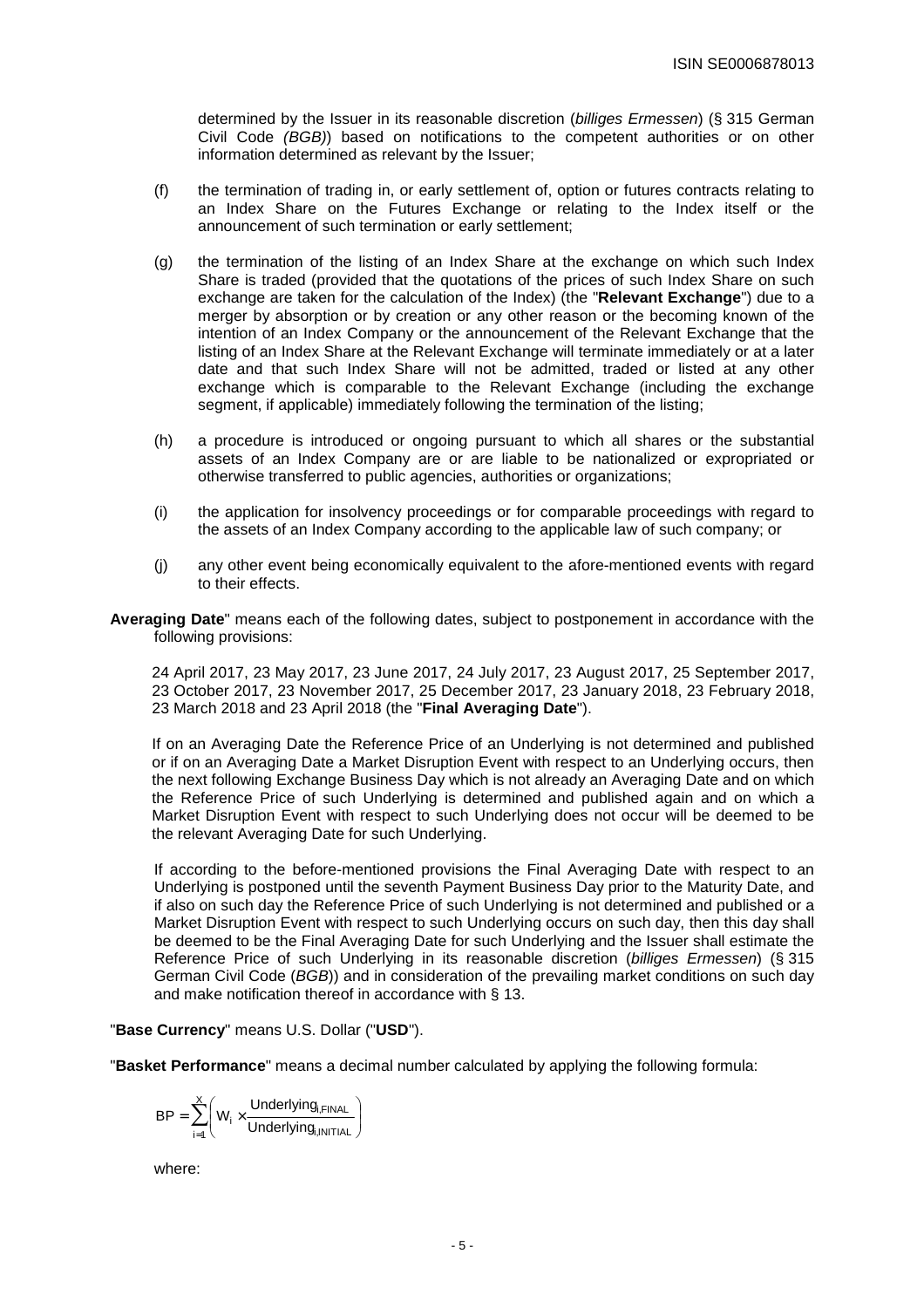determined by the Issuer in its reasonable discretion (billiges Ermessen) (§ 315 German Civil Code (BGB)) based on notifications to the competent authorities or on other information determined as relevant by the Issuer;

- (f) the termination of trading in, or early settlement of, option or futures contracts relating to an Index Share on the Futures Exchange or relating to the Index itself or the announcement of such termination or early settlement;
- (g) the termination of the listing of an Index Share at the exchange on which such Index Share is traded (provided that the quotations of the prices of such Index Share on such exchange are taken for the calculation of the Index) (the "**Relevant Exchange**") due to a merger by absorption or by creation or any other reason or the becoming known of the intention of an Index Company or the announcement of the Relevant Exchange that the listing of an Index Share at the Relevant Exchange will terminate immediately or at a later date and that such Index Share will not be admitted, traded or listed at any other exchange which is comparable to the Relevant Exchange (including the exchange segment, if applicable) immediately following the termination of the listing.
- (h) a procedure is introduced or ongoing pursuant to which all shares or the substantial assets of an Index Company are or are liable to be nationalized or expropriated or otherwise transferred to public agencies, authorities or organizations;
- (i) the application for insolvency proceedings or for comparable proceedings with regard to the assets of an Index Company according to the applicable law of such company; or
- (j) any other event being economically equivalent to the afore-mentioned events with regard to their effects.
- **Averaging Date**" means each of the following dates, subject to postponement in accordance with the following provisions:

24 April 2017, 23 May 2017, 23 June 2017, 24 July 2017, 23 August 2017, 25 September 2017, 23 October 2017, 23 November 2017, 25 December 2017, 23 January 2018, 23 February 2018, 23 March 2018 and 23 April 2018 (the "**Final Averaging Date**").

If on an Averaging Date the Reference Price of an Underlying is not determined and published or if on an Averaging Date a Market Disruption Event with respect to an Underlying occurs, then the next following Exchange Business Day which is not already an Averaging Date and on which the Reference Price of such Underlying is determined and published again and on which a Market Disruption Event with respect to such Underlying does not occur will be deemed to be the relevant Averaging Date for such Underlying.

If according to the before-mentioned provisions the Final Averaging Date with respect to an Underlying is postponed until the seventh Payment Business Day prior to the Maturity Date, and if also on such day the Reference Price of such Underlying is not determined and published or a Market Disruption Event with respect to such Underlying occurs on such day, then this day shall be deemed to be the Final Averaging Date for such Underlying and the Issuer shall estimate the Reference Price of such Underlying in its reasonable discretion (billiges Ermessen) (§ 315 German Civil Code (BGB)) and in consideration of the prevailing market conditions on such day and make notification thereof in accordance with § 13.

# "**Base Currency**" means U.S. Dollar ("**USD**").

"**Basket Performance**" means a decimal number calculated by applying the following formula:

$$
BP = \sum_{i=1}^{X} \Biggl(W_i \times \frac{Underlying_{i, FINAL}}{Underlying_{i,INITIAL}}\Biggr)
$$

where: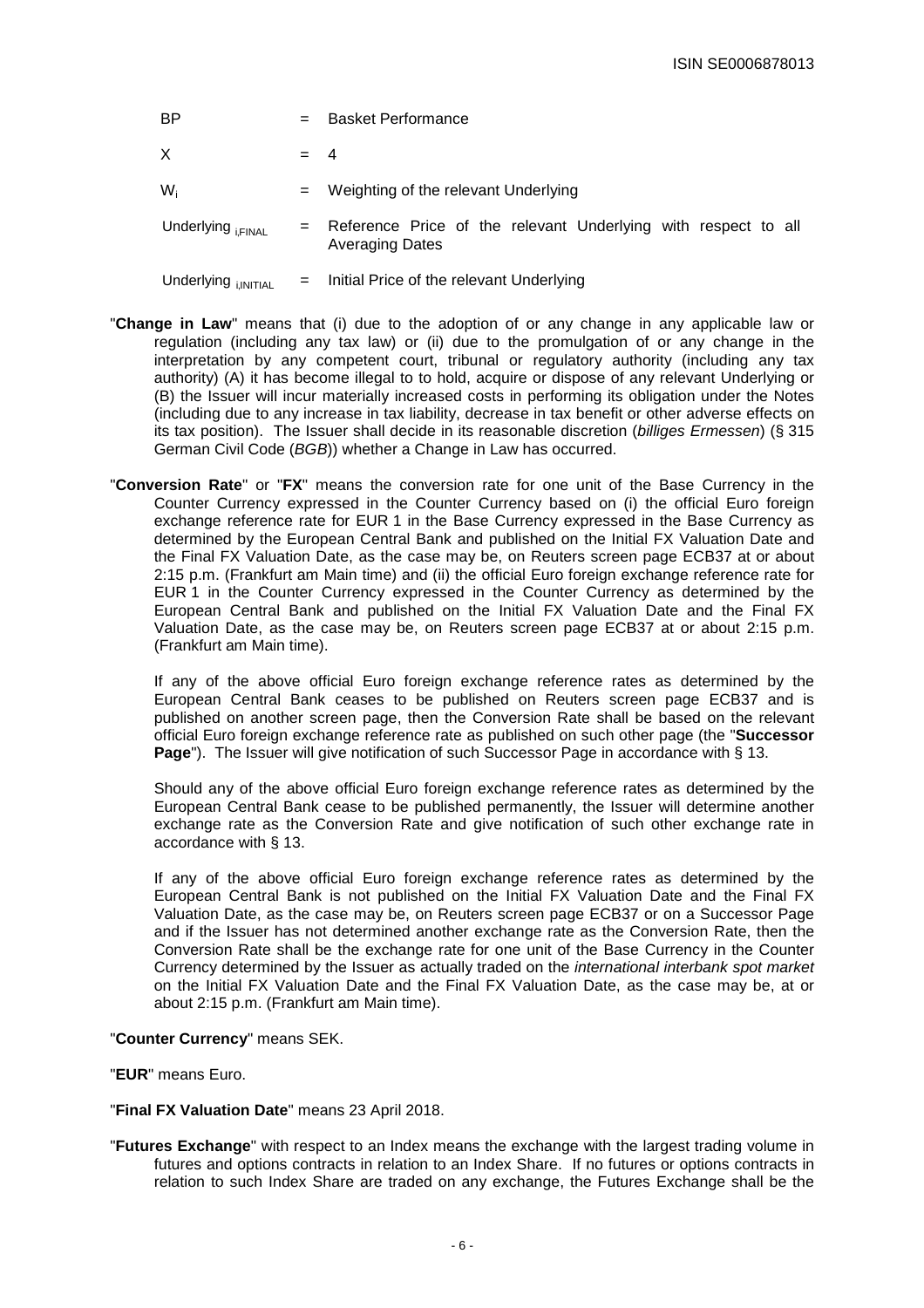| <b>BP</b>                     |       | <b>Basket Performance</b>                                                                |
|-------------------------------|-------|------------------------------------------------------------------------------------------|
| X                             | $= 4$ |                                                                                          |
| $W_i$                         | $=$   | Weighting of the relevant Underlying                                                     |
| Underlying <sub>i.FINAL</sub> |       | Reference Price of the relevant Underlying with respect to all<br><b>Averaging Dates</b> |
| Underlying <b>INITIAL</b>     | $=$   | Initial Price of the relevant Underlying                                                 |

- "**Change in Law**" means that (i) due to the adoption of or any change in any applicable law or regulation (including any tax law) or (ii) due to the promulgation of or any change in the interpretation by any competent court, tribunal or regulatory authority (including any tax authority) (A) it has become illegal to to hold, acquire or dispose of any relevant Underlying or (B) the Issuer will incur materially increased costs in performing its obligation under the Notes (including due to any increase in tax liability, decrease in tax benefit or other adverse effects on its tax position). The Issuer shall decide in its reasonable discretion (billiges Ermessen) (§ 315 German Civil Code (BGB)) whether a Change in Law has occurred.
- "**Conversion Rate**" or "**FX**" means the conversion rate for one unit of the Base Currency in the Counter Currency expressed in the Counter Currency based on (i) the official Euro foreign exchange reference rate for EUR 1 in the Base Currency expressed in the Base Currency as determined by the European Central Bank and published on the Initial FX Valuation Date and the Final FX Valuation Date, as the case may be, on Reuters screen page ECB37 at or about 2:15 p.m. (Frankfurt am Main time) and (ii) the official Euro foreign exchange reference rate for EUR 1 in the Counter Currency expressed in the Counter Currency as determined by the European Central Bank and published on the Initial FX Valuation Date and the Final FX Valuation Date, as the case may be, on Reuters screen page ECB37 at or about 2:15 p.m. (Frankfurt am Main time).

 If any of the above official Euro foreign exchange reference rates as determined by the European Central Bank ceases to be published on Reuters screen page ECB37 and is published on another screen page, then the Conversion Rate shall be based on the relevant official Euro foreign exchange reference rate as published on such other page (the "**Successor Page**"). The Issuer will give notification of such Successor Page in accordance with § 13.

 Should any of the above official Euro foreign exchange reference rates as determined by the European Central Bank cease to be published permanently, the Issuer will determine another exchange rate as the Conversion Rate and give notification of such other exchange rate in accordance with § 13.

 If any of the above official Euro foreign exchange reference rates as determined by the European Central Bank is not published on the Initial FX Valuation Date and the Final FX Valuation Date, as the case may be, on Reuters screen page ECB37 or on a Successor Page and if the Issuer has not determined another exchange rate as the Conversion Rate, then the Conversion Rate shall be the exchange rate for one unit of the Base Currency in the Counter Currency determined by the Issuer as actually traded on the international interbank spot market on the Initial FX Valuation Date and the Final FX Valuation Date, as the case may be, at or about 2:15 p.m. (Frankfurt am Main time).

## "**Counter Currency**" means SEK.

"**EUR**" means Euro.

## "**Final FX Valuation Date**" means 23 April 2018.

"**Futures Exchange**" with respect to an Index means the exchange with the largest trading volume in futures and options contracts in relation to an Index Share. If no futures or options contracts in relation to such Index Share are traded on any exchange, the Futures Exchange shall be the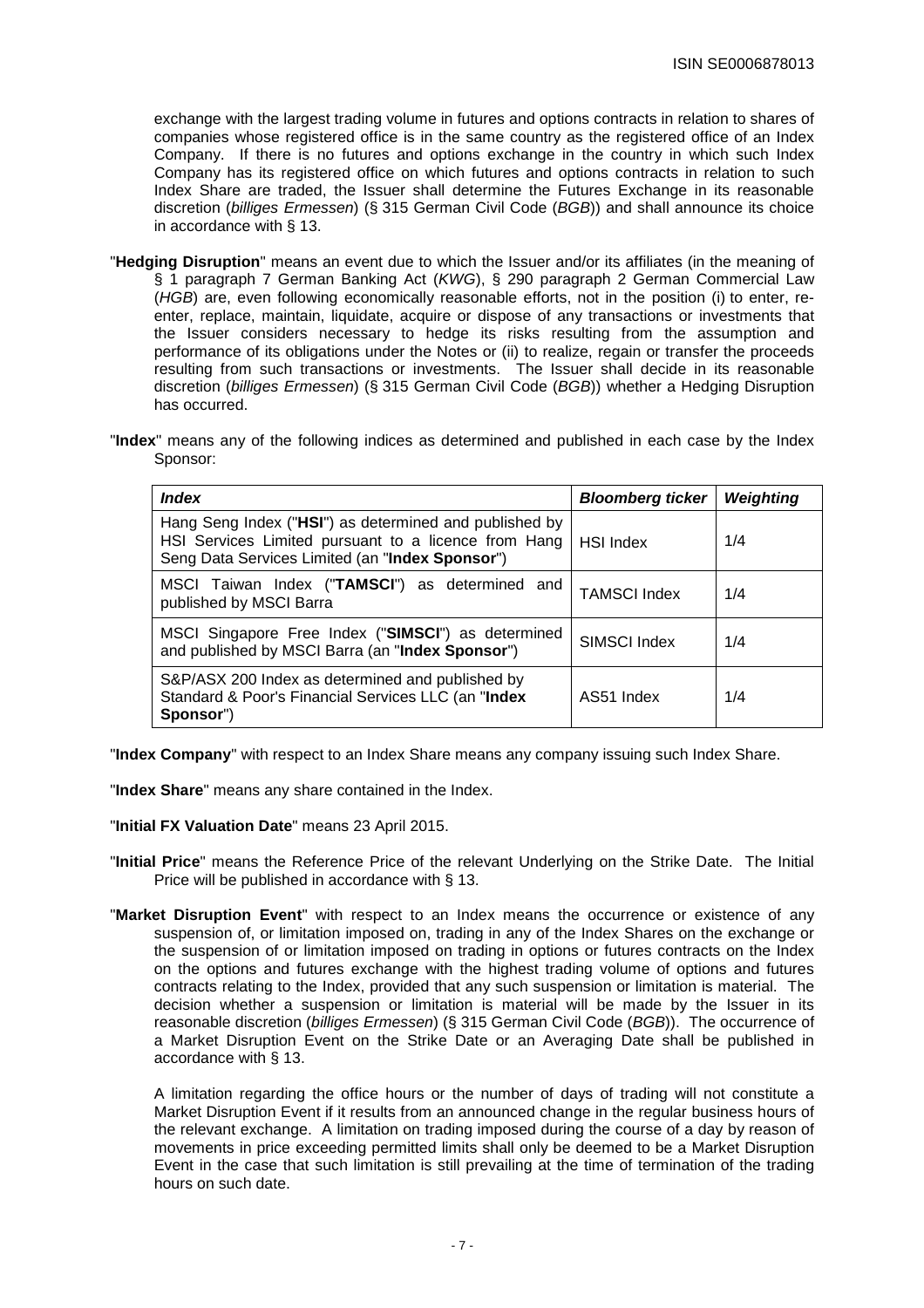exchange with the largest trading volume in futures and options contracts in relation to shares of companies whose registered office is in the same country as the registered office of an Index Company. If there is no futures and options exchange in the country in which such Index Company has its registered office on which futures and options contracts in relation to such Index Share are traded, the Issuer shall determine the Futures Exchange in its reasonable discretion (billiges Ermessen) (§ 315 German Civil Code (BGB)) and shall announce its choice in accordance with § 13.

- "**Hedging Disruption**" means an event due to which the Issuer and/or its affiliates (in the meaning of § 1 paragraph 7 German Banking Act (KWG), § 290 paragraph 2 German Commercial Law (HGB) are, even following economically reasonable efforts, not in the position (i) to enter, reenter, replace, maintain, liquidate, acquire or dispose of any transactions or investments that the Issuer considers necessary to hedge its risks resulting from the assumption and performance of its obligations under the Notes or (ii) to realize, regain or transfer the proceeds resulting from such transactions or investments. The Issuer shall decide in its reasonable discretion (billiges Ermessen) (§ 315 German Civil Code (BGB)) whether a Hedging Disruption has occurred.
- "**Index**" means any of the following indices as determined and published in each case by the Index Sponsor:

| <i><b>Index</b></i>                                                                                                                                               | <b>Bloomberg ticker</b> | Weighting |
|-------------------------------------------------------------------------------------------------------------------------------------------------------------------|-------------------------|-----------|
| Hang Seng Index ("HSI") as determined and published by<br>HSI Services Limited pursuant to a licence from Hang<br>Seng Data Services Limited (an "Index Sponsor") | <b>HSI Index</b>        | 1/4       |
| MSCI Taiwan Index ("TAMSCI") as determined and<br>published by MSCI Barra                                                                                         | <b>TAMSCI Index</b>     | 1/4       |
| MSCI Singapore Free Index ("SIMSCI") as determined<br>and published by MSCI Barra (an "Index Sponsor")                                                            | SIMSCI Index            | 1/4       |
| S&P/ASX 200 Index as determined and published by<br>Standard & Poor's Financial Services LLC (an "Index<br>Sponsor")                                              | AS51 Index              | 1/4       |

"**Index Company**" with respect to an Index Share means any company issuing such Index Share.

"**Index Share**" means any share contained in the Index.

"**Initial FX Valuation Date**" means 23 April 2015.

- "**Initial Price**" means the Reference Price of the relevant Underlying on the Strike Date. The Initial Price will be published in accordance with § 13.
- "**Market Disruption Event**" with respect to an Index means the occurrence or existence of any suspension of, or limitation imposed on, trading in any of the Index Shares on the exchange or the suspension of or limitation imposed on trading in options or futures contracts on the Index on the options and futures exchange with the highest trading volume of options and futures contracts relating to the Index, provided that any such suspension or limitation is material. The decision whether a suspension or limitation is material will be made by the Issuer in its reasonable discretion (billiges Ermessen) (§ 315 German Civil Code (BGB)). The occurrence of a Market Disruption Event on the Strike Date or an Averaging Date shall be published in accordance with § 13.

 A limitation regarding the office hours or the number of days of trading will not constitute a Market Disruption Event if it results from an announced change in the regular business hours of the relevant exchange. A limitation on trading imposed during the course of a day by reason of movements in price exceeding permitted limits shall only be deemed to be a Market Disruption Event in the case that such limitation is still prevailing at the time of termination of the trading hours on such date.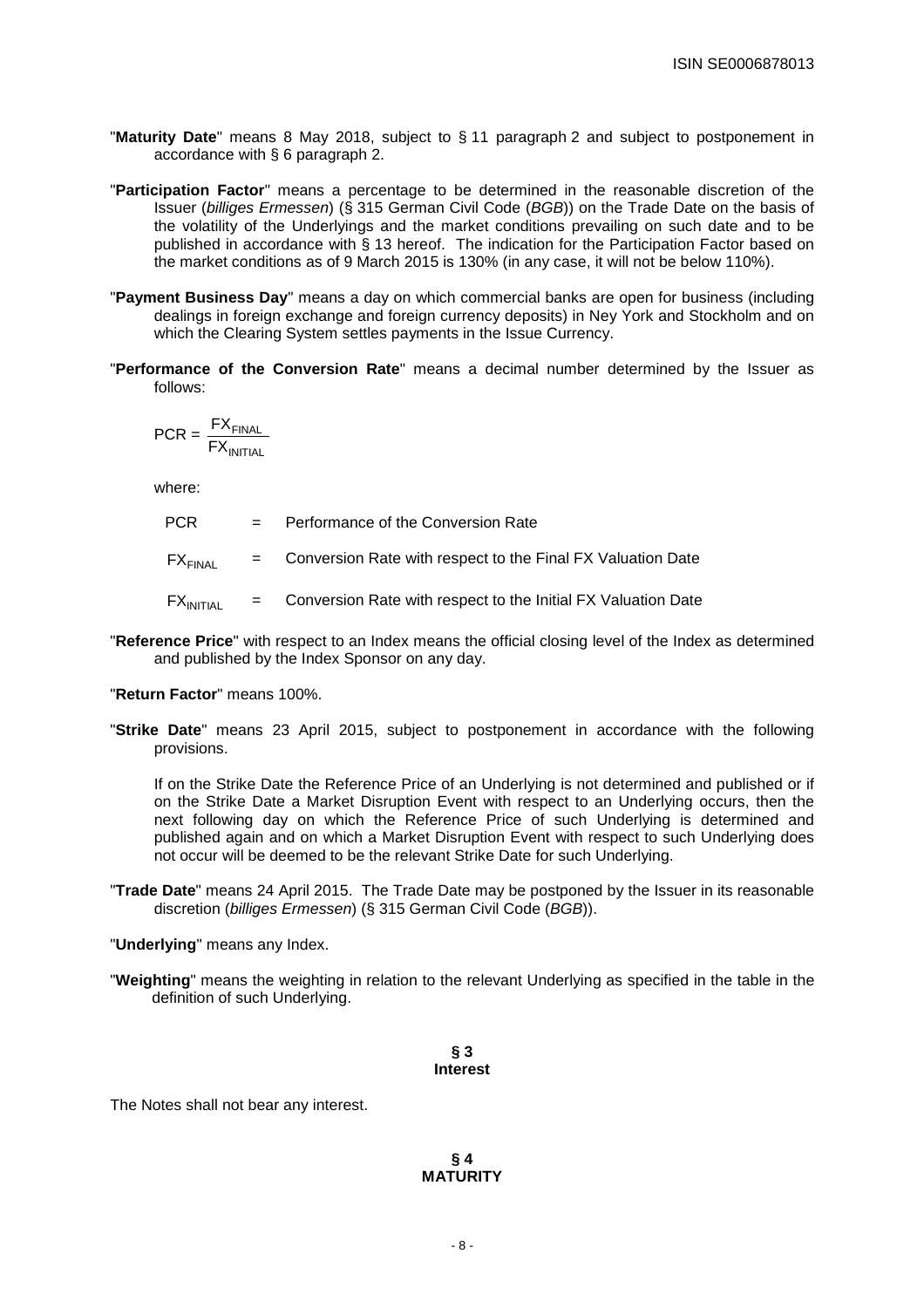- "**Maturity Date**" means 8 May 2018, subject to § 11 paragraph 2 and subject to postponement in accordance with § 6 paragraph 2.
- "**Participation Factor**" means a percentage to be determined in the reasonable discretion of the Issuer (billiges Ermessen) (§ 315 German Civil Code (BGB)) on the Trade Date on the basis of the volatility of the Underlyings and the market conditions prevailing on such date and to be published in accordance with § 13 hereof. The indication for the Participation Factor based on the market conditions as of 9 March 2015 is 130% (in any case, it will not be below 110%).
- "**Payment Business Day**" means a day on which commercial banks are open for business (including dealings in foreign exchange and foreign currency deposits) in Ney York and Stockholm and on which the Clearing System settles payments in the Issue Currency.
- "**Performance of the Conversion Rate**" means a decimal number determined by the Issuer as follows:

$$
PCR = \frac{FX_{\text{FINAL}}}{FX_{\text{INITIAL}}}
$$

where:

- PCR = Performance of the Conversion Rate  $FX_{FIMAI}$  = Conversion Rate with respect to the Final FX Valuation Date  $FX_{INITIAL}$  = Conversion Rate with respect to the Initial FX Valuation Date
- "**Reference Price**" with respect to an Index means the official closing level of the Index as determined and published by the Index Sponsor on any day.

# "**Return Factor**" means 100%.

"**Strike Date**" means 23 April 2015, subject to postponement in accordance with the following provisions.

If on the Strike Date the Reference Price of an Underlying is not determined and published or if on the Strike Date a Market Disruption Event with respect to an Underlying occurs, then the next following day on which the Reference Price of such Underlying is determined and published again and on which a Market Disruption Event with respect to such Underlying does not occur will be deemed to be the relevant Strike Date for such Underlying.

"**Trade Date**" means 24 April 2015. The Trade Date may be postponed by the Issuer in its reasonable discretion (billiges Ermessen) (§ 315 German Civil Code (BGB)).

"**Underlying**" means any Index.

"**Weighting**" means the weighting in relation to the relevant Underlying as specified in the table in the definition of such Underlying.

> **§ 3 Interest**

The Notes shall not bear any interest.

**§ 4 MATURITY**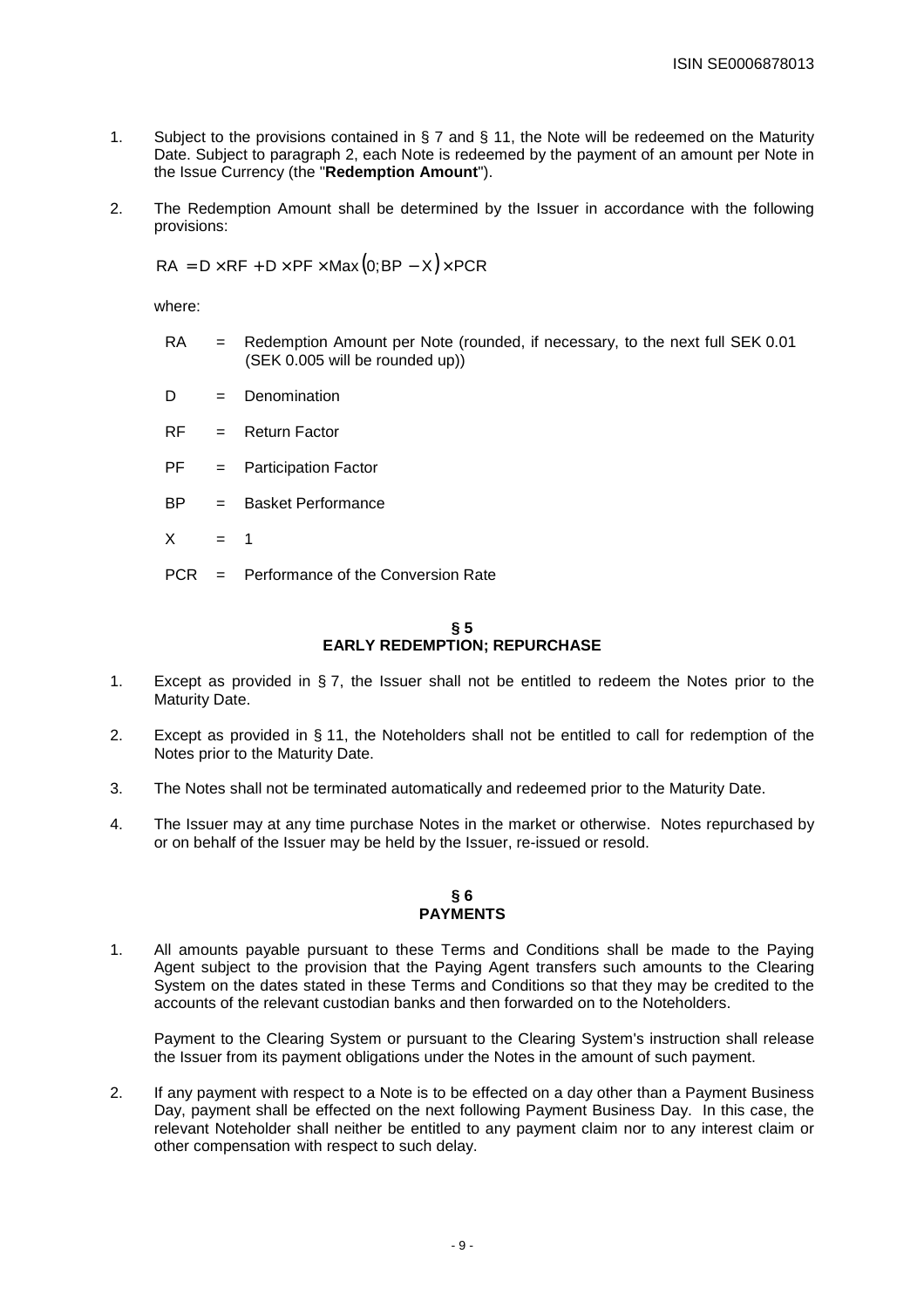- 1. Subject to the provisions contained in § 7 and § 11, the Note will be redeemed on the Maturity Date. Subject to paragraph 2, each Note is redeemed by the payment of an amount per Note in the Issue Currency (the "**Redemption Amount**").
- 2. The Redemption Amount shall be determined by the Issuer in accordance with the following provisions:

 $RA = D \times RF + D \times PF \times Max(0; BP - X) \times PCR$ 

where:

- RA = Redemption Amount per Note (rounded, if necessary, to the next full SEK 0.01 (SEK 0.005 will be rounded up))
- $D = Denominator$
- $RF =$  Return Factor
- PF = Participation Factor
- BP = Basket Performance
- $X = 1$
- PCR = Performance of the Conversion Rate

# **§ 5 EARLY REDEMPTION; REPURCHASE**

- 1. Except as provided in § 7, the Issuer shall not be entitled to redeem the Notes prior to the Maturity Date.
- 2. Except as provided in § 11, the Noteholders shall not be entitled to call for redemption of the Notes prior to the Maturity Date.
- 3. The Notes shall not be terminated automatically and redeemed prior to the Maturity Date.
- 4. The Issuer may at any time purchase Notes in the market or otherwise. Notes repurchased by or on behalf of the Issuer may be held by the Issuer, re-issued or resold.

# **§ 6 PAYMENTS**

1. All amounts payable pursuant to these Terms and Conditions shall be made to the Paying Agent subject to the provision that the Paying Agent transfers such amounts to the Clearing System on the dates stated in these Terms and Conditions so that they may be credited to the accounts of the relevant custodian banks and then forwarded on to the Noteholders.

Payment to the Clearing System or pursuant to the Clearing System's instruction shall release the Issuer from its payment obligations under the Notes in the amount of such payment.

2. If any payment with respect to a Note is to be effected on a day other than a Payment Business Day, payment shall be effected on the next following Payment Business Day. In this case, the relevant Noteholder shall neither be entitled to any payment claim nor to any interest claim or other compensation with respect to such delay.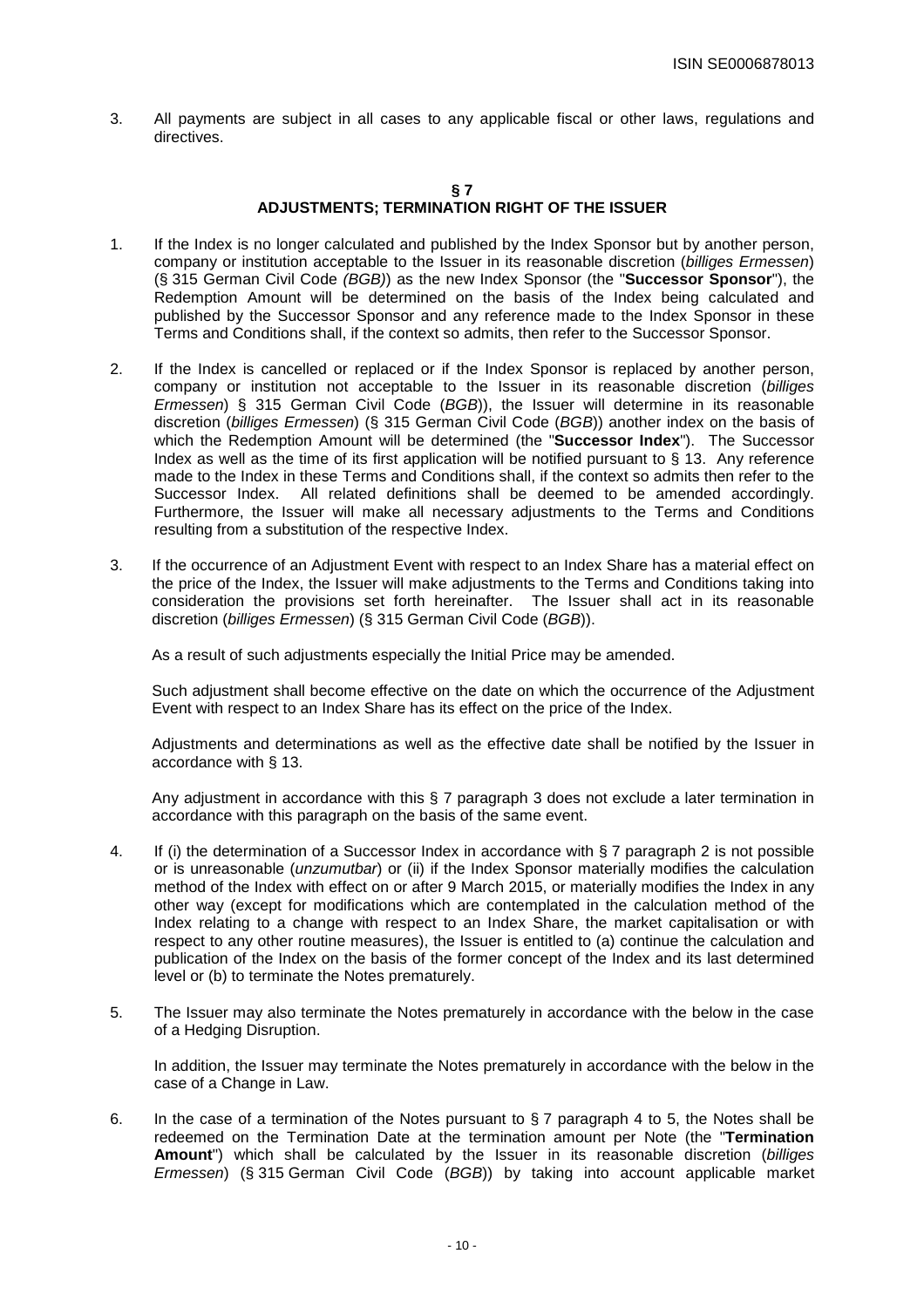3. All payments are subject in all cases to any applicable fiscal or other laws, regulations and directives.

## **§ 7**

# **ADJUSTMENTS; TERMINATION RIGHT OF THE ISSUER**

- 1. If the Index is no longer calculated and published by the Index Sponsor but by another person, company or institution acceptable to the Issuer in its reasonable discretion (billiges Ermessen) (§ 315 German Civil Code (BGB)) as the new Index Sponsor (the "**Successor Sponsor**"), the Redemption Amount will be determined on the basis of the Index being calculated and published by the Successor Sponsor and any reference made to the Index Sponsor in these Terms and Conditions shall, if the context so admits, then refer to the Successor Sponsor.
- 2. If the Index is cancelled or replaced or if the Index Sponsor is replaced by another person, company or institution not acceptable to the Issuer in its reasonable discretion (billiges Ermessen) § 315 German Civil Code ( $BGB$ ), the Issuer will determine in its reasonable discretion (billiges Ermessen) (§ 315 German Civil Code (BGB)) another index on the basis of which the Redemption Amount will be determined (the "**Successor Index**"). The Successor Index as well as the time of its first application will be notified pursuant to § 13. Any reference made to the Index in these Terms and Conditions shall, if the context so admits then refer to the Successor Index. All related definitions shall be deemed to be amended accordingly. Furthermore, the Issuer will make all necessary adjustments to the Terms and Conditions resulting from a substitution of the respective Index.
- 3. If the occurrence of an Adjustment Event with respect to an Index Share has a material effect on the price of the Index, the Issuer will make adjustments to the Terms and Conditions taking into consideration the provisions set forth hereinafter. The Issuer shall act in its reasonable discretion (billiges Ermessen) (§ 315 German Civil Code (BGB)).

As a result of such adjustments especially the Initial Price may be amended.

 Such adjustment shall become effective on the date on which the occurrence of the Adjustment Event with respect to an Index Share has its effect on the price of the Index.

 Adjustments and determinations as well as the effective date shall be notified by the Issuer in accordance with § 13.

 Any adjustment in accordance with this § 7 paragraph 3 does not exclude a later termination in accordance with this paragraph on the basis of the same event.

- 4. If (i) the determination of a Successor Index in accordance with § 7 paragraph 2 is not possible or is unreasonable (*unzumutbar*) or (ii) if the Index Sponsor materially modifies the calculation method of the Index with effect on or after 9 March 2015, or materially modifies the Index in any other way (except for modifications which are contemplated in the calculation method of the Index relating to a change with respect to an Index Share, the market capitalisation or with respect to any other routine measures), the Issuer is entitled to (a) continue the calculation and publication of the Index on the basis of the former concept of the Index and its last determined level or (b) to terminate the Notes prematurely.
- 5. The Issuer may also terminate the Notes prematurely in accordance with the below in the case of a Hedging Disruption.

 In addition, the Issuer may terminate the Notes prematurely in accordance with the below in the case of a Change in Law.

6. In the case of a termination of the Notes pursuant to  $\S 7$  paragraph 4 to 5, the Notes shall be redeemed on the Termination Date at the termination amount per Note (the "**Termination Amount**") which shall be calculated by the Issuer in its reasonable discretion (billiges Ermessen) (§ 315 German Civil Code (BGB)) by taking into account applicable market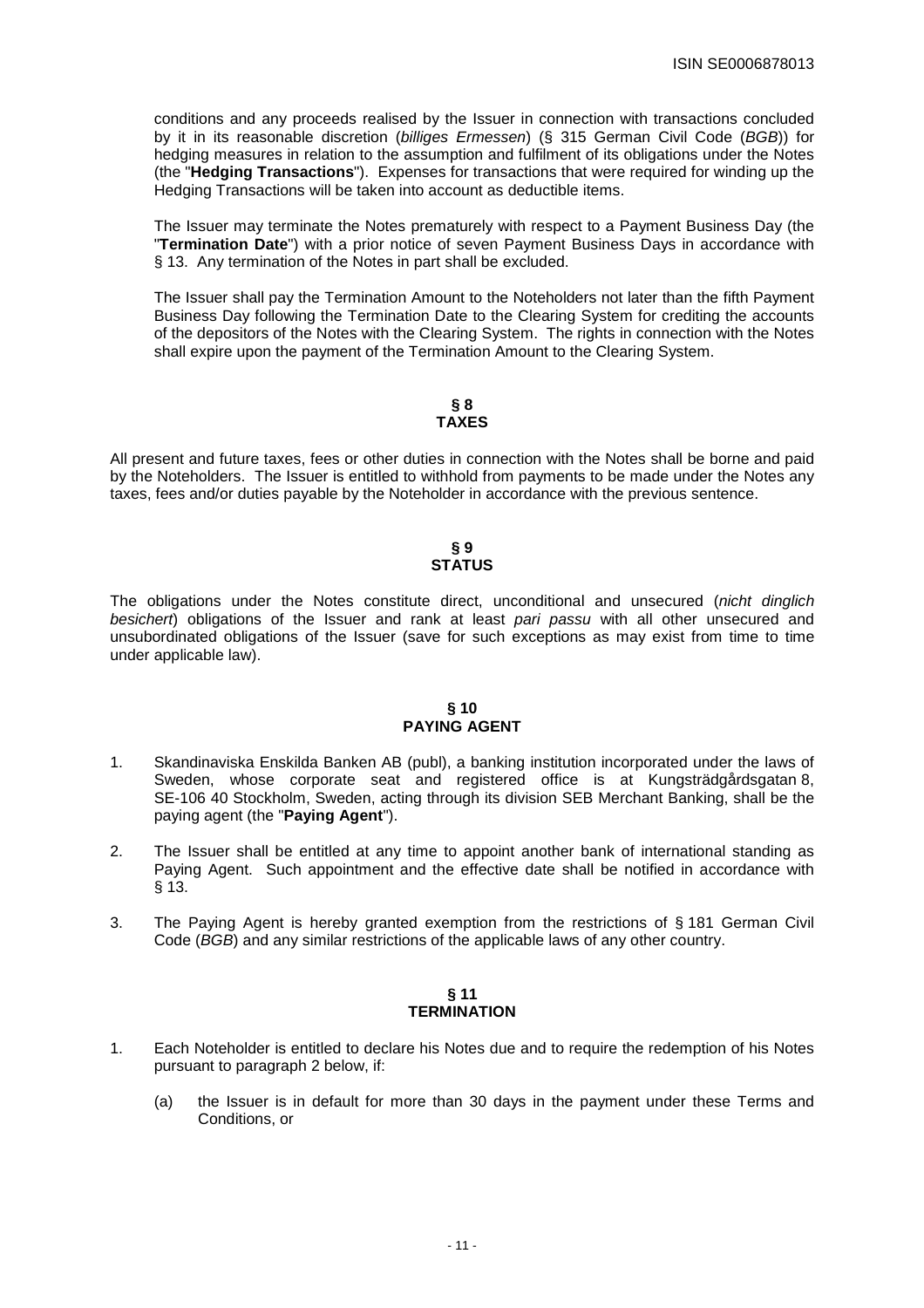conditions and any proceeds realised by the Issuer in connection with transactions concluded by it in its reasonable discretion (billiges Ermessen) (§ 315 German Civil Code (BGB)) for hedging measures in relation to the assumption and fulfilment of its obligations under the Notes (the "**Hedging Transactions**"). Expenses for transactions that were required for winding up the Hedging Transactions will be taken into account as deductible items.

 The Issuer may terminate the Notes prematurely with respect to a Payment Business Day (the "**Termination Date**") with a prior notice of seven Payment Business Days in accordance with § 13. Any termination of the Notes in part shall be excluded.

 The Issuer shall pay the Termination Amount to the Noteholders not later than the fifth Payment Business Day following the Termination Date to the Clearing System for crediting the accounts of the depositors of the Notes with the Clearing System. The rights in connection with the Notes shall expire upon the payment of the Termination Amount to the Clearing System.

#### **§ 8 TAXES**

All present and future taxes, fees or other duties in connection with the Notes shall be borne and paid by the Noteholders. The Issuer is entitled to withhold from payments to be made under the Notes any taxes, fees and/or duties payable by the Noteholder in accordance with the previous sentence.

#### **§ 9 STATUS**

The obligations under the Notes constitute direct, unconditional and unsecured (nicht dinglich besichert) obligations of the Issuer and rank at least pari passu with all other unsecured and unsubordinated obligations of the Issuer (save for such exceptions as may exist from time to time under applicable law).

## **§ 10 PAYING AGENT**

- 1. Skandinaviska Enskilda Banken AB (publ), a banking institution incorporated under the laws of Sweden, whose corporate seat and registered office is at Kungsträdgårdsgatan 8, SE-106 40 Stockholm, Sweden, acting through its division SEB Merchant Banking, shall be the paying agent (the "**Paying Agent**").
- 2. The Issuer shall be entitled at any time to appoint another bank of international standing as Paying Agent. Such appointment and the effective date shall be notified in accordance with § 13.
- 3. The Paying Agent is hereby granted exemption from the restrictions of § 181 German Civil Code (BGB) and any similar restrictions of the applicable laws of any other country.

# **§ 11 TERMINATION**

- 1. Each Noteholder is entitled to declare his Notes due and to require the redemption of his Notes pursuant to paragraph 2 below, if:
	- (a) the Issuer is in default for more than 30 days in the payment under these Terms and Conditions, or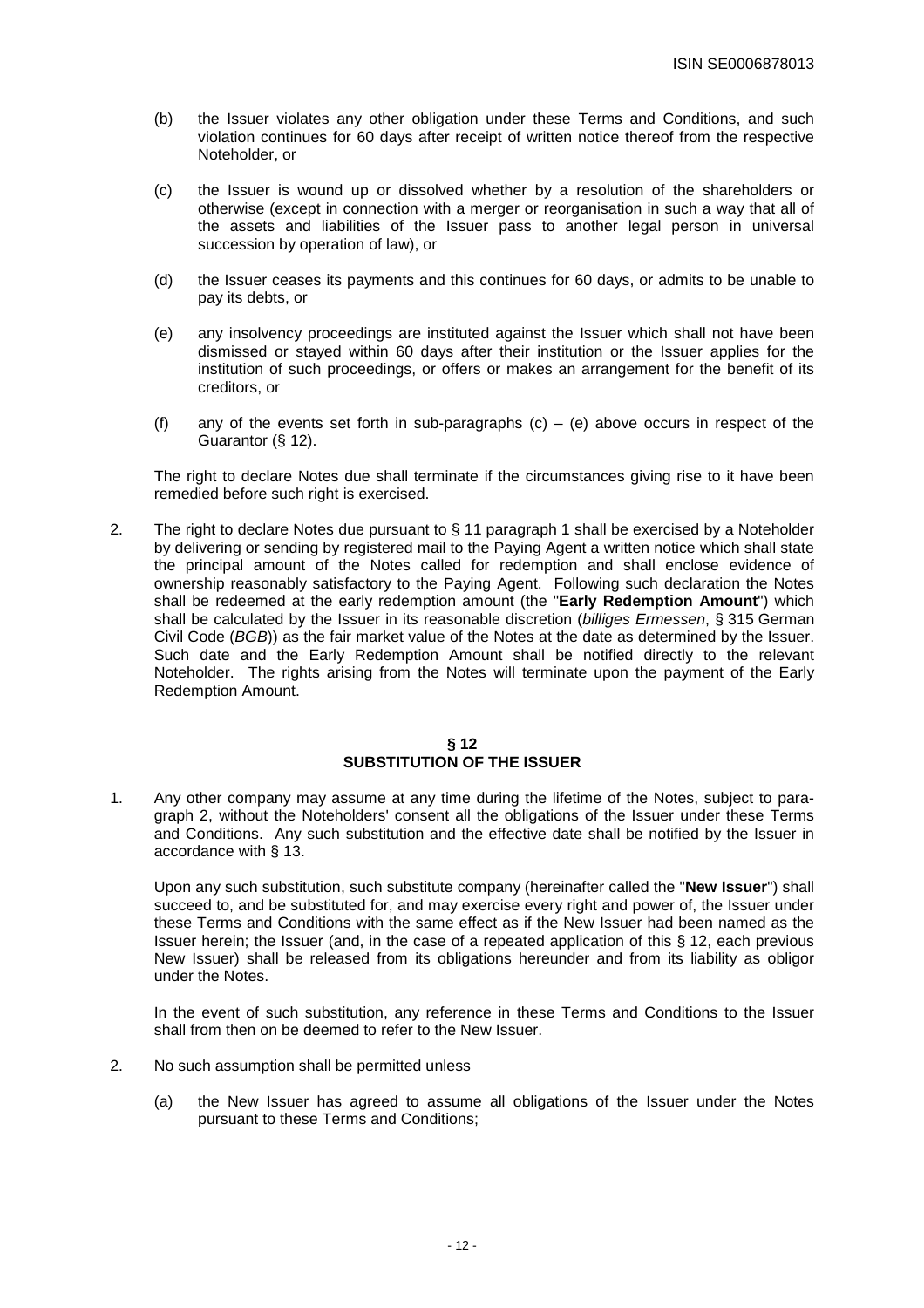- (b) the Issuer violates any other obligation under these Terms and Conditions, and such violation continues for 60 days after receipt of written notice thereof from the respective Noteholder, or
- (c) the Issuer is wound up or dissolved whether by a resolution of the shareholders or otherwise (except in connection with a merger or reorganisation in such a way that all of the assets and liabilities of the Issuer pass to another legal person in universal succession by operation of law), or
- (d) the Issuer ceases its payments and this continues for 60 days, or admits to be unable to pay its debts, or
- (e) any insolvency proceedings are instituted against the Issuer which shall not have been dismissed or stayed within 60 days after their institution or the Issuer applies for the institution of such proceedings, or offers or makes an arrangement for the benefit of its creditors, or
- (f) any of the events set forth in sub-paragraphs  $(c) (e)$  above occurs in respect of the Guarantor (§ 12).

 The right to declare Notes due shall terminate if the circumstances giving rise to it have been remedied before such right is exercised.

2. The right to declare Notes due pursuant to § 11 paragraph 1 shall be exercised by a Noteholder by delivering or sending by registered mail to the Paying Agent a written notice which shall state the principal amount of the Notes called for redemption and shall enclose evidence of ownership reasonably satisfactory to the Paying Agent. Following such declaration the Notes shall be redeemed at the early redemption amount (the "**Early Redemption Amount**") which shall be calculated by the Issuer in its reasonable discretion (billiges Ermessen, § 315 German Civil Code (BGB)) as the fair market value of the Notes at the date as determined by the Issuer. Such date and the Early Redemption Amount shall be notified directly to the relevant Noteholder. The rights arising from the Notes will terminate upon the payment of the Early Redemption Amount.

# **§ 12 SUBSTITUTION OF THE ISSUER**

1. Any other company may assume at any time during the lifetime of the Notes, subject to paragraph 2, without the Noteholders' consent all the obligations of the Issuer under these Terms and Conditions. Any such substitution and the effective date shall be notified by the Issuer in accordance with § 13.

 Upon any such substitution, such substitute company (hereinafter called the "**New Issuer**") shall succeed to, and be substituted for, and may exercise every right and power of, the Issuer under these Terms and Conditions with the same effect as if the New Issuer had been named as the Issuer herein; the Issuer (and, in the case of a repeated application of this § 12, each previous New Issuer) shall be released from its obligations hereunder and from its liability as obligor under the Notes.

 In the event of such substitution, any reference in these Terms and Conditions to the Issuer shall from then on be deemed to refer to the New Issuer.

- 2. No such assumption shall be permitted unless
	- (a) the New Issuer has agreed to assume all obligations of the Issuer under the Notes pursuant to these Terms and Conditions;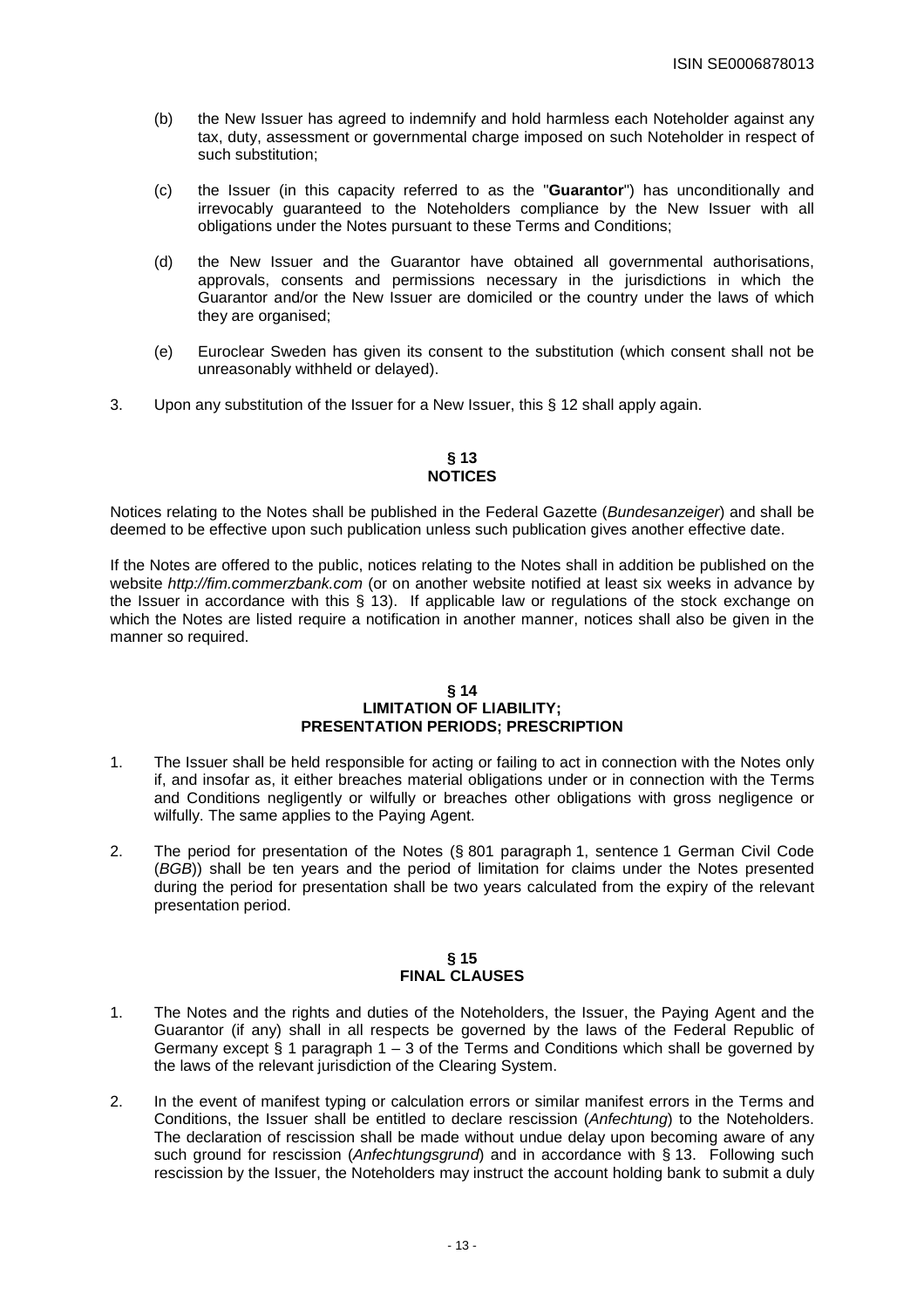- (b) the New Issuer has agreed to indemnify and hold harmless each Noteholder against any tax, duty, assessment or governmental charge imposed on such Noteholder in respect of such substitution;
- (c) the Issuer (in this capacity referred to as the "**Guarantor**") has unconditionally and irrevocably guaranteed to the Noteholders compliance by the New Issuer with all obligations under the Notes pursuant to these Terms and Conditions;
- (d) the New Issuer and the Guarantor have obtained all governmental authorisations, approvals, consents and permissions necessary in the jurisdictions in which the Guarantor and/or the New Issuer are domiciled or the country under the laws of which they are organised;
- (e) Euroclear Sweden has given its consent to the substitution (which consent shall not be unreasonably withheld or delayed).
- 3. Upon any substitution of the Issuer for a New Issuer, this § 12 shall apply again.

# **§ 13 NOTICES**

Notices relating to the Notes shall be published in the Federal Gazette (Bundesanzeiger) and shall be deemed to be effective upon such publication unless such publication gives another effective date.

If the Notes are offered to the public, notices relating to the Notes shall in addition be published on the website http://fim.commerzbank.com (or on another website notified at least six weeks in advance by the Issuer in accordance with this § 13). If applicable law or regulations of the stock exchange on which the Notes are listed require a notification in another manner, notices shall also be given in the manner so required.

# **§ 14 LIMITATION OF LIABILITY; PRESENTATION PERIODS; PRESCRIPTION**

- 1. The Issuer shall be held responsible for acting or failing to act in connection with the Notes only if, and insofar as, it either breaches material obligations under or in connection with the Terms and Conditions negligently or wilfully or breaches other obligations with gross negligence or wilfully. The same applies to the Paying Agent.
- 2. The period for presentation of the Notes (§ 801 paragraph 1, sentence 1 German Civil Code (BGB)) shall be ten years and the period of limitation for claims under the Notes presented during the period for presentation shall be two years calculated from the expiry of the relevant presentation period.

## **§ 15 FINAL CLAUSES**

- 1. The Notes and the rights and duties of the Noteholders, the Issuer, the Paying Agent and the Guarantor (if any) shall in all respects be governed by the laws of the Federal Republic of Germany except § 1 paragraph 1 – 3 of the Terms and Conditions which shall be governed by the laws of the relevant jurisdiction of the Clearing System.
- 2. In the event of manifest typing or calculation errors or similar manifest errors in the Terms and Conditions, the Issuer shall be entitled to declare rescission (Anfechtung) to the Noteholders. The declaration of rescission shall be made without undue delay upon becoming aware of any such ground for rescission (Anfechtungsgrund) and in accordance with § 13. Following such rescission by the Issuer, the Noteholders may instruct the account holding bank to submit a duly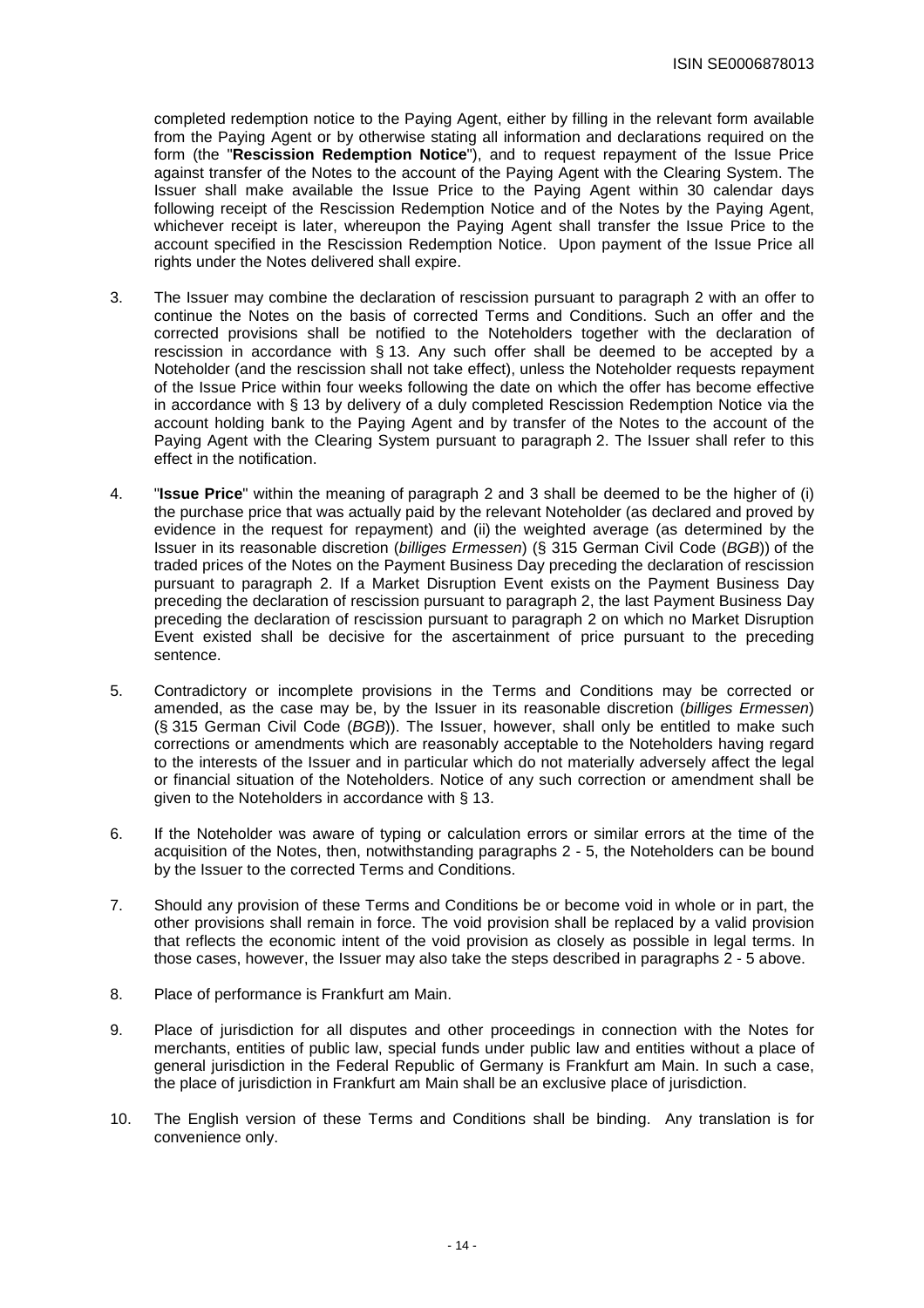completed redemption notice to the Paying Agent, either by filling in the relevant form available from the Paying Agent or by otherwise stating all information and declarations required on the form (the "**Rescission Redemption Notice**"), and to request repayment of the Issue Price against transfer of the Notes to the account of the Paying Agent with the Clearing System. The Issuer shall make available the Issue Price to the Paying Agent within 30 calendar days following receipt of the Rescission Redemption Notice and of the Notes by the Paying Agent, whichever receipt is later, whereupon the Paying Agent shall transfer the Issue Price to the account specified in the Rescission Redemption Notice. Upon payment of the Issue Price all rights under the Notes delivered shall expire.

- 3. The Issuer may combine the declaration of rescission pursuant to paragraph 2 with an offer to continue the Notes on the basis of corrected Terms and Conditions. Such an offer and the corrected provisions shall be notified to the Noteholders together with the declaration of rescission in accordance with § 13. Any such offer shall be deemed to be accepted by a Noteholder (and the rescission shall not take effect), unless the Noteholder requests repayment of the Issue Price within four weeks following the date on which the offer has become effective in accordance with § 13 by delivery of a duly completed Rescission Redemption Notice via the account holding bank to the Paying Agent and by transfer of the Notes to the account of the Paying Agent with the Clearing System pursuant to paragraph 2. The Issuer shall refer to this effect in the notification.
- 4. "**Issue Price**" within the meaning of paragraph 2 and 3 shall be deemed to be the higher of (i) the purchase price that was actually paid by the relevant Noteholder (as declared and proved by evidence in the request for repayment) and (ii) the weighted average (as determined by the Issuer in its reasonable discretion (billiges Ermessen) (§ 315 German Civil Code (BGB)) of the traded prices of the Notes on the Payment Business Day preceding the declaration of rescission pursuant to paragraph 2. If a Market Disruption Event exists on the Payment Business Day preceding the declaration of rescission pursuant to paragraph 2, the last Payment Business Day preceding the declaration of rescission pursuant to paragraph 2 on which no Market Disruption Event existed shall be decisive for the ascertainment of price pursuant to the preceding sentence.
- 5. Contradictory or incomplete provisions in the Terms and Conditions may be corrected or amended, as the case may be, by the Issuer in its reasonable discretion (billiges Ermessen) (§ 315 German Civil Code (BGB)). The Issuer, however, shall only be entitled to make such corrections or amendments which are reasonably acceptable to the Noteholders having regard to the interests of the Issuer and in particular which do not materially adversely affect the legal or financial situation of the Noteholders. Notice of any such correction or amendment shall be given to the Noteholders in accordance with § 13.
- 6. If the Noteholder was aware of typing or calculation errors or similar errors at the time of the acquisition of the Notes, then, notwithstanding paragraphs 2 - 5, the Noteholders can be bound by the Issuer to the corrected Terms and Conditions.
- 7. Should any provision of these Terms and Conditions be or become void in whole or in part, the other provisions shall remain in force. The void provision shall be replaced by a valid provision that reflects the economic intent of the void provision as closely as possible in legal terms. In those cases, however, the Issuer may also take the steps described in paragraphs 2 - 5 above.
- 8. Place of performance is Frankfurt am Main.
- 9. Place of jurisdiction for all disputes and other proceedings in connection with the Notes for merchants, entities of public law, special funds under public law and entities without a place of general jurisdiction in the Federal Republic of Germany is Frankfurt am Main. In such a case, the place of jurisdiction in Frankfurt am Main shall be an exclusive place of jurisdiction.
- 10. The English version of these Terms and Conditions shall be binding. Any translation is for convenience only.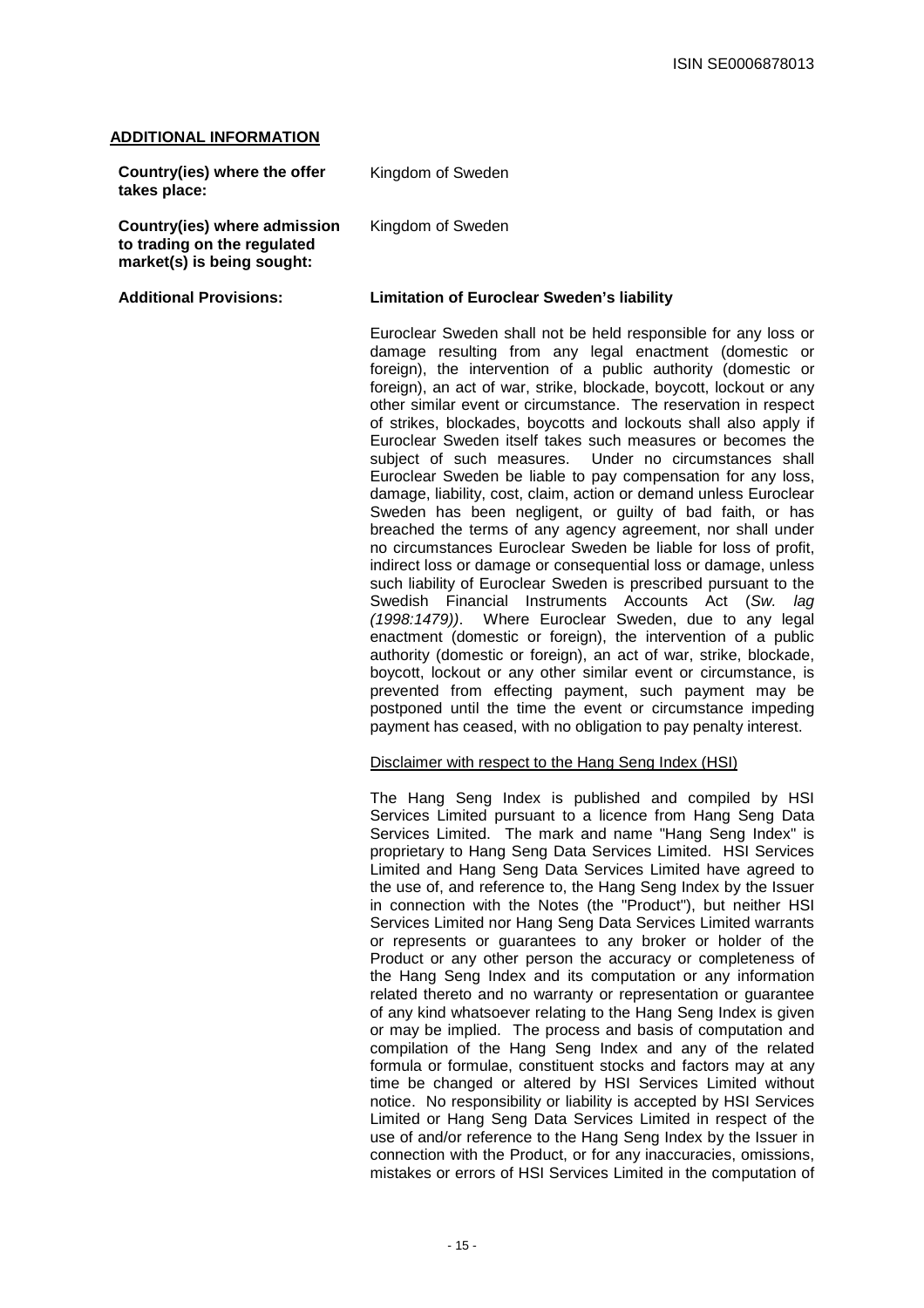#### **ADDITIONAL INFORMATION**

| Country(ies) where the offer<br>takes place:                                              | Kingdom of Sweden                                                                                                                                                                                                                                                                                                                                                                                                                                                                                                                                                                                                                                                                                                                                                                                                                                                                                                                                                                                                                                                                                                                                                                                                                                                                                                                                                                                                                                                                                                                 |
|-------------------------------------------------------------------------------------------|-----------------------------------------------------------------------------------------------------------------------------------------------------------------------------------------------------------------------------------------------------------------------------------------------------------------------------------------------------------------------------------------------------------------------------------------------------------------------------------------------------------------------------------------------------------------------------------------------------------------------------------------------------------------------------------------------------------------------------------------------------------------------------------------------------------------------------------------------------------------------------------------------------------------------------------------------------------------------------------------------------------------------------------------------------------------------------------------------------------------------------------------------------------------------------------------------------------------------------------------------------------------------------------------------------------------------------------------------------------------------------------------------------------------------------------------------------------------------------------------------------------------------------------|
| Country(ies) where admission<br>to trading on the regulated<br>market(s) is being sought: | Kingdom of Sweden                                                                                                                                                                                                                                                                                                                                                                                                                                                                                                                                                                                                                                                                                                                                                                                                                                                                                                                                                                                                                                                                                                                                                                                                                                                                                                                                                                                                                                                                                                                 |
| <b>Additional Provisions:</b>                                                             | <b>Limitation of Euroclear Sweden's liability</b>                                                                                                                                                                                                                                                                                                                                                                                                                                                                                                                                                                                                                                                                                                                                                                                                                                                                                                                                                                                                                                                                                                                                                                                                                                                                                                                                                                                                                                                                                 |
|                                                                                           | Euroclear Sweden shall not be held responsible for any loss or<br>damage resulting from any legal enactment (domestic or<br>foreign), the intervention of a public authority (domestic or<br>foreign), an act of war, strike, blockade, boycott, lockout or any<br>other similar event or circumstance. The reservation in respect<br>of strikes, blockades, boycotts and lockouts shall also apply if<br>Euroclear Sweden itself takes such measures or becomes the<br>subject of such measures. Under no circumstances shall<br>Euroclear Sweden be liable to pay compensation for any loss,<br>damage, liability, cost, claim, action or demand unless Euroclear<br>Sweden has been negligent, or guilty of bad faith, or has<br>breached the terms of any agency agreement, nor shall under<br>no circumstances Euroclear Sweden be liable for loss of profit,<br>indirect loss or damage or consequential loss or damage, unless<br>such liability of Euroclear Sweden is prescribed pursuant to the<br>Swedish Financial Instruments Accounts Act (Sw.<br>lag<br>(1998:1479)). Where Euroclear Sweden, due to any legal<br>enactment (domestic or foreign), the intervention of a public<br>authority (domestic or foreign), an act of war, strike, blockade,<br>boycott, lockout or any other similar event or circumstance, is<br>prevented from effecting payment, such payment may be<br>postponed until the time the event or circumstance impeding<br>payment has ceased, with no obligation to pay penalty interest. |

#### Disclaimer with respect to the Hang Seng Index (HSI)

The Hang Seng Index is published and compiled by HSI Services Limited pursuant to a licence from Hang Seng Data Services Limited. The mark and name "Hang Seng Index" is proprietary to Hang Seng Data Services Limited. HSI Services Limited and Hang Seng Data Services Limited have agreed to the use of, and reference to, the Hang Seng Index by the Issuer in connection with the Notes (the "Product"), but neither HSI Services Limited nor Hang Seng Data Services Limited warrants or represents or guarantees to any broker or holder of the Product or any other person the accuracy or completeness of the Hang Seng Index and its computation or any information related thereto and no warranty or representation or guarantee of any kind whatsoever relating to the Hang Seng Index is given or may be implied. The process and basis of computation and compilation of the Hang Seng Index and any of the related formula or formulae, constituent stocks and factors may at any time be changed or altered by HSI Services Limited without notice. No responsibility or liability is accepted by HSI Services Limited or Hang Seng Data Services Limited in respect of the use of and/or reference to the Hang Seng Index by the Issuer in connection with the Product, or for any inaccuracies, omissions, mistakes or errors of HSI Services Limited in the computation of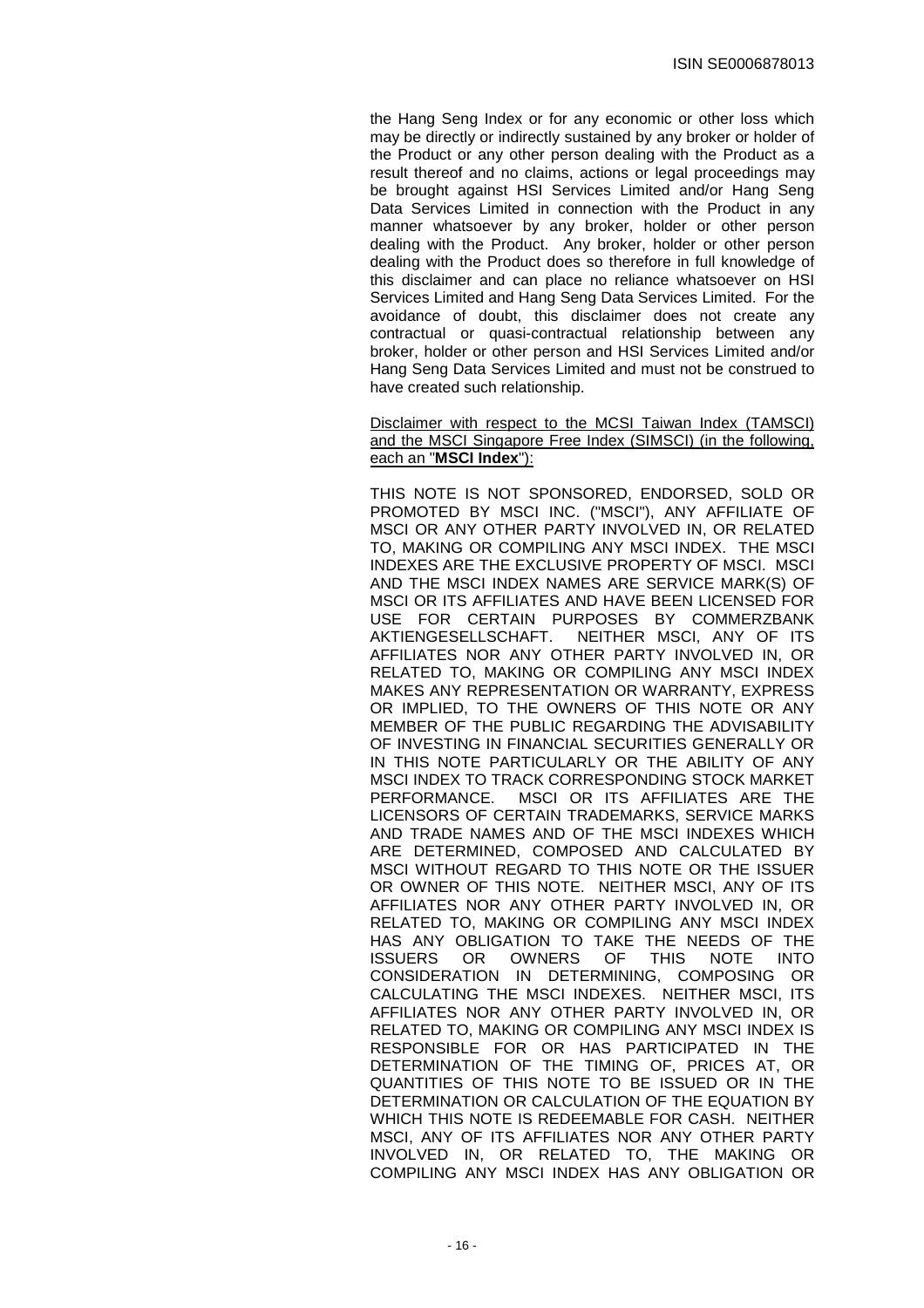the Hang Seng Index or for any economic or other loss which may be directly or indirectly sustained by any broker or holder of the Product or any other person dealing with the Product as a result thereof and no claims, actions or legal proceedings may be brought against HSI Services Limited and/or Hang Seng Data Services Limited in connection with the Product in any manner whatsoever by any broker, holder or other person dealing with the Product. Any broker, holder or other person dealing with the Product does so therefore in full knowledge of this disclaimer and can place no reliance whatsoever on HSI Services Limited and Hang Seng Data Services Limited. For the avoidance of doubt, this disclaimer does not create any contractual or quasi-contractual relationship between any broker, holder or other person and HSI Services Limited and/or Hang Seng Data Services Limited and must not be construed to have created such relationship.

#### Disclaimer with respect to the MCSI Taiwan Index (TAMSCI) and the MSCI Singapore Free Index (SIMSCI) (in the following, each an "**MSCI Index**"):

THIS NOTE IS NOT SPONSORED, ENDORSED, SOLD OR PROMOTED BY MSCI INC. ("MSCI"), ANY AFFILIATE OF MSCI OR ANY OTHER PARTY INVOLVED IN, OR RELATED TO, MAKING OR COMPILING ANY MSCI INDEX. THE MSCI INDEXES ARE THE EXCLUSIVE PROPERTY OF MSCI. MSCI AND THE MSCI INDEX NAMES ARE SERVICE MARK(S) OF MSCI OR ITS AFFILIATES AND HAVE BEEN LICENSED FOR USE FOR CERTAIN PURPOSES BY COMMERZBANK AKTIENGESELLSCHAFT. NEITHER MSCI, ANY OF ITS AFFILIATES NOR ANY OTHER PARTY INVOLVED IN, OR RELATED TO, MAKING OR COMPILING ANY MSCI INDEX MAKES ANY REPRESENTATION OR WARRANTY, EXPRESS OR IMPLIED, TO THE OWNERS OF THIS NOTE OR ANY MEMBER OF THE PUBLIC REGARDING THE ADVISABILITY OF INVESTING IN FINANCIAL SECURITIES GENERALLY OR IN THIS NOTE PARTICULARLY OR THE ABILITY OF ANY MSCI INDEX TO TRACK CORRESPONDING STOCK MARKET PERFORMANCE. MSCI OR ITS AFFILIATES ARE THE LICENSORS OF CERTAIN TRADEMARKS, SERVICE MARKS AND TRADE NAMES AND OF THE MSCI INDEXES WHICH ARE DETERMINED, COMPOSED AND CALCULATED BY MSCI WITHOUT REGARD TO THIS NOTE OR THE ISSUER OR OWNER OF THIS NOTE. NEITHER MSCI, ANY OF ITS AFFILIATES NOR ANY OTHER PARTY INVOLVED IN, OR RELATED TO, MAKING OR COMPILING ANY MSCI INDEX HAS ANY OBLIGATION TO TAKE THE NEEDS OF THE ISSUERS OR OWNERS OF THIS NOTE INTO CONSIDERATION IN DETERMINING, COMPOSING OR CALCULATING THE MSCI INDEXES. NEITHER MSCI, ITS AFFILIATES NOR ANY OTHER PARTY INVOLVED IN, OR RELATED TO, MAKING OR COMPILING ANY MSCI INDEX IS RESPONSIBLE FOR OR HAS PARTICIPATED IN THE DETERMINATION OF THE TIMING OF, PRICES AT, OR QUANTITIES OF THIS NOTE TO BE ISSUED OR IN THE DETERMINATION OR CALCULATION OF THE EQUATION BY WHICH THIS NOTE IS REDEEMABLE FOR CASH. NEITHER MSCI, ANY OF ITS AFFILIATES NOR ANY OTHER PARTY INVOLVED IN, OR RELATED TO, THE MAKING OR COMPILING ANY MSCI INDEX HAS ANY OBLIGATION OR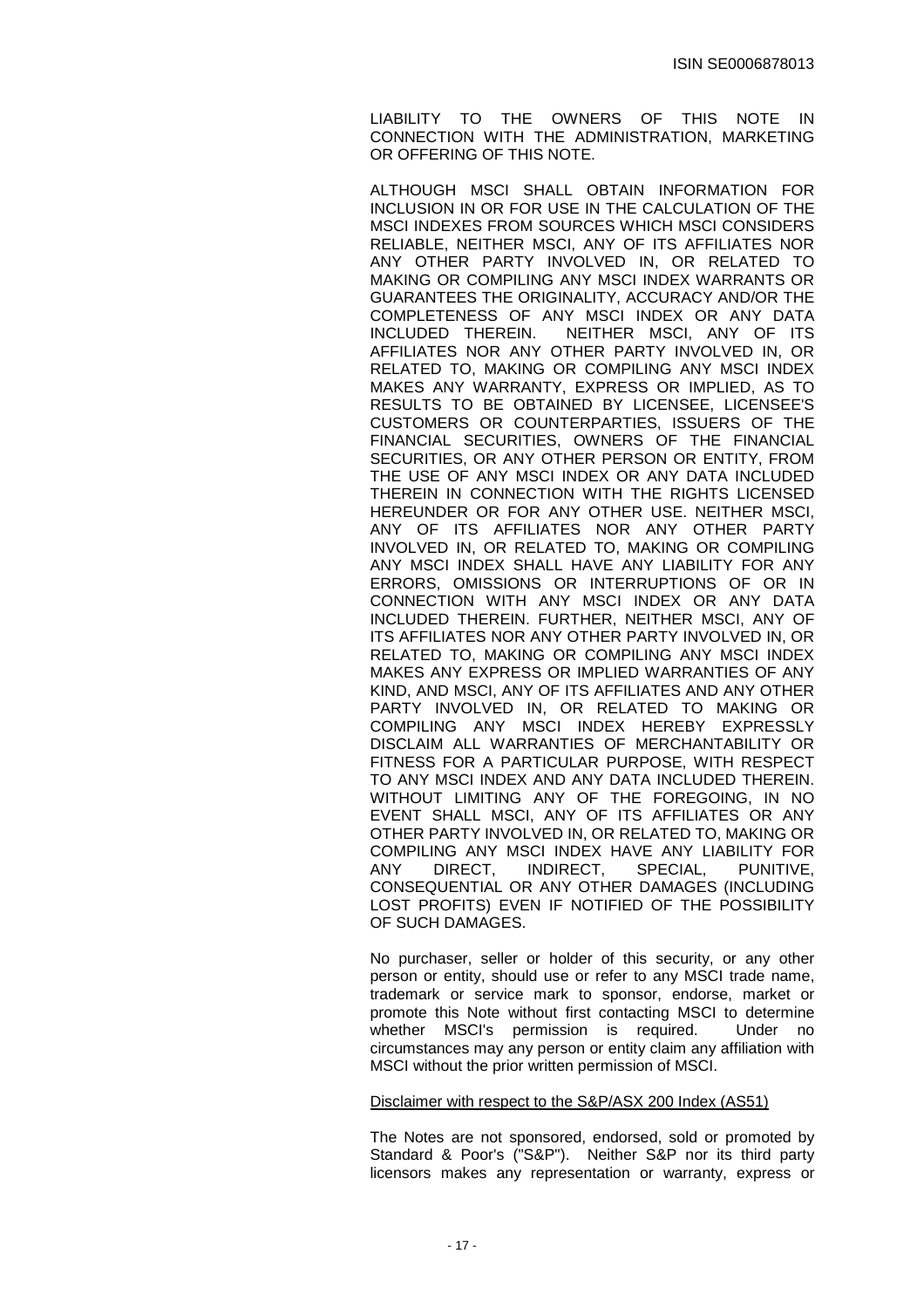LIABILITY TO THE OWNERS OF THIS NOTE IN CONNECTION WITH THE ADMINISTRATION, MARKETING OR OFFERING OF THIS NOTE.

ALTHOUGH MSCI SHALL OBTAIN INFORMATION FOR INCLUSION IN OR FOR USE IN THE CALCULATION OF THE MSCI INDEXES FROM SOURCES WHICH MSCI CONSIDERS RELIABLE, NEITHER MSCI, ANY OF ITS AFFILIATES NOR ANY OTHER PARTY INVOLVED IN, OR RELATED TO MAKING OR COMPILING ANY MSCI INDEX WARRANTS OR GUARANTEES THE ORIGINALITY, ACCURACY AND/OR THE COMPLETENESS OF ANY MSCI INDEX OR ANY DATA NEITHER MSCI, ANY OF ITS AFFILIATES NOR ANY OTHER PARTY INVOLVED IN, OR RELATED TO, MAKING OR COMPILING ANY MSCI INDEX MAKES ANY WARRANTY, EXPRESS OR IMPLIED, AS TO RESULTS TO BE OBTAINED BY LICENSEE, LICENSEE'S CUSTOMERS OR COUNTERPARTIES, ISSUERS OF THE FINANCIAL SECURITIES, OWNERS OF THE FINANCIAL SECURITIES, OR ANY OTHER PERSON OR ENTITY, FROM THE USE OF ANY MSCI INDEX OR ANY DATA INCLUDED THEREIN IN CONNECTION WITH THE RIGHTS LICENSED HEREUNDER OR FOR ANY OTHER USE. NEITHER MSCI, ANY OF ITS AFFILIATES NOR ANY OTHER PARTY INVOLVED IN, OR RELATED TO, MAKING OR COMPILING ANY MSCI INDEX SHALL HAVE ANY LIABILITY FOR ANY ERRORS, OMISSIONS OR INTERRUPTIONS OF OR IN CONNECTION WITH ANY MSCI INDEX OR ANY DATA INCLUDED THEREIN. FURTHER, NEITHER MSCI, ANY OF ITS AFFILIATES NOR ANY OTHER PARTY INVOLVED IN, OR RELATED TO, MAKING OR COMPILING ANY MSCI INDEX MAKES ANY EXPRESS OR IMPLIED WARRANTIES OF ANY KIND, AND MSCI, ANY OF ITS AFFILIATES AND ANY OTHER PARTY INVOLVED IN, OR RELATED TO MAKING OR COMPILING ANY MSCI INDEX HEREBY EXPRESSLY DISCLAIM ALL WARRANTIES OF MERCHANTABILITY OR FITNESS FOR A PARTICULAR PURPOSE, WITH RESPECT TO ANY MSCI INDEX AND ANY DATA INCLUDED THEREIN. WITHOUT LIMITING ANY OF THE FOREGOING, IN NO EVENT SHALL MSCI, ANY OF ITS AFFILIATES OR ANY OTHER PARTY INVOLVED IN, OR RELATED TO, MAKING OR COMPILING ANY MSCI INDEX HAVE ANY LIABILITY FOR ANY DIRECT, INDIRECT, SPECIAL, PUNITIVE, CONSEQUENTIAL OR ANY OTHER DAMAGES (INCLUDING LOST PROFITS) EVEN IF NOTIFIED OF THE POSSIBILITY OF SUCH DAMAGES.

No purchaser, seller or holder of this security, or any other person or entity, should use or refer to any MSCI trade name, trademark or service mark to sponsor, endorse, market or promote this Note without first contacting MSCI to determine whether MSCI's permission is required. Under no circumstances may any person or entity claim any affiliation with MSCI without the prior written permission of MSCI.

# Disclaimer with respect to the S&P/ASX 200 Index (AS51)

The Notes are not sponsored, endorsed, sold or promoted by Standard & Poor's ("S&P"). Neither S&P nor its third party licensors makes any representation or warranty, express or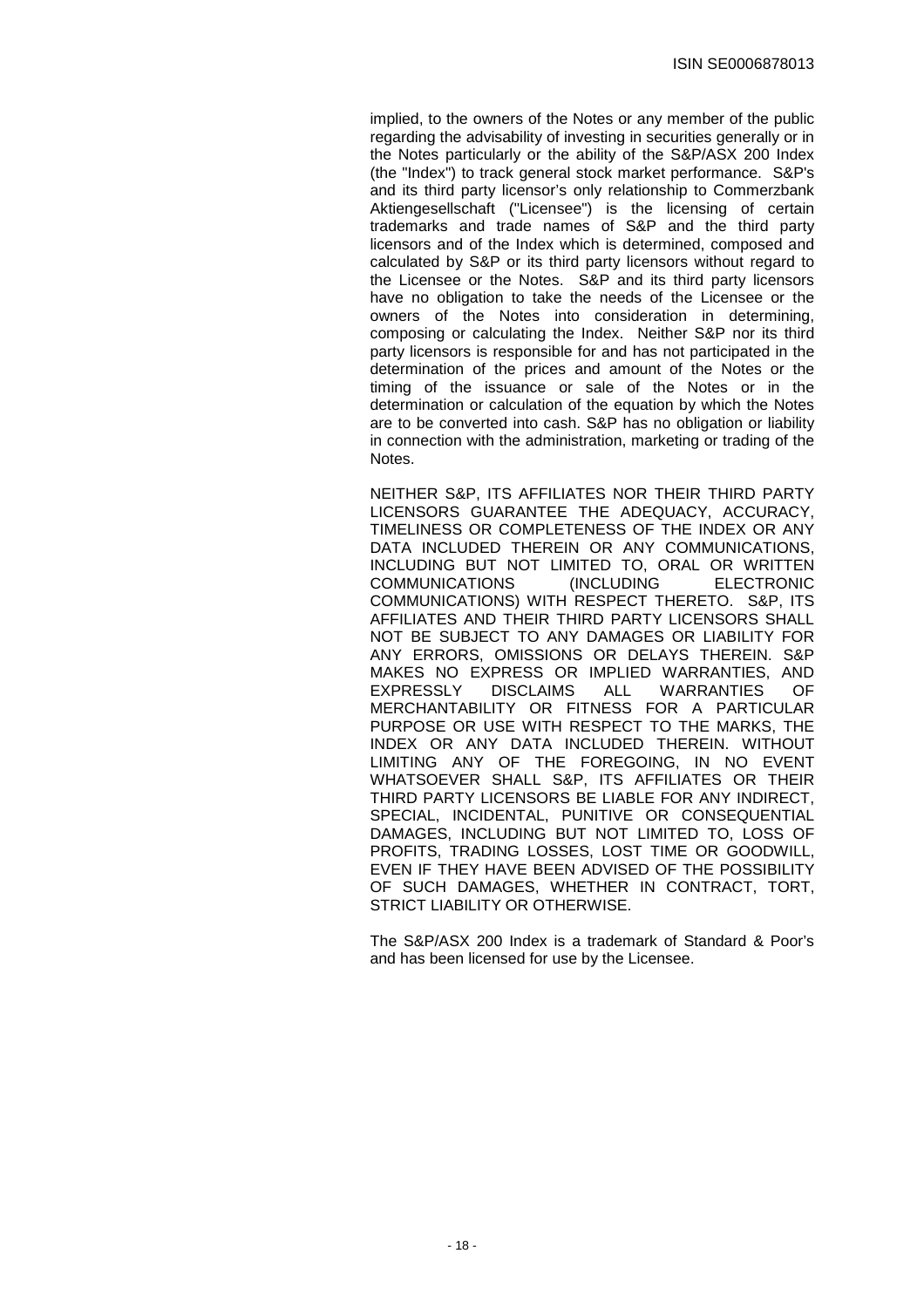implied, to the owners of the Notes or any member of the public regarding the advisability of investing in securities generally or in the Notes particularly or the ability of the S&P/ASX 200 Index (the "Index") to track general stock market performance. S&P's and its third party licensor's only relationship to Commerzbank Aktiengesellschaft ("Licensee") is the licensing of certain trademarks and trade names of S&P and the third party licensors and of the Index which is determined, composed and calculated by S&P or its third party licensors without regard to the Licensee or the Notes. S&P and its third party licensors have no obligation to take the needs of the Licensee or the owners of the Notes into consideration in determining, composing or calculating the Index. Neither S&P nor its third party licensors is responsible for and has not participated in the determination of the prices and amount of the Notes or the timing of the issuance or sale of the Notes or in the determination or calculation of the equation by which the Notes are to be converted into cash. S&P has no obligation or liability in connection with the administration, marketing or trading of the Notes.

NEITHER S&P, ITS AFFILIATES NOR THEIR THIRD PARTY LICENSORS GUARANTEE THE ADEQUACY, ACCURACY, TIMELINESS OR COMPLETENESS OF THE INDEX OR ANY DATA INCLUDED THEREIN OR ANY COMMUNICATIONS, INCLUDING BUT NOT LIMITED TO, ORAL OR WRITTEN COMMUNICATIONS (INCLUDING ELECTRONIC COMMUNICATIONS) WITH RESPECT THERETO. S&P, ITS AFFILIATES AND THEIR THIRD PARTY LICENSORS SHALL NOT BE SUBJECT TO ANY DAMAGES OR LIABILITY FOR ANY ERRORS, OMISSIONS OR DELAYS THEREIN. S&P MAKES NO EXPRESS OR IMPLIED WARRANTIES, AND EXPRESSLY DISCLAIMS ALL WARRANTIES OF MERCHANTABILITY OR FITNESS FOR A PARTICULAR PURPOSE OR USE WITH RESPECT TO THE MARKS, THE INDEX OR ANY DATA INCLUDED THEREIN. WITHOUT LIMITING ANY OF THE FOREGOING, IN NO EVENT WHATSOEVER SHALL S&P, ITS AFFILIATES OR THEIR THIRD PARTY LICENSORS BE LIABLE FOR ANY INDIRECT, SPECIAL, INCIDENTAL, PUNITIVE OR CONSEQUENTIAL DAMAGES, INCLUDING BUT NOT LIMITED TO, LOSS OF PROFITS, TRADING LOSSES, LOST TIME OR GOODWILL, EVEN IF THEY HAVE BEEN ADVISED OF THE POSSIBILITY OF SUCH DAMAGES, WHETHER IN CONTRACT, TORT, STRICT LIABILITY OR OTHERWISE.

The S&P/ASX 200 Index is a trademark of Standard & Poor's and has been licensed for use by the Licensee.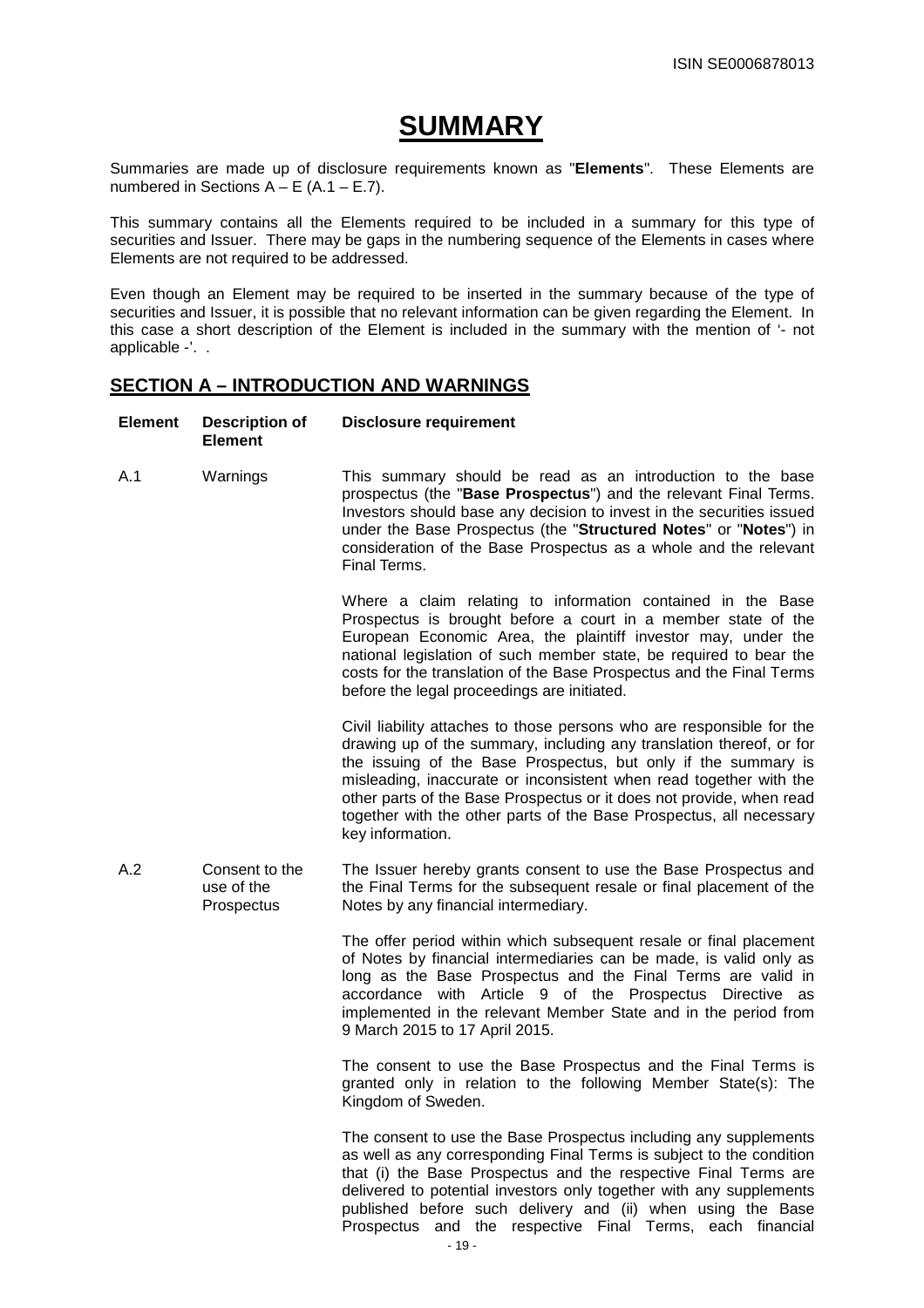# **SUMMARY**

Summaries are made up of disclosure requirements known as "**Elements**". These Elements are numbered in Sections  $A - E (A.1 - E.7)$ .

This summary contains all the Elements required to be included in a summary for this type of securities and Issuer. There may be gaps in the numbering sequence of the Elements in cases where Elements are not required to be addressed.

Even though an Element may be required to be inserted in the summary because of the type of securities and Issuer, it is possible that no relevant information can be given regarding the Element. In this case a short description of the Element is included in the summary with the mention of '- not applicable -'. .

# **SECTION A – INTRODUCTION AND WARNINGS**

| <b>Element</b> | <b>Description of</b><br><b>Element</b>    | <b>Disclosure requirement</b>                                                                                                                                                                                                                                                                                                                                                                                                                            |
|----------------|--------------------------------------------|----------------------------------------------------------------------------------------------------------------------------------------------------------------------------------------------------------------------------------------------------------------------------------------------------------------------------------------------------------------------------------------------------------------------------------------------------------|
| A.1            | Warnings                                   | This summary should be read as an introduction to the base<br>prospectus (the "Base Prospectus") and the relevant Final Terms.<br>Investors should base any decision to invest in the securities issued<br>under the Base Prospectus (the "Structured Notes" or "Notes") in<br>consideration of the Base Prospectus as a whole and the relevant<br>Final Terms.                                                                                          |
|                |                                            | Where a claim relating to information contained in the Base<br>Prospectus is brought before a court in a member state of the<br>European Economic Area, the plaintiff investor may, under the<br>national legislation of such member state, be required to bear the<br>costs for the translation of the Base Prospectus and the Final Terms<br>before the legal proceedings are initiated.                                                               |
|                |                                            | Civil liability attaches to those persons who are responsible for the<br>drawing up of the summary, including any translation thereof, or for<br>the issuing of the Base Prospectus, but only if the summary is<br>misleading, inaccurate or inconsistent when read together with the<br>other parts of the Base Prospectus or it does not provide, when read<br>together with the other parts of the Base Prospectus, all necessary<br>key information. |
| A.2            | Consent to the<br>use of the<br>Prospectus | The Issuer hereby grants consent to use the Base Prospectus and<br>the Final Terms for the subsequent resale or final placement of the<br>Notes by any financial intermediary.                                                                                                                                                                                                                                                                           |
|                |                                            | The offer period within which subsequent resale or final placement<br>of Notes by financial intermediaries can be made, is valid only as<br>long as the Base Prospectus and the Final Terms are valid in<br>accordance with Article 9 of the Prospectus Directive as<br>implemented in the relevant Member State and in the period from<br>9 March 2015 to 17 April 2015.                                                                                |
|                |                                            | The consent to use the Base Prospectus and the Final Terms is<br>granted only in relation to the following Member State(s): The<br>Kingdom of Sweden.                                                                                                                                                                                                                                                                                                    |
|                |                                            | The consent to use the Base Prospectus including any supplements<br>as well as any corresponding Final Terms is subject to the condition<br>that (i) the Base Prospectus and the respective Final Terms are<br>delivered to potential investors only together with any supplements<br>published before such delivery and (ii) when using the Base<br>Prospectus and the respective Final Terms, each financial<br>$-19-$                                 |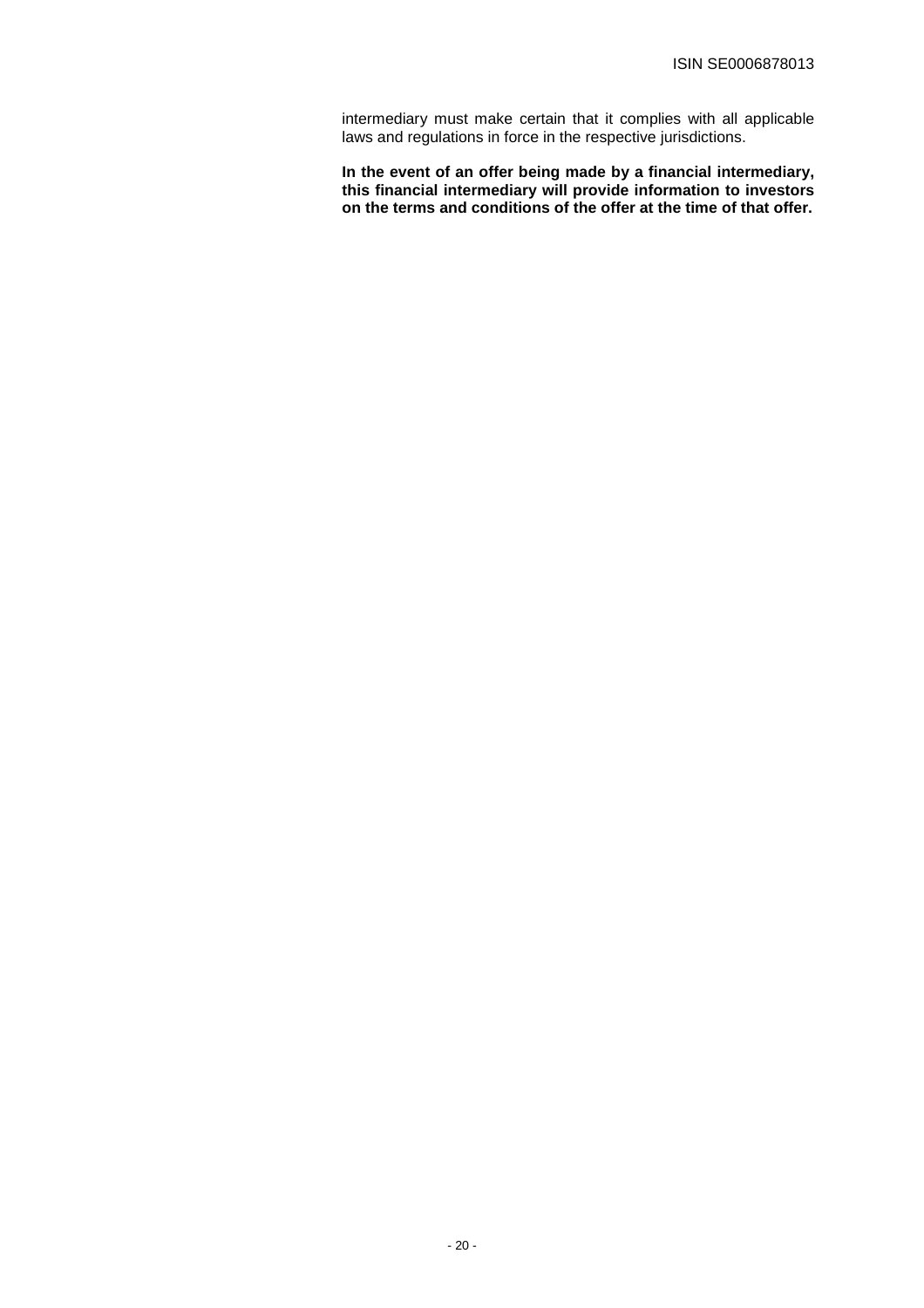intermediary must make certain that it complies with all applicable laws and regulations in force in the respective jurisdictions.

**In the event of an offer being made by a financial intermediary, this financial intermediary will provide information to investors on the terms and conditions of the offer at the time of that offer.**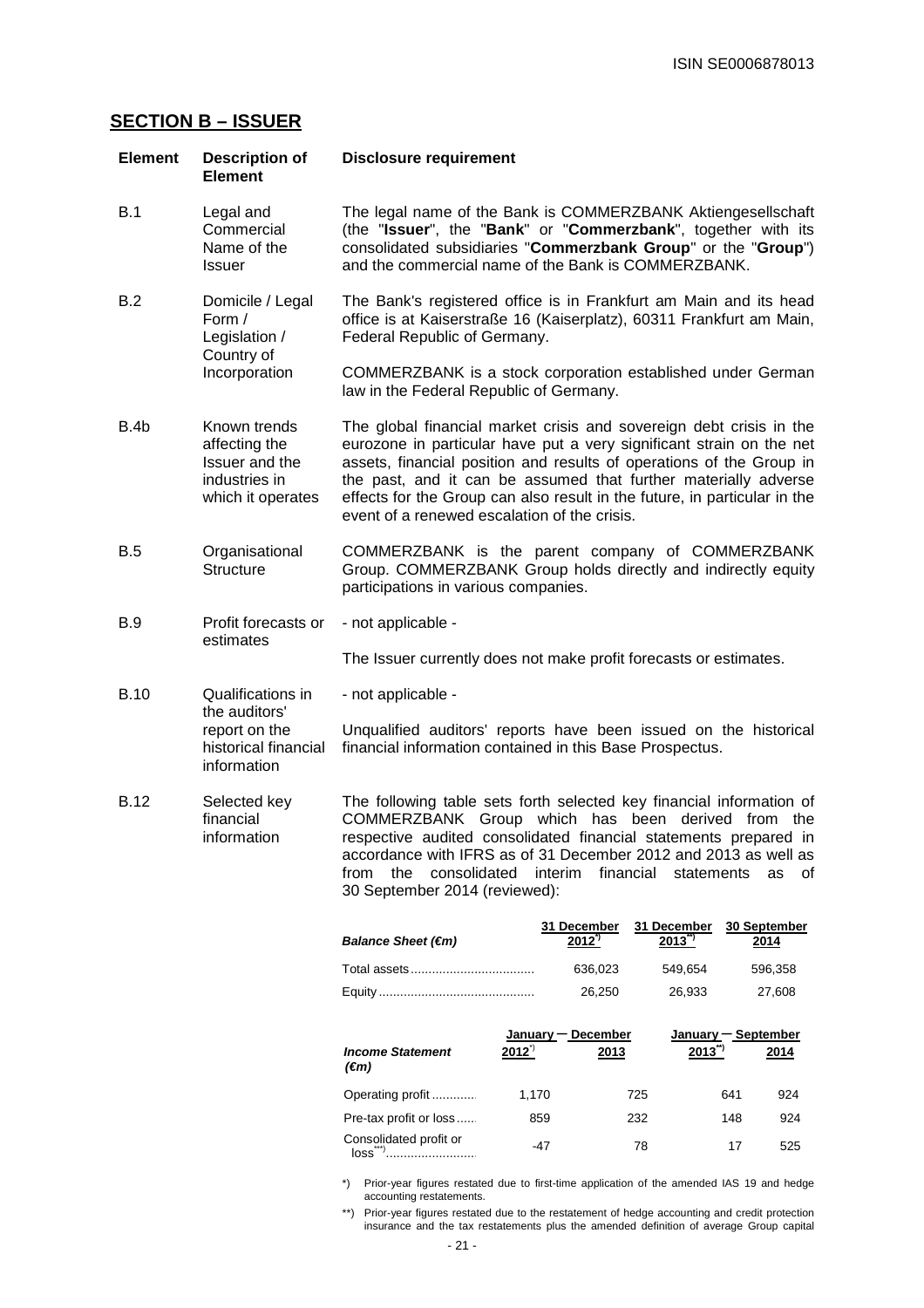# **SECTION B – ISSUER**

| <b>Element</b>                                                                                            | <b>Description of</b><br><b>Element</b>                                               | <b>Disclosure requirement</b>                                                                                                                                                                                                                                                                                                                                                                                       |
|-----------------------------------------------------------------------------------------------------------|---------------------------------------------------------------------------------------|---------------------------------------------------------------------------------------------------------------------------------------------------------------------------------------------------------------------------------------------------------------------------------------------------------------------------------------------------------------------------------------------------------------------|
| B.1                                                                                                       | Legal and<br>Commercial<br>Name of the<br><b>Issuer</b>                               | The legal name of the Bank is COMMERZBANK Aktiengesellschaft<br>(the "Issuer", the "Bank" or "Commerzbank", together with its<br>consolidated subsidiaries "Commerzbank Group" or the "Group")<br>and the commercial name of the Bank is COMMERZBANK.                                                                                                                                                               |
| B.2                                                                                                       | Domicile / Legal<br>Form /<br>Legislation /                                           | The Bank's registered office is in Frankfurt am Main and its head<br>office is at Kaiserstraße 16 (Kaiserplatz), 60311 Frankfurt am Main,<br>Federal Republic of Germany.                                                                                                                                                                                                                                           |
|                                                                                                           | Country of<br>Incorporation                                                           | COMMERZBANK is a stock corporation established under German<br>law in the Federal Republic of Germany.                                                                                                                                                                                                                                                                                                              |
| B.4b                                                                                                      | Known trends<br>affecting the<br>Issuer and the<br>industries in<br>which it operates | The global financial market crisis and sovereign debt crisis in the<br>eurozone in particular have put a very significant strain on the net<br>assets, financial position and results of operations of the Group in<br>the past, and it can be assumed that further materially adverse<br>effects for the Group can also result in the future, in particular in the<br>event of a renewed escalation of the crisis. |
| B.5                                                                                                       | Organisational<br><b>Structure</b>                                                    | COMMERZBANK is the parent company of COMMERZBANK<br>Group. COMMERZBANK Group holds directly and indirectly equity<br>participations in various companies.                                                                                                                                                                                                                                                           |
| <b>B.9</b><br>Profit forecasts or<br>estimates                                                            |                                                                                       | - not applicable -                                                                                                                                                                                                                                                                                                                                                                                                  |
|                                                                                                           |                                                                                       | The Issuer currently does not make profit forecasts or estimates.                                                                                                                                                                                                                                                                                                                                                   |
| <b>B.10</b><br>Qualifications in<br>the auditors'<br>report on the<br>historical financial<br>information |                                                                                       | - not applicable -                                                                                                                                                                                                                                                                                                                                                                                                  |
|                                                                                                           |                                                                                       | Unqualified auditors' reports have been issued on the historical<br>financial information contained in this Base Prospectus.                                                                                                                                                                                                                                                                                        |
| <b>B.12</b>                                                                                               | Selected key<br>financial<br>information                                              | The following table sets forth selected key financial information of<br>COMMERZBANK Group which has been derived from the<br>respective audited consolidated financial statements prepared in<br>accordance with IFRS as of 31 December 2012 and 2013 as well as<br>from<br>the<br>consolidated<br>interim<br>financial<br>statements<br>οf<br>as<br>30 September 2014 (reviewed):                                  |

| Balance Sheet $(\epsilon m)$ | 31 December<br>2012' | 31 December<br>$2013^{''}$ | <b>30 September</b><br>2014 |
|------------------------------|----------------------|----------------------------|-----------------------------|
|                              | 636.023              | 549.654                    | 596.358                     |
|                              | 26.250               | 26.933                     | 27.608                      |

|                                           | January – December |      | January $-$ September |      |
|-------------------------------------------|--------------------|------|-----------------------|------|
| <b>Income Statement</b><br>$(\epsilon m)$ | $2012^{\degree}$   | 2013 | $2013^{''}$           | 2014 |
| Operating profit                          | 1.170              | 725  | 641                   | 924  |
| Pre-tax profit or loss                    | 859                | 232  | 148                   | 924  |
| Consolidated profit or<br>loss            | -47                | 78   | 17                    | 525  |

\*) Prior-year figures restated due to first-time application of the amended IAS 19 and hedge accounting restatements.

\*\*) Prior-year figures restated due to the restatement of hedge accounting and credit protection insurance and the tax restatements plus the amended definition of average Group capital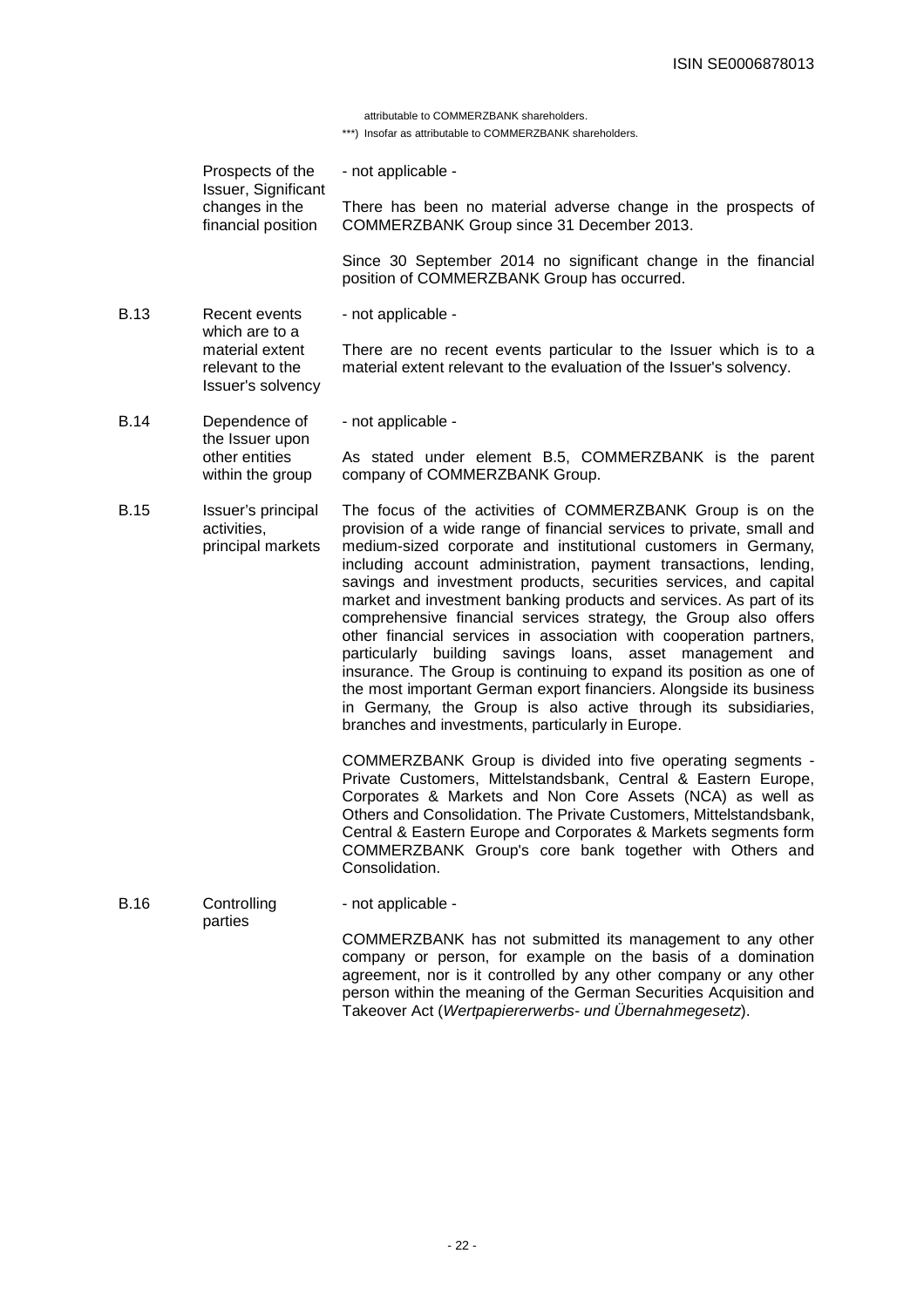attributable to COMMERZBANK shareholders.

\*\*\*) Insofar as attributable to COMMERZBANK shareholders.

| Prospects of the<br>Issuer, Significant<br>changes in the<br>financial position |                                                         | - not applicable -                                                                                                                                                                                                                                                                                                                                                                                                                                                                                                                                                                                                                                                                                                                                                                                                                                                                                |  |
|---------------------------------------------------------------------------------|---------------------------------------------------------|---------------------------------------------------------------------------------------------------------------------------------------------------------------------------------------------------------------------------------------------------------------------------------------------------------------------------------------------------------------------------------------------------------------------------------------------------------------------------------------------------------------------------------------------------------------------------------------------------------------------------------------------------------------------------------------------------------------------------------------------------------------------------------------------------------------------------------------------------------------------------------------------------|--|
|                                                                                 |                                                         | There has been no material adverse change in the prospects of<br>COMMERZBANK Group since 31 December 2013.                                                                                                                                                                                                                                                                                                                                                                                                                                                                                                                                                                                                                                                                                                                                                                                        |  |
|                                                                                 |                                                         | Since 30 September 2014 no significant change in the financial<br>position of COMMERZBANK Group has occurred.                                                                                                                                                                                                                                                                                                                                                                                                                                                                                                                                                                                                                                                                                                                                                                                     |  |
| <b>B.13</b>                                                                     | Recent events<br>which are to a                         | - not applicable -                                                                                                                                                                                                                                                                                                                                                                                                                                                                                                                                                                                                                                                                                                                                                                                                                                                                                |  |
|                                                                                 | material extent<br>relevant to the<br>Issuer's solvency | There are no recent events particular to the Issuer which is to a<br>material extent relevant to the evaluation of the Issuer's solvency.                                                                                                                                                                                                                                                                                                                                                                                                                                                                                                                                                                                                                                                                                                                                                         |  |
| <b>B.14</b>                                                                     | Dependence of                                           | - not applicable -                                                                                                                                                                                                                                                                                                                                                                                                                                                                                                                                                                                                                                                                                                                                                                                                                                                                                |  |
| the Issuer upon<br>other entities<br>within the group                           |                                                         | As stated under element B.5, COMMERZBANK is the parent<br>company of COMMERZBANK Group.                                                                                                                                                                                                                                                                                                                                                                                                                                                                                                                                                                                                                                                                                                                                                                                                           |  |
| <b>B.15</b>                                                                     | Issuer's principal<br>activities.<br>principal markets  | The focus of the activities of COMMERZBANK Group is on the<br>provision of a wide range of financial services to private, small and<br>medium-sized corporate and institutional customers in Germany,<br>including account administration, payment transactions, lending,<br>savings and investment products, securities services, and capital<br>market and investment banking products and services. As part of its<br>comprehensive financial services strategy, the Group also offers<br>other financial services in association with cooperation partners,<br>particularly building savings loans, asset management and<br>insurance. The Group is continuing to expand its position as one of<br>the most important German export financiers. Alongside its business<br>in Germany, the Group is also active through its subsidiaries,<br>branches and investments, particularly in Europe. |  |
|                                                                                 |                                                         | COMMERZBANK Group is divided into five operating segments -<br>Private Customers, Mittelstandsbank, Central & Eastern Europe,<br>Corporates & Markets and Non Core Assets (NCA) as well as<br>Others and Consolidation. The Private Customers, Mittelstandsbank,<br>Central & Eastern Europe and Corporates & Markets segments form<br>COMMERZBANK Group's core bank together with Others and<br>Consolidation.                                                                                                                                                                                                                                                                                                                                                                                                                                                                                   |  |
| <b>B.16</b>                                                                     | Controlling<br>parties                                  | - not applicable -                                                                                                                                                                                                                                                                                                                                                                                                                                                                                                                                                                                                                                                                                                                                                                                                                                                                                |  |
|                                                                                 |                                                         | COMMERZBANK has not submitted its management to any other<br>company or person, for example on the basis of a domination<br>agreement, nor is it controlled by any other company or any other                                                                                                                                                                                                                                                                                                                                                                                                                                                                                                                                                                                                                                                                                                     |  |

person within the meaning of the German Securities Acquisition and

Takeover Act (Wertpapiererwerbs- und Übernahmegesetz).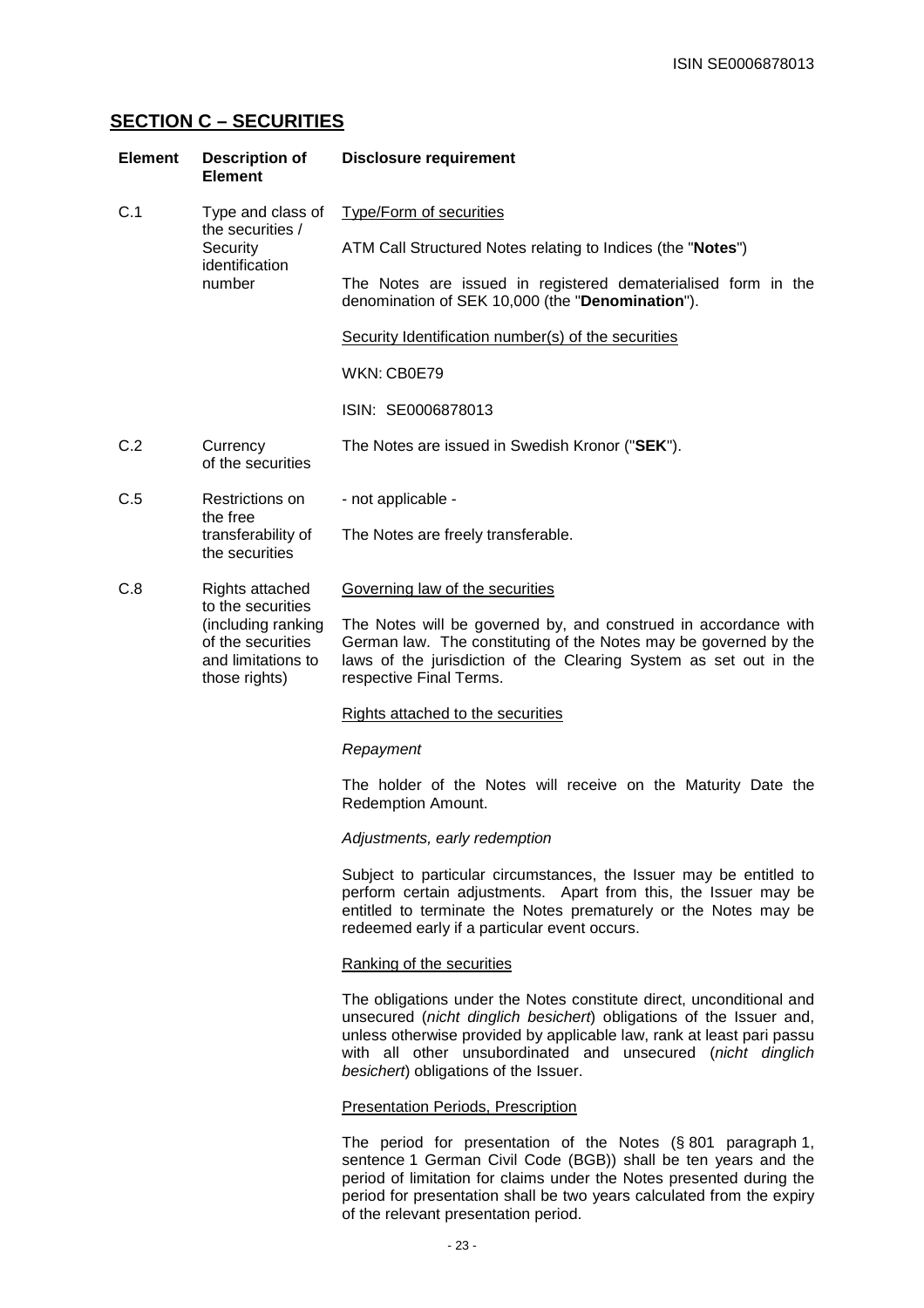# **SECTION C – SECURITIES**

| <b>Element</b> | <b>Description of</b><br><b>Element</b>                                                             | <b>Disclosure requirement</b>                                                                                                                                                                                                                                                                                                |
|----------------|-----------------------------------------------------------------------------------------------------|------------------------------------------------------------------------------------------------------------------------------------------------------------------------------------------------------------------------------------------------------------------------------------------------------------------------------|
| C.1            | Type and class of                                                                                   | <b>Type/Form of securities</b>                                                                                                                                                                                                                                                                                               |
|                | the securities /<br>Security<br>identification                                                      | ATM Call Structured Notes relating to Indices (the "Notes")                                                                                                                                                                                                                                                                  |
|                | number                                                                                              | The Notes are issued in registered dematerialised form in the<br>denomination of SEK 10,000 (the "Denomination").                                                                                                                                                                                                            |
|                |                                                                                                     | Security Identification number(s) of the securities                                                                                                                                                                                                                                                                          |
|                |                                                                                                     | WKN: CB0E79                                                                                                                                                                                                                                                                                                                  |
|                |                                                                                                     | ISIN: SE0006878013                                                                                                                                                                                                                                                                                                           |
| C.2            | Currency<br>of the securities                                                                       | The Notes are issued in Swedish Kronor ("SEK").                                                                                                                                                                                                                                                                              |
| C.5            | Restrictions on                                                                                     | - not applicable -                                                                                                                                                                                                                                                                                                           |
|                | the free<br>transferability of<br>the securities                                                    | The Notes are freely transferable.                                                                                                                                                                                                                                                                                           |
| C.8            | Rights attached                                                                                     | Governing law of the securities                                                                                                                                                                                                                                                                                              |
|                | to the securities<br>(including ranking<br>of the securities<br>and limitations to<br>those rights) | The Notes will be governed by, and construed in accordance with<br>German law. The constituting of the Notes may be governed by the<br>laws of the jurisdiction of the Clearing System as set out in the<br>respective Final Terms.                                                                                          |
|                |                                                                                                     | Rights attached to the securities                                                                                                                                                                                                                                                                                            |
|                |                                                                                                     | Repayment                                                                                                                                                                                                                                                                                                                    |
|                |                                                                                                     | The holder of the Notes will receive on the Maturity Date the<br>Redemption Amount.                                                                                                                                                                                                                                          |
|                |                                                                                                     | Adjustments, early redemption                                                                                                                                                                                                                                                                                                |
|                |                                                                                                     | Subject to particular circumstances, the Issuer may be entitled to<br>perform certain adjustments. Apart from this, the Issuer may be<br>entitled to terminate the Notes prematurely or the Notes may be<br>redeemed early if a particular event occurs.                                                                     |
|                |                                                                                                     | Ranking of the securities                                                                                                                                                                                                                                                                                                    |
|                |                                                                                                     | The obligations under the Notes constitute direct, unconditional and<br>unsecured (nicht dinglich besichert) obligations of the Issuer and,<br>unless otherwise provided by applicable law, rank at least pari passu<br>with all other unsubordinated and unsecured (nicht dinglich<br>besichert) obligations of the Issuer. |
|                |                                                                                                     | <b>Presentation Periods, Prescription</b>                                                                                                                                                                                                                                                                                    |
|                |                                                                                                     | The period for presentation of the Notes $(\S 801$ paragraph 1,<br>sentence 1 German Civil Code (BGB)) shall be ten years and the                                                                                                                                                                                            |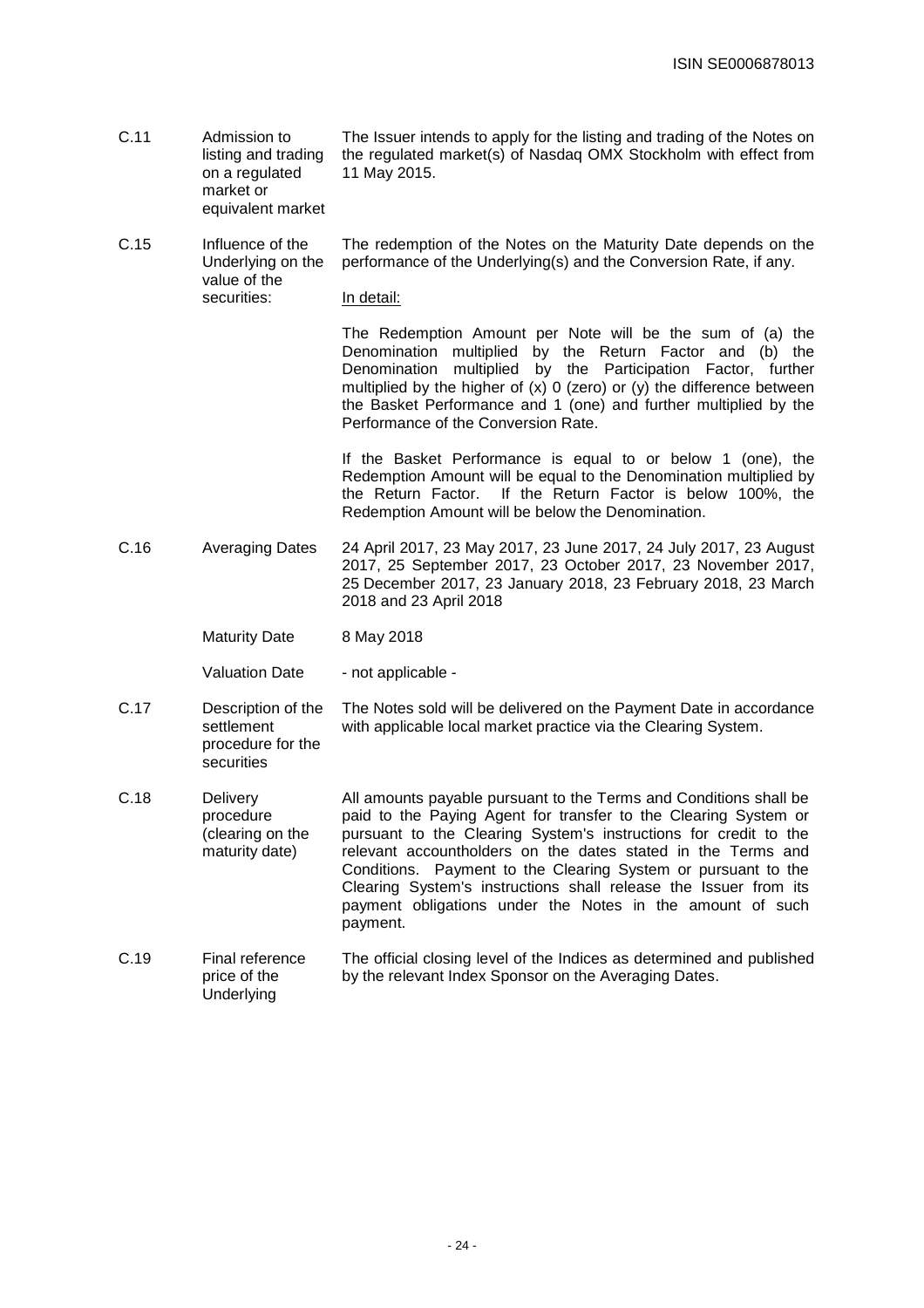- C.11 Admission to listing and trading on a regulated market or The Issuer intends to apply for the listing and trading of the Notes on the regulated market(s) of Nasdaq OMX Stockholm with effect from 11 May 2015.
- C.15 Influence of the Underlying on the value of the The redemption of the Notes on the Maturity Date depends on the performance of the Underlying(s) and the Conversion Rate, if any.

#### In detail:

equivalent market

securities:

The Redemption Amount per Note will be the sum of (a) the Denomination multiplied by the Return Factor and (b) the Denomination multiplied by the Participation Factor, further multiplied by the higher of  $(x)$  0 (zero) or  $(y)$  the difference between the Basket Performance and 1 (one) and further multiplied by the Performance of the Conversion Rate.

If the Basket Performance is equal to or below 1 (one), the Redemption Amount will be equal to the Denomination multiplied by the Return Factor. If the Return Factor is below 100%, the Redemption Amount will be below the Denomination.

C.16 Averaging Dates 24 April 2017, 23 May 2017, 23 June 2017, 24 July 2017, 23 August 2017, 25 September 2017, 23 October 2017, 23 November 2017, 25 December 2017, 23 January 2018, 23 February 2018, 23 March 2018 and 23 April 2018

> Maturity Date 8 May 2018

securities

Valuation Date - not applicable -

- C.17 Description of the settlement procedure for the The Notes sold will be delivered on the Payment Date in accordance with applicable local market practice via the Clearing System.
- C.18 Delivery procedure (clearing on the maturity date) All amounts payable pursuant to the Terms and Conditions shall be paid to the Paying Agent for transfer to the Clearing System or pursuant to the Clearing System's instructions for credit to the relevant accountholders on the dates stated in the Terms and Conditions. Payment to the Clearing System or pursuant to the Clearing System's instructions shall release the Issuer from its payment obligations under the Notes in the amount of such payment.

#### C.19 Final reference price of the **Underlying** The official closing level of the Indices as determined and published by the relevant Index Sponsor on the Averaging Dates.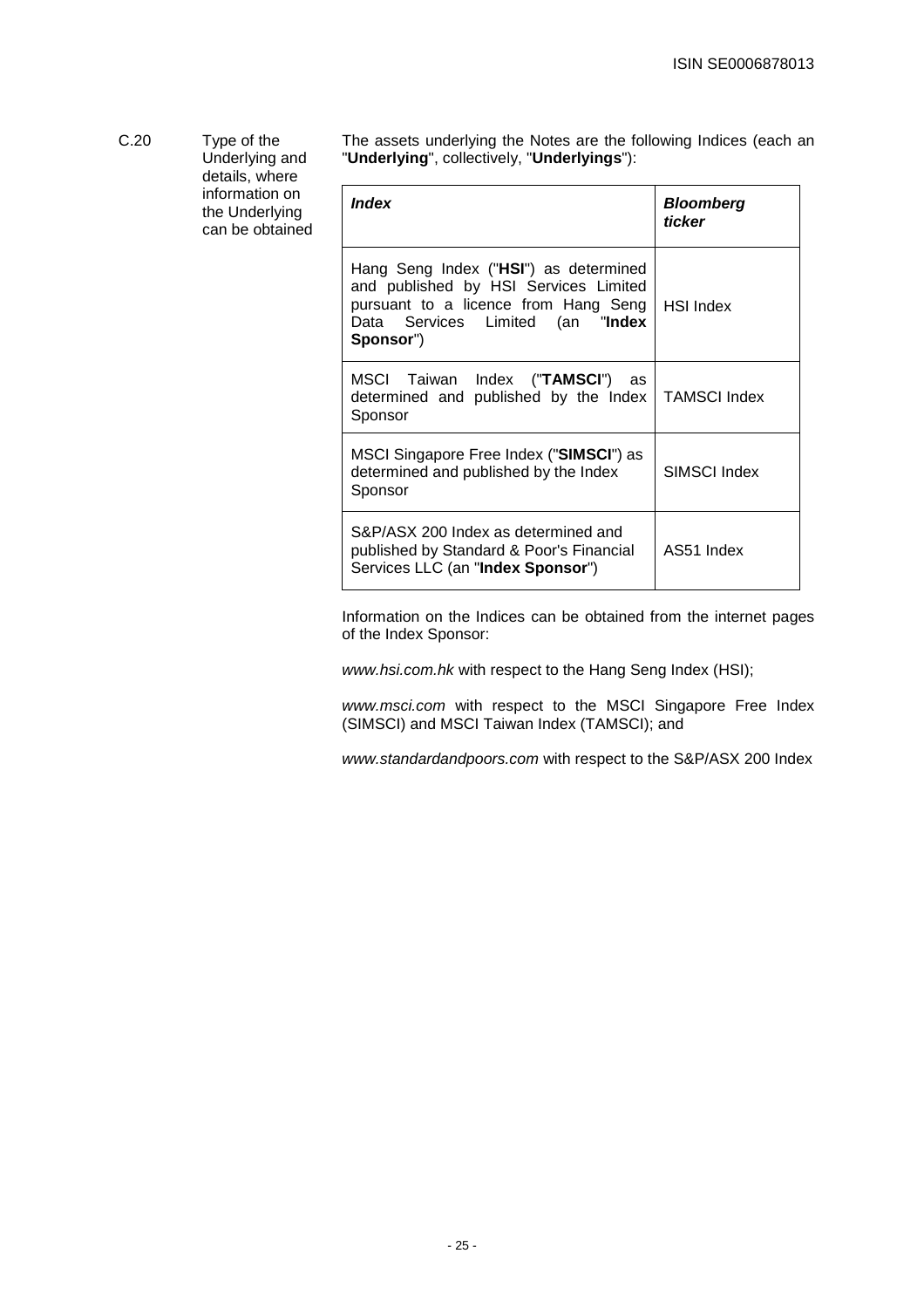C.20 Type of the The assets underlying the Notes are the following Indices (each an Underlying and "**Underlying**", collectively, "**Underlyings**"): details, where information on  $\overline{\phantom{a}}$ **Index** Bloomberg the Underlying **ticker**  can be obtained

| ınaex                                                                                                                                                                   | Bloomberg<br>ticker |
|-------------------------------------------------------------------------------------------------------------------------------------------------------------------------|---------------------|
| Hang Seng Index ("HSI") as determined<br>and published by HSI Services Limited<br>pursuant to a licence from Hang Seng<br>Data Services Limited (an "Index<br>Sponsor") | <b>HSI</b> Index    |
| MSCI Taiwan Index (" <b>TAMSCI</b> ")<br>as<br>determined and published by the Index<br>Sponsor                                                                         | <b>TAMSCI Index</b> |
| MSCI Singapore Free Index ("SIMSCI") as<br>determined and published by the Index<br>Sponsor                                                                             | SIMSCI Index        |
| S&P/ASX 200 Index as determined and<br>published by Standard & Poor's Financial<br>Services LLC (an "Index Sponsor")                                                    | AS51 Index          |

Information on the Indices can be obtained from the internet pages of the Index Sponsor:

www.hsi.com.hk with respect to the Hang Seng Index (HSI);

www.msci.com with respect to the MSCI Singapore Free Index (SIMSCI) and MSCI Taiwan Index (TAMSCI); and

www.standardandpoors.com with respect to the S&P/ASX 200 Index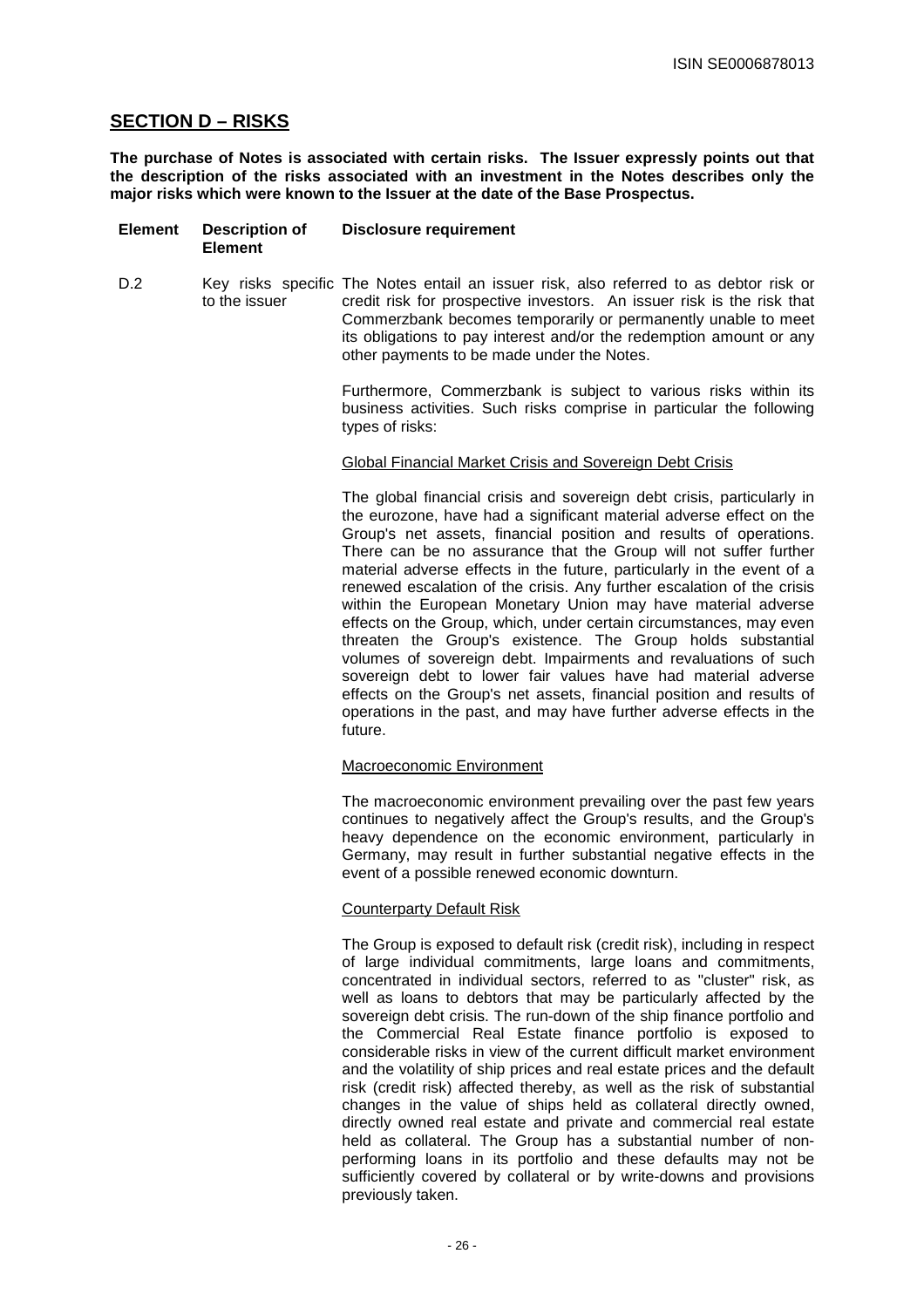# **SECTION D – RISKS**

**The purchase of Notes is associated with certain risks. The Issuer expressly points out that the description of the risks associated with an investment in the Notes describes only the major risks which were known to the Issuer at the date of the Base Prospectus.**

- **Element Description of Element Disclosure requirement**
- D.2 Key risks specific The Notes entail an issuer risk, also referred to as debtor risk or to the issuer credit risk for prospective investors. An issuer risk is the risk that Commerzbank becomes temporarily or permanently unable to meet its obligations to pay interest and/or the redemption amount or any other payments to be made under the Notes.

Furthermore, Commerzbank is subject to various risks within its business activities. Such risks comprise in particular the following types of risks:

#### Global Financial Market Crisis and Sovereign Debt Crisis

The global financial crisis and sovereign debt crisis, particularly in the eurozone, have had a significant material adverse effect on the Group's net assets, financial position and results of operations. There can be no assurance that the Group will not suffer further material adverse effects in the future, particularly in the event of a renewed escalation of the crisis. Any further escalation of the crisis within the European Monetary Union may have material adverse effects on the Group, which, under certain circumstances, may even threaten the Group's existence. The Group holds substantial volumes of sovereign debt. Impairments and revaluations of such sovereign debt to lower fair values have had material adverse effects on the Group's net assets, financial position and results of operations in the past, and may have further adverse effects in the future.

#### Macroeconomic Environment

The macroeconomic environment prevailing over the past few years continues to negatively affect the Group's results, and the Group's heavy dependence on the economic environment, particularly in Germany, may result in further substantial negative effects in the event of a possible renewed economic downturn.

# Counterparty Default Risk

The Group is exposed to default risk (credit risk), including in respect of large individual commitments, large loans and commitments, concentrated in individual sectors, referred to as "cluster" risk, as well as loans to debtors that may be particularly affected by the sovereign debt crisis. The run-down of the ship finance portfolio and the Commercial Real Estate finance portfolio is exposed to considerable risks in view of the current difficult market environment and the volatility of ship prices and real estate prices and the default risk (credit risk) affected thereby, as well as the risk of substantial changes in the value of ships held as collateral directly owned, directly owned real estate and private and commercial real estate held as collateral. The Group has a substantial number of nonperforming loans in its portfolio and these defaults may not be sufficiently covered by collateral or by write-downs and provisions previously taken.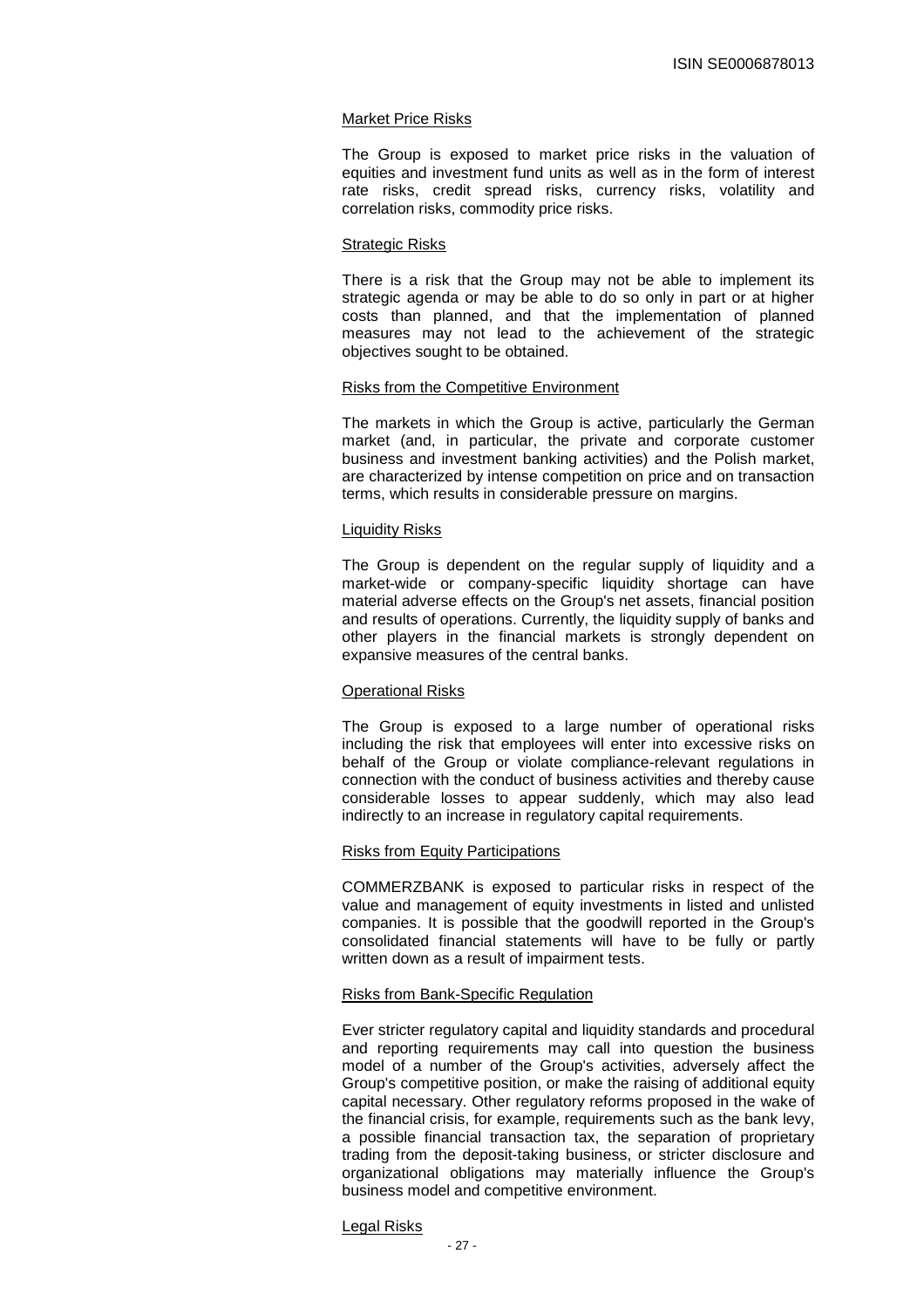#### Market Price Risks

The Group is exposed to market price risks in the valuation of equities and investment fund units as well as in the form of interest rate risks, credit spread risks, currency risks, volatility and correlation risks, commodity price risks.

#### Strategic Risks

There is a risk that the Group may not be able to implement its strategic agenda or may be able to do so only in part or at higher costs than planned, and that the implementation of planned measures may not lead to the achievement of the strategic objectives sought to be obtained.

#### Risks from the Competitive Environment

The markets in which the Group is active, particularly the German market (and, in particular, the private and corporate customer business and investment banking activities) and the Polish market, are characterized by intense competition on price and on transaction terms, which results in considerable pressure on margins.

#### Liquidity Risks

The Group is dependent on the regular supply of liquidity and a market-wide or company-specific liquidity shortage can have material adverse effects on the Group's net assets, financial position and results of operations. Currently, the liquidity supply of banks and other players in the financial markets is strongly dependent on expansive measures of the central banks.

# Operational Risks

The Group is exposed to a large number of operational risks including the risk that employees will enter into excessive risks on behalf of the Group or violate compliance-relevant regulations in connection with the conduct of business activities and thereby cause considerable losses to appear suddenly, which may also lead indirectly to an increase in regulatory capital requirements.

#### Risks from Equity Participations

COMMERZBANK is exposed to particular risks in respect of the value and management of equity investments in listed and unlisted companies. It is possible that the goodwill reported in the Group's consolidated financial statements will have to be fully or partly written down as a result of impairment tests.

#### Risks from Bank-Specific Regulation

Ever stricter regulatory capital and liquidity standards and procedural and reporting requirements may call into question the business model of a number of the Group's activities, adversely affect the Group's competitive position, or make the raising of additional equity capital necessary. Other regulatory reforms proposed in the wake of the financial crisis, for example, requirements such as the bank levy, a possible financial transaction tax, the separation of proprietary trading from the deposit-taking business, or stricter disclosure and organizational obligations may materially influence the Group's business model and competitive environment.

#### Legal Risks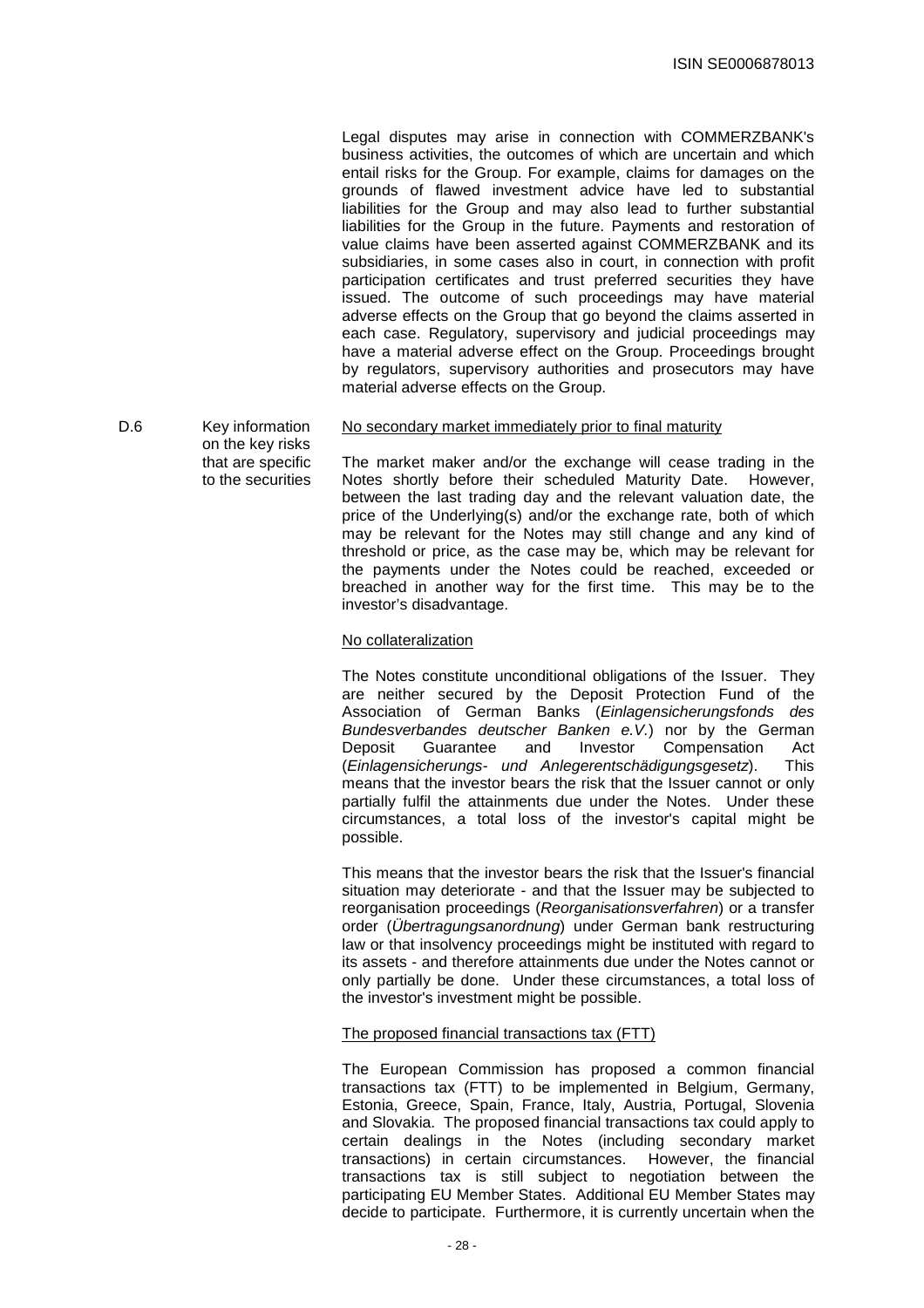Legal disputes may arise in connection with COMMERZBANK's business activities, the outcomes of which are uncertain and which entail risks for the Group. For example, claims for damages on the grounds of flawed investment advice have led to substantial liabilities for the Group and may also lead to further substantial liabilities for the Group in the future. Payments and restoration of value claims have been asserted against COMMERZBANK and its subsidiaries, in some cases also in court, in connection with profit participation certificates and trust preferred securities they have issued. The outcome of such proceedings may have material adverse effects on the Group that go beyond the claims asserted in each case. Regulatory, supervisory and judicial proceedings may have a material adverse effect on the Group. Proceedings brought by regulators, supervisory authorities and prosecutors may have material adverse effects on the Group.

D.6 Key information on the key risks that are specific No secondary market immediately prior to final maturity The market maker and/or the exchange will cease trading in the

to the securities

Notes shortly before their scheduled Maturity Date. However, between the last trading day and the relevant valuation date, the price of the Underlying(s) and/or the exchange rate, both of which may be relevant for the Notes may still change and any kind of threshold or price, as the case may be, which may be relevant for the payments under the Notes could be reached, exceeded or breached in another way for the first time. This may be to the investor's disadvantage.

### No collateralization

The Notes constitute unconditional obligations of the Issuer. They are neither secured by the Deposit Protection Fund of the Association of German Banks (Einlagensicherungsfonds des Bundesverbandes deutscher Banken e.V.) nor by the German Deposit Guarantee and Investor Compensation Act (Einlagensicherungs- und Anlegerentschädigungsgesetz). This means that the investor bears the risk that the Issuer cannot or only partially fulfil the attainments due under the Notes. Under these circumstances, a total loss of the investor's capital might be possible.

This means that the investor bears the risk that the Issuer's financial situation may deteriorate - and that the Issuer may be subjected to reorganisation proceedings (Reorganisationsverfahren) or a transfer order (Übertragungsanordnung) under German bank restructuring law or that insolvency proceedings might be instituted with regard to its assets - and therefore attainments due under the Notes cannot or only partially be done. Under these circumstances, a total loss of the investor's investment might be possible.

## The proposed financial transactions tax (FTT)

The European Commission has proposed a common financial transactions tax (FTT) to be implemented in Belgium, Germany, Estonia, Greece, Spain, France, Italy, Austria, Portugal, Slovenia and Slovakia. The proposed financial transactions tax could apply to certain dealings in the Notes (including secondary market transactions) in certain circumstances. However, the financial transactions) in certain circumstances. transactions tax is still subject to negotiation between the participating EU Member States. Additional EU Member States may decide to participate. Furthermore, it is currently uncertain when the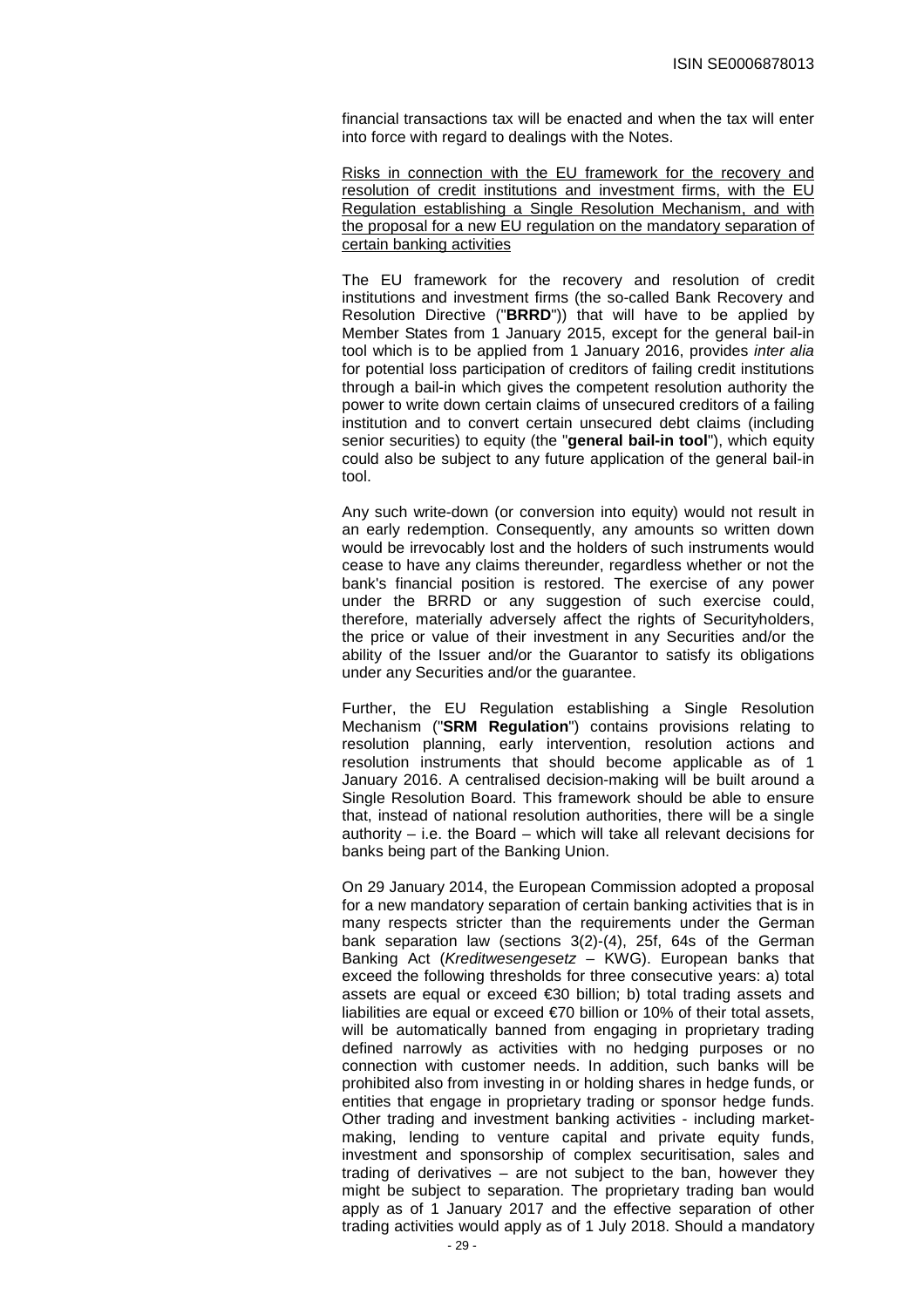financial transactions tax will be enacted and when the tax will enter into force with regard to dealings with the Notes.

Risks in connection with the EU framework for the recovery and resolution of credit institutions and investment firms, with the EU Regulation establishing a Single Resolution Mechanism, and with the proposal for a new EU regulation on the mandatory separation of certain banking activities

The EU framework for the recovery and resolution of credit institutions and investment firms (the so-called Bank Recovery and Resolution Directive ("**BRRD**")) that will have to be applied by Member States from 1 January 2015, except for the general bail-in tool which is to be applied from 1 January 2016, provides *inter alia* for potential loss participation of creditors of failing credit institutions through a bail-in which gives the competent resolution authority the power to write down certain claims of unsecured creditors of a failing institution and to convert certain unsecured debt claims (including senior securities) to equity (the "**general bail-in tool**"), which equity could also be subject to any future application of the general bail-in tool.

Any such write-down (or conversion into equity) would not result in an early redemption. Consequently, any amounts so written down would be irrevocably lost and the holders of such instruments would cease to have any claims thereunder, regardless whether or not the bank's financial position is restored. The exercise of any power under the BRRD or any suggestion of such exercise could, therefore, materially adversely affect the rights of Securityholders, the price or value of their investment in any Securities and/or the ability of the Issuer and/or the Guarantor to satisfy its obligations under any Securities and/or the guarantee.

Further, the EU Regulation establishing a Single Resolution Mechanism ("**SRM Regulation**") contains provisions relating to resolution planning, early intervention, resolution actions and resolution instruments that should become applicable as of 1 January 2016. A centralised decision-making will be built around a Single Resolution Board. This framework should be able to ensure that, instead of national resolution authorities, there will be a single authority  $-$  i.e. the Board  $-$  which will take all relevant decisions for banks being part of the Banking Union.

On 29 January 2014, the European Commission adopted a proposal for a new mandatory separation of certain banking activities that is in many respects stricter than the requirements under the German bank separation law (sections 3(2)-(4), 25f, 64s of the German Banking Act (Kreditwesengesetz – KWG). European banks that exceed the following thresholds for three consecutive years: a) total assets are equal or exceed €30 billion; b) total trading assets and liabilities are equal or exceed €70 billion or 10% of their total assets, will be automatically banned from engaging in proprietary trading defined narrowly as activities with no hedging purposes or no connection with customer needs. In addition, such banks will be prohibited also from investing in or holding shares in hedge funds, or entities that engage in proprietary trading or sponsor hedge funds. Other trading and investment banking activities - including marketmaking, lending to venture capital and private equity funds, investment and sponsorship of complex securitisation, sales and trading of derivatives – are not subject to the ban, however they might be subject to separation. The proprietary trading ban would apply as of 1 January 2017 and the effective separation of other trading activities would apply as of 1 July 2018. Should a mandatory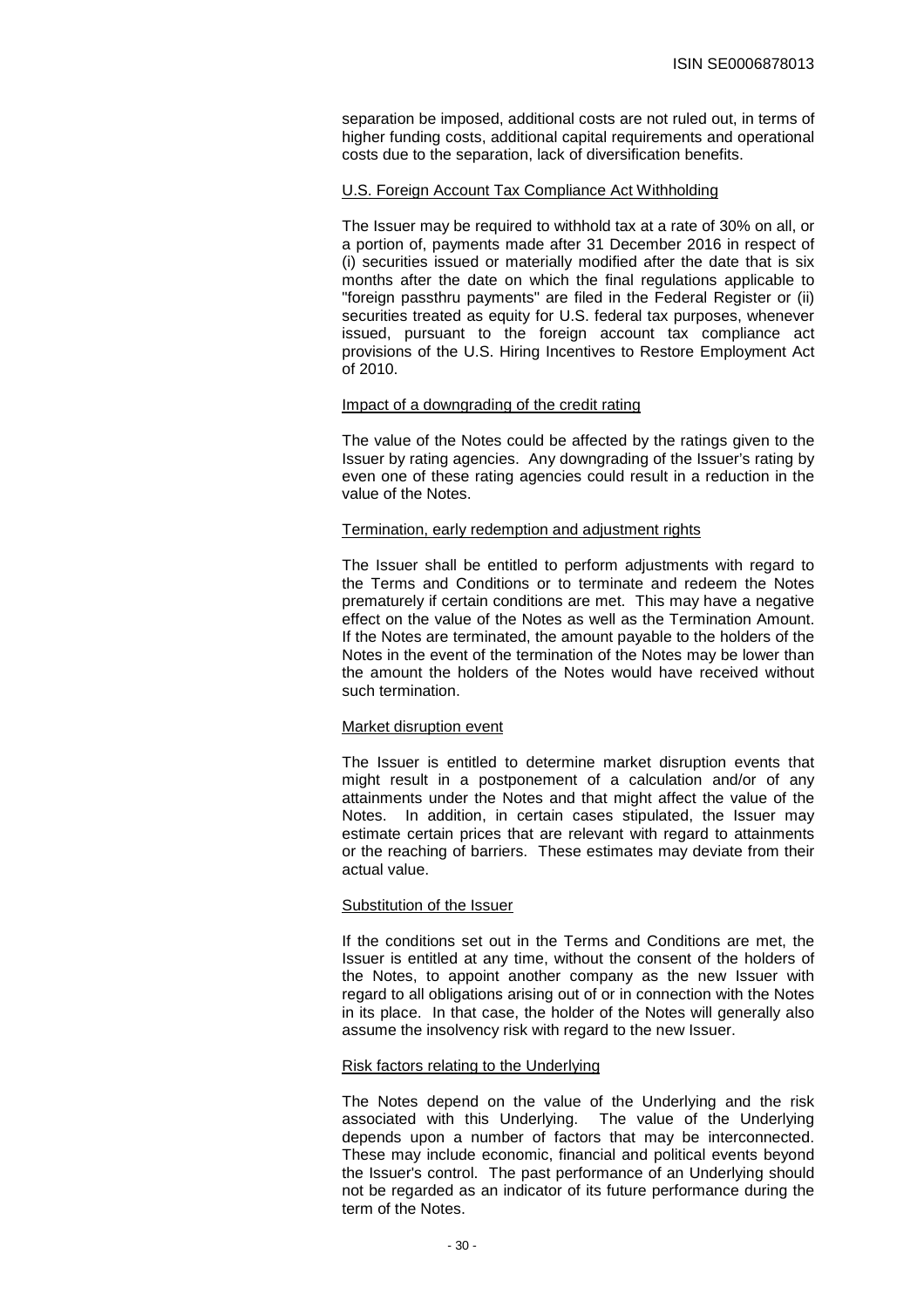separation be imposed, additional costs are not ruled out, in terms of higher funding costs, additional capital requirements and operational costs due to the separation, lack of diversification benefits.

## U.S. Foreign Account Tax Compliance Act Withholding

The Issuer may be required to withhold tax at a rate of 30% on all, or a portion of, payments made after 31 December 2016 in respect of (i) securities issued or materially modified after the date that is six months after the date on which the final regulations applicable to "foreign passthru payments" are filed in the Federal Register or (ii) securities treated as equity for U.S. federal tax purposes, whenever issued, pursuant to the foreign account tax compliance act provisions of the U.S. Hiring Incentives to Restore Employment Act of 2010.

#### Impact of a downgrading of the credit rating

The value of the Notes could be affected by the ratings given to the Issuer by rating agencies. Any downgrading of the Issuer's rating by even one of these rating agencies could result in a reduction in the value of the Notes.

# Termination, early redemption and adjustment rights

The Issuer shall be entitled to perform adjustments with regard to the Terms and Conditions or to terminate and redeem the Notes prematurely if certain conditions are met. This may have a negative effect on the value of the Notes as well as the Termination Amount. If the Notes are terminated, the amount payable to the holders of the Notes in the event of the termination of the Notes may be lower than the amount the holders of the Notes would have received without such termination.

## Market disruption event

The Issuer is entitled to determine market disruption events that might result in a postponement of a calculation and/or of any attainments under the Notes and that might affect the value of the Notes. In addition, in certain cases stipulated, the Issuer may estimate certain prices that are relevant with regard to attainments or the reaching of barriers. These estimates may deviate from their actual value.

## Substitution of the Issuer

If the conditions set out in the Terms and Conditions are met, the Issuer is entitled at any time, without the consent of the holders of the Notes, to appoint another company as the new Issuer with regard to all obligations arising out of or in connection with the Notes in its place. In that case, the holder of the Notes will generally also assume the insolvency risk with regard to the new Issuer.

## Risk factors relating to the Underlying

The Notes depend on the value of the Underlying and the risk associated with this Underlying. The value of the Underlying depends upon a number of factors that may be interconnected. These may include economic, financial and political events beyond the Issuer's control. The past performance of an Underlying should not be regarded as an indicator of its future performance during the term of the Notes.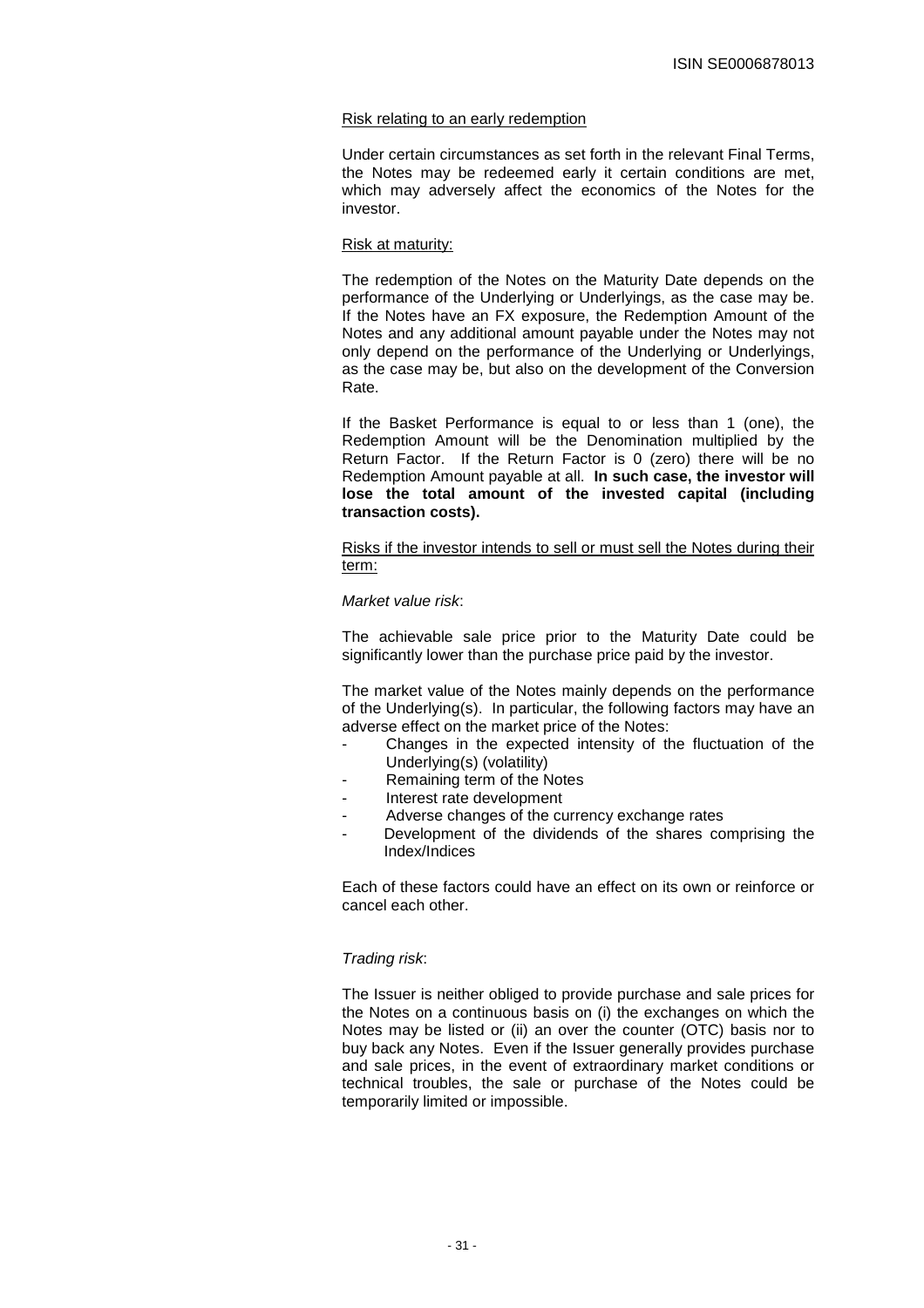#### Risk relating to an early redemption

Under certain circumstances as set forth in the relevant Final Terms, the Notes may be redeemed early it certain conditions are met, which may adversely affect the economics of the Notes for the investor.

#### Risk at maturity:

The redemption of the Notes on the Maturity Date depends on the performance of the Underlying or Underlyings, as the case may be. If the Notes have an FX exposure, the Redemption Amount of the Notes and any additional amount payable under the Notes may not only depend on the performance of the Underlying or Underlyings, as the case may be, but also on the development of the Conversion Rate.

If the Basket Performance is equal to or less than 1 (one), the Redemption Amount will be the Denomination multiplied by the Return Factor. If the Return Factor is 0 (zero) there will be no Redemption Amount payable at all. **In such case, the investor will lose the total amount of the invested capital (including transaction costs).** 

Risks if the investor intends to sell or must sell the Notes during their term:

#### Market value risk:

The achievable sale price prior to the Maturity Date could be significantly lower than the purchase price paid by the investor.

The market value of the Notes mainly depends on the performance of the Underlying(s). In particular, the following factors may have an adverse effect on the market price of the Notes:

- Changes in the expected intensity of the fluctuation of the Underlying(s) (volatility)
- Remaining term of the Notes
- Interest rate development
- Adverse changes of the currency exchange rates
- Development of the dividends of the shares comprising the Index/Indices

Each of these factors could have an effect on its own or reinforce or cancel each other.

#### Trading risk:

The Issuer is neither obliged to provide purchase and sale prices for the Notes on a continuous basis on (i) the exchanges on which the Notes may be listed or (ii) an over the counter (OTC) basis nor to buy back any Notes. Even if the Issuer generally provides purchase and sale prices, in the event of extraordinary market conditions or technical troubles, the sale or purchase of the Notes could be temporarily limited or impossible.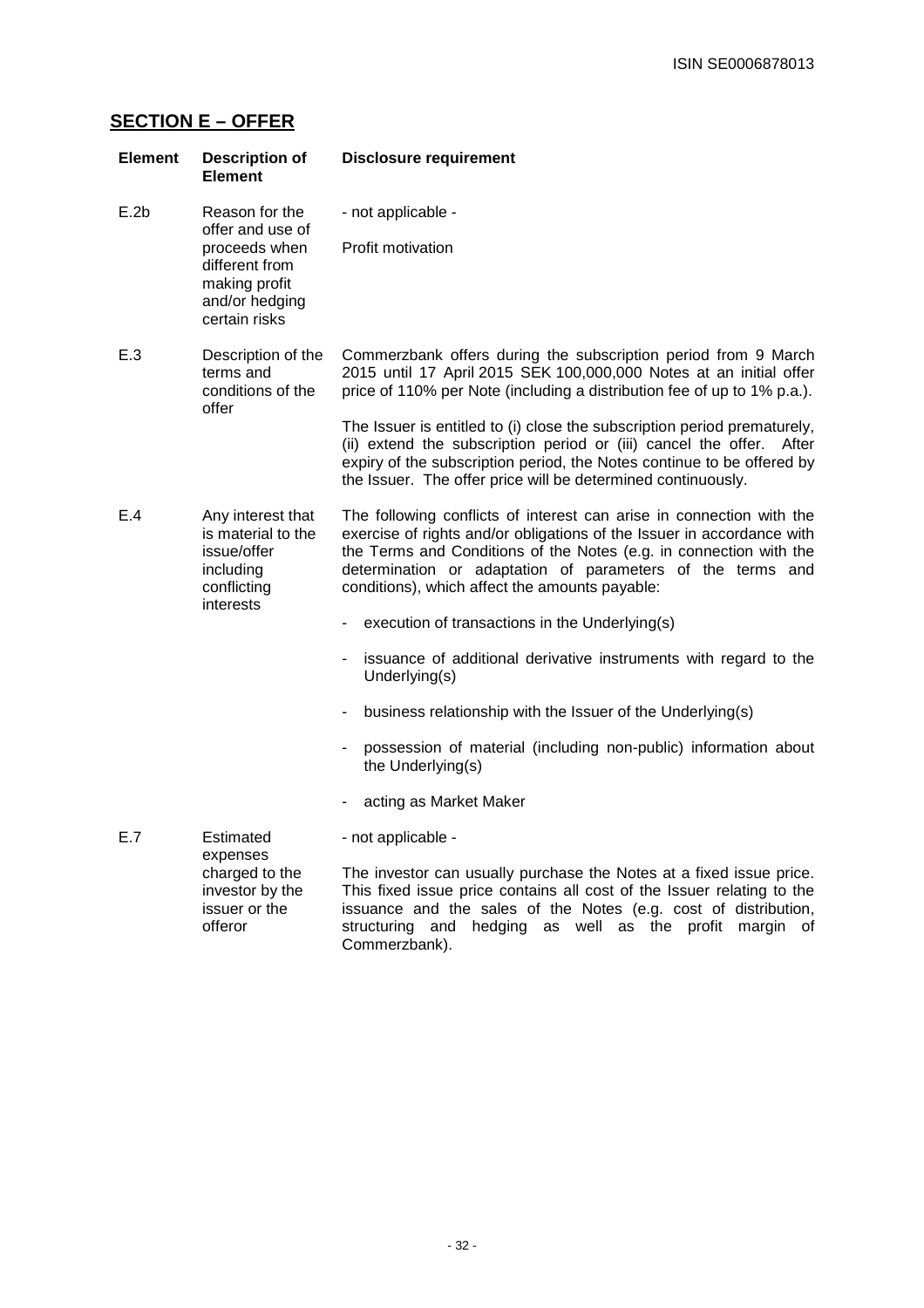# **SECTION E – OFFER**

| <b>Element</b> | <b>Description of</b><br><b>Element</b>                                                                                   | <b>Disclosure requirement</b>                                                                                                                                                                                                                                                                                                        |
|----------------|---------------------------------------------------------------------------------------------------------------------------|--------------------------------------------------------------------------------------------------------------------------------------------------------------------------------------------------------------------------------------------------------------------------------------------------------------------------------------|
| E.2b           | Reason for the<br>offer and use of<br>proceeds when<br>different from<br>making profit<br>and/or hedging<br>certain risks | - not applicable -                                                                                                                                                                                                                                                                                                                   |
|                |                                                                                                                           | Profit motivation                                                                                                                                                                                                                                                                                                                    |
| E.3            | Description of the<br>terms and<br>conditions of the<br>offer                                                             | Commerzbank offers during the subscription period from 9 March<br>2015 until 17 April 2015 SEK 100,000,000 Notes at an initial offer<br>price of 110% per Note (including a distribution fee of up to 1% p.a.).                                                                                                                      |
|                |                                                                                                                           | The Issuer is entitled to (i) close the subscription period prematurely,<br>(ii) extend the subscription period or (iii) cancel the offer. After<br>expiry of the subscription period, the Notes continue to be offered by<br>the Issuer. The offer price will be determined continuously.                                           |
| E.4            | Any interest that<br>is material to the<br>issue/offer<br>including<br>conflicting<br>interests                           | The following conflicts of interest can arise in connection with the<br>exercise of rights and/or obligations of the Issuer in accordance with<br>the Terms and Conditions of the Notes (e.g. in connection with the<br>determination or adaptation of parameters of the terms and<br>conditions), which affect the amounts payable: |
|                |                                                                                                                           | execution of transactions in the Underlying(s)                                                                                                                                                                                                                                                                                       |
|                |                                                                                                                           | issuance of additional derivative instruments with regard to the<br>Underlying(s)                                                                                                                                                                                                                                                    |
|                |                                                                                                                           | business relationship with the Issuer of the Underlying(s)                                                                                                                                                                                                                                                                           |
|                |                                                                                                                           | possession of material (including non-public) information about<br>the Underlying(s)                                                                                                                                                                                                                                                 |
|                |                                                                                                                           | acting as Market Maker                                                                                                                                                                                                                                                                                                               |
| E.7            | Estimated<br>expenses<br>charged to the<br>investor by the<br>issuer or the<br>offeror                                    | - not applicable -                                                                                                                                                                                                                                                                                                                   |
|                |                                                                                                                           | The investor can usually purchase the Notes at a fixed issue price.<br>This fixed issue price contains all cost of the Issuer relating to the<br>issuance and the sales of the Notes (e.g. cost of distribution,<br>hedging as well as the profit margin<br>structuring<br>and<br>ot<br>Commerzbank).                                |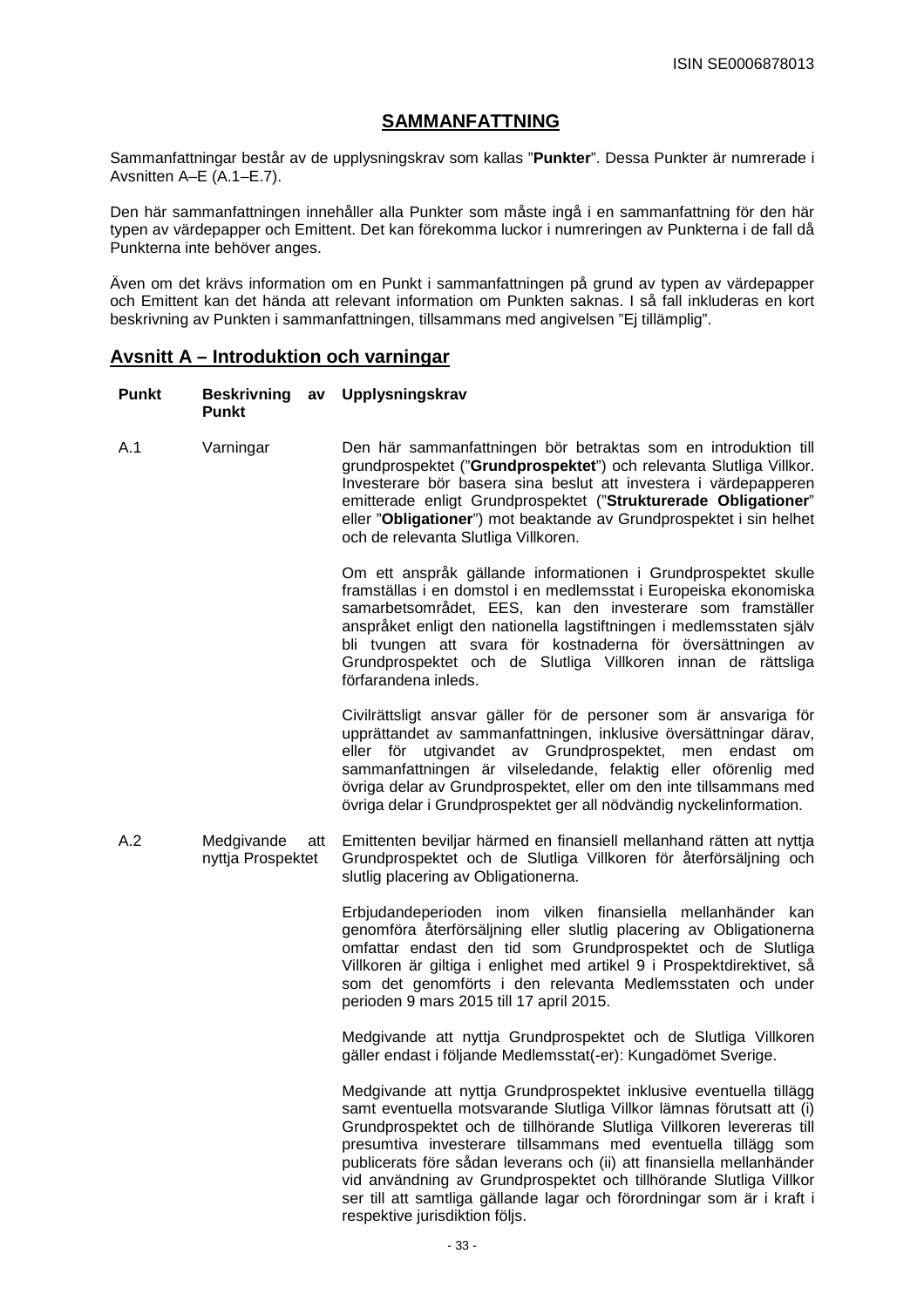# **SAMMANFATTNING**

Sammanfattningar består av de upplysningskrav som kallas "**Punkter**". Dessa Punkter är numrerade i Avsnitten A–E (A.1–E.7).

Den här sammanfattningen innehåller alla Punkter som måste ingå i en sammanfattning för den här typen av värdepapper och Emittent. Det kan förekomma luckor i numreringen av Punkterna i de fall då Punkterna inte behöver anges.

Även om det krävs information om en Punkt i sammanfattningen på grund av typen av värdepapper och Emittent kan det hända att relevant information om Punkten saknas. I så fall inkluderas en kort beskrivning av Punkten i sammanfattningen, tillsammans med angivelsen "Ej tillämplig".

# **Avsnitt A – Introduktion och varningar**

| <b>Punkt</b> | <b>Beskrivning</b><br>av<br><b>Punkt</b> | Upplysningskrav                                                                                                                                                                                                                                                                                                                                                                                                                                                                                                                                 |
|--------------|------------------------------------------|-------------------------------------------------------------------------------------------------------------------------------------------------------------------------------------------------------------------------------------------------------------------------------------------------------------------------------------------------------------------------------------------------------------------------------------------------------------------------------------------------------------------------------------------------|
| A.1          | Varningar                                | Den här sammanfattningen bör betraktas som en introduktion till<br>grundprospektet ("Grundprospektet") och relevanta Slutliga Villkor.<br>Investerare bör basera sina beslut att investera i värdepapperen<br>emitterade enligt Grundprospektet ("Strukturerade Obligationer"<br>eller "Obligationer") mot beaktande av Grundprospektet i sin helhet<br>och de relevanta Slutliga Villkoren.                                                                                                                                                    |
|              |                                          | Om ett anspråk gällande informationen i Grundprospektet skulle<br>framställas i en domstol i en medlemsstat i Europeiska ekonomiska<br>samarbetsområdet, EES, kan den investerare som framställer<br>anspråket enligt den nationella lagstiftningen i medlemsstaten själv<br>bli tvungen att svara för kostnaderna för översättningen av<br>Grundprospektet och de Slutliga Villkoren innan de rättsliga<br>förfarandena inleds.                                                                                                                |
|              |                                          | Civilrättsligt ansvar gäller för de personer som är ansvariga för<br>upprättandet av sammanfattningen, inklusive översättningar därav,<br>eller för utgivandet av Grundprospektet, men endast om<br>sammanfattningen är vilseledande, felaktig eller oförenlig med<br>övriga delar av Grundprospektet, eller om den inte tillsammans med<br>övriga delar i Grundprospektet ger all nödvändig nyckelinformation.                                                                                                                                 |
| A.2          | Medgivande<br>att<br>nyttja Prospektet   | Emittenten beviljar härmed en finansiell mellanhand rätten att nyttja<br>Grundprospektet och de Slutliga Villkoren för återförsäljning och<br>slutlig placering av Obligationerna.                                                                                                                                                                                                                                                                                                                                                              |
|              |                                          | Erbjudandeperioden inom vilken finansiella mellanhänder kan<br>genomföra återförsäljning eller slutlig placering av Obligationerna<br>omfattar endast den tid som Grundprospektet och de Slutliga<br>Villkoren är giltiga i enlighet med artikel 9 i Prospektdirektivet, så<br>som det genomförts i den relevanta Medlemsstaten och under<br>perioden 9 mars 2015 till 17 april 2015.                                                                                                                                                           |
|              |                                          | Medgivande att nyttja Grundprospektet och de Slutliga Villkoren<br>gäller endast i följande Medlemsstat(-er): Kungadömet Sverige.                                                                                                                                                                                                                                                                                                                                                                                                               |
|              |                                          | Medgivande att nyttja Grundprospektet inklusive eventuella tillägg<br>samt eventuella motsvarande Slutliga Villkor lämnas förutsatt att (i)<br>Grundprospektet och de tillhörande Slutliga Villkoren levereras till<br>presumtiva investerare tillsammans med eventuella tillägg som<br>publicerats före sådan leverans och (ii) att finansiella mellanhänder<br>vid användning av Grundprospektet och tillhörande Slutliga Villkor<br>ser till att samtliga gällande lagar och förordningar som är i kraft i<br>respektive jurisdiktion följs. |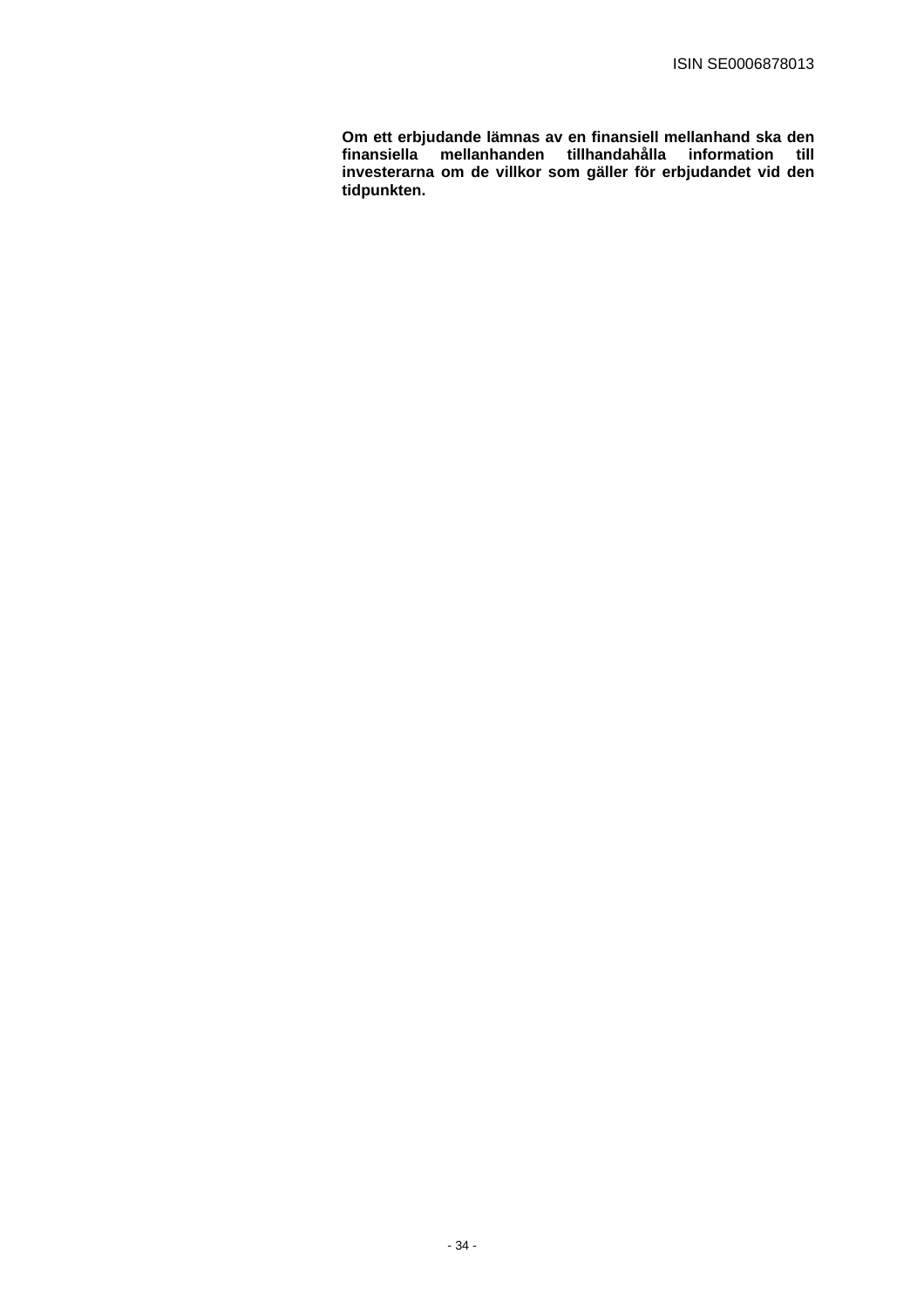**Om ett erbjudande lämnas av en finansiell mellanhand ska den finansiella mellanhanden tillhandahålla information till investerarna om de villkor som gäller för erbjudandet vid den tidpunkten.**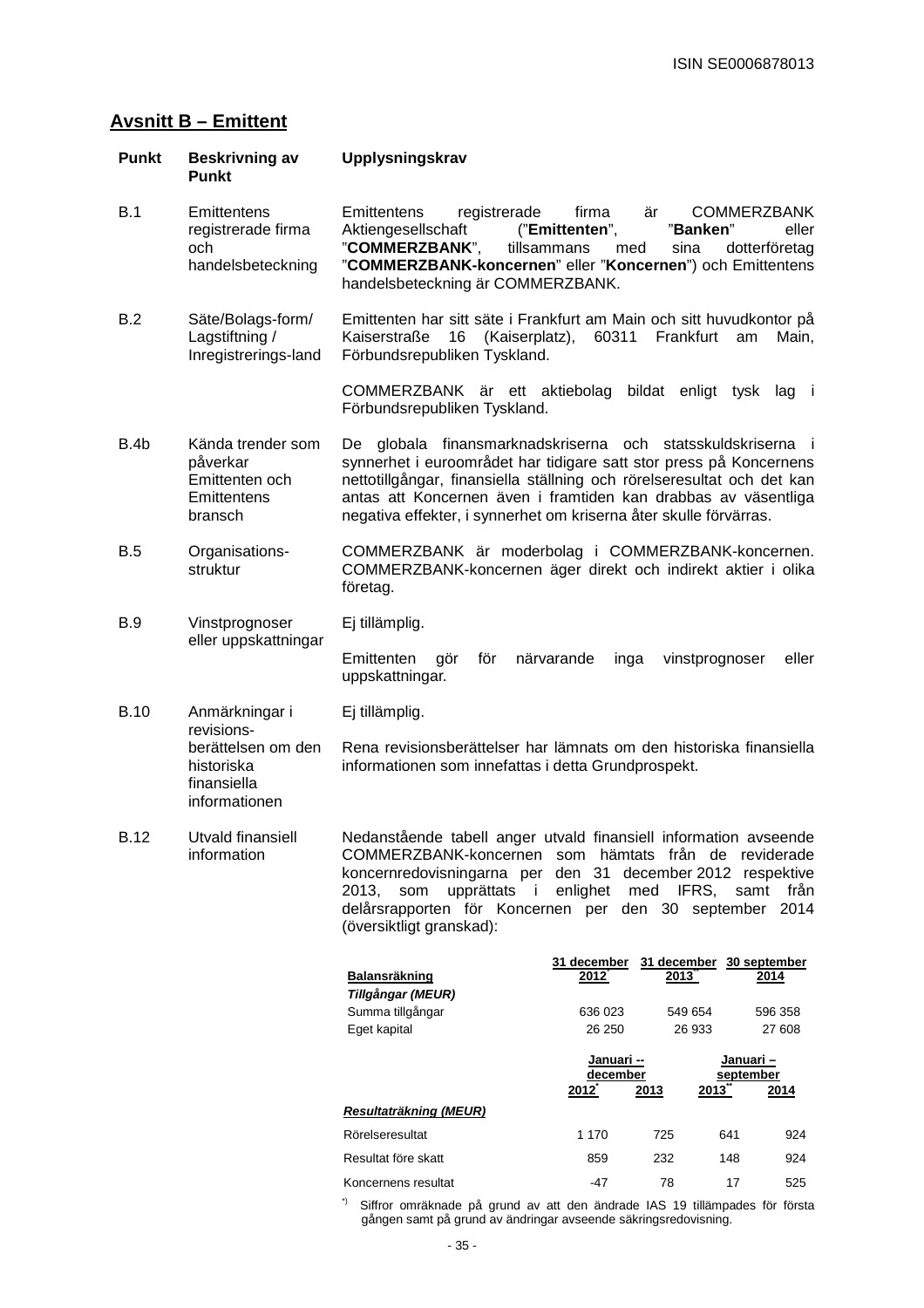# **Avsnitt B – Emittent**

| Punkt       | <b>Beskrivning av</b><br><b>Punkt</b>                                     | Upplysningskrav                                                                                                                                                                                                                                                                                                                                       |
|-------------|---------------------------------------------------------------------------|-------------------------------------------------------------------------------------------------------------------------------------------------------------------------------------------------------------------------------------------------------------------------------------------------------------------------------------------------------|
| <b>B.1</b>  | Emittentens<br>registrerade firma<br>och<br>handelsbeteckning             | firma<br>är<br><b>COMMERZBANK</b><br>Emittentens<br>registrerade<br>"Banken"<br>Aktiengesellschaft<br>("Emittenten",<br>eller<br>"COMMERZBANK",<br>tillsammans<br>sina<br>med<br>dotterföretag<br>"COMMERZBANK-koncernen" eller "Koncernen") och Emittentens<br>handelsbeteckning är COMMERZBANK.                                                     |
| B.2         | Säte/Bolags-form/<br>Lagstiftning /<br>Inregistrerings-land               | Emittenten har sitt säte i Frankfurt am Main och sitt huvudkontor på<br>Frankfurt<br>Kaiserstraße<br>16<br>(Kaiserplatz),<br>60311<br>am<br>Main,<br>Förbundsrepubliken Tyskland.                                                                                                                                                                     |
|             |                                                                           | COMMERZBANK är ett aktiebolag bildat enligt tysk lag i<br>Förbundsrepubliken Tyskland.                                                                                                                                                                                                                                                                |
| B.4b        | Kända trender som<br>påverkar<br>Emittenten och<br>Emittentens<br>bransch | globala finansmarknadskriserna och statsskuldskriserna i<br>De<br>synnerhet i euroområdet har tidigare satt stor press på Koncernens<br>nettotillgångar, finansiella ställning och rörelseresultat och det kan<br>antas att Koncernen även i framtiden kan drabbas av väsentliga<br>negativa effekter, i synnerhet om kriserna åter skulle förvärras. |
| B.5         | Organisations-<br>struktur                                                | COMMERZBANK är moderbolag i COMMERZBANK-koncernen.<br>COMMERZBANK-koncernen äger direkt och indirekt aktier i olika<br>företag.                                                                                                                                                                                                                       |
| B.9         | Vinstprognoser<br>eller uppskattningar                                    | Ej tillämplig.                                                                                                                                                                                                                                                                                                                                        |
|             |                                                                           | Emittenten<br>gör<br>för<br>närvarande<br>vinstprognoser<br>eller<br>inga<br>uppskattningar.                                                                                                                                                                                                                                                          |
| <b>B.10</b> | Anmärkningar i<br>revisions-                                              | Ej tillämplig.                                                                                                                                                                                                                                                                                                                                        |
|             | berättelsen om den<br>historiska<br>finansiella<br>informationen          | Rena revisionsberättelser har lämnats om den historiska finansiella<br>informationen som innefattas i detta Grundprospekt.                                                                                                                                                                                                                            |
| <b>B.12</b> | Utvald finansiell<br>information                                          | Nedanstående tabell anger utvald finansiell information avseende<br>COMMERZBANK-koncernen som hämtats från de reviderade<br>koncernredovisningarna per den 31 december 2012 respektive<br>enlighet<br>IFRS,<br>2013.<br>som<br>upprättats i<br>med<br>samt<br>från<br>delårsrapporten för Koncernen per den 30 september 2014                         |

|                        | 31 december            | 31 december  | 30 september           |
|------------------------|------------------------|--------------|------------------------|
| <b>Balansräkning</b>   | $2012^{-}$             | 2013         | 2014                   |
| Tillgångar (MEUR)      |                        |              |                        |
| Summa tillgångar       | 636 023                | 549 654      | 596 358                |
| Eget kapital           | 26 250                 | 26 933       | 27 608                 |
|                        |                        |              |                        |
|                        | Januari --<br>december |              | Januari –<br>september |
|                        | 2012                   | 2013<br>2013 | 2014                   |
| Resultaträkning (MEUR) |                        |              |                        |
| Rörelseresultat        | 1 1 7 0                | 725          | 641<br>924             |
| Resultat före skatt    | 859                    | 232          | 924<br>148             |
| Koncernens resultat    | -47                    | 78           | 525<br>17              |

\*) Siffror omräknade på grund av att den ändrade IAS 19 tillämpades för första gången samt på grund av ändringar avseende säkringsredovisning.

(översiktligt granskad):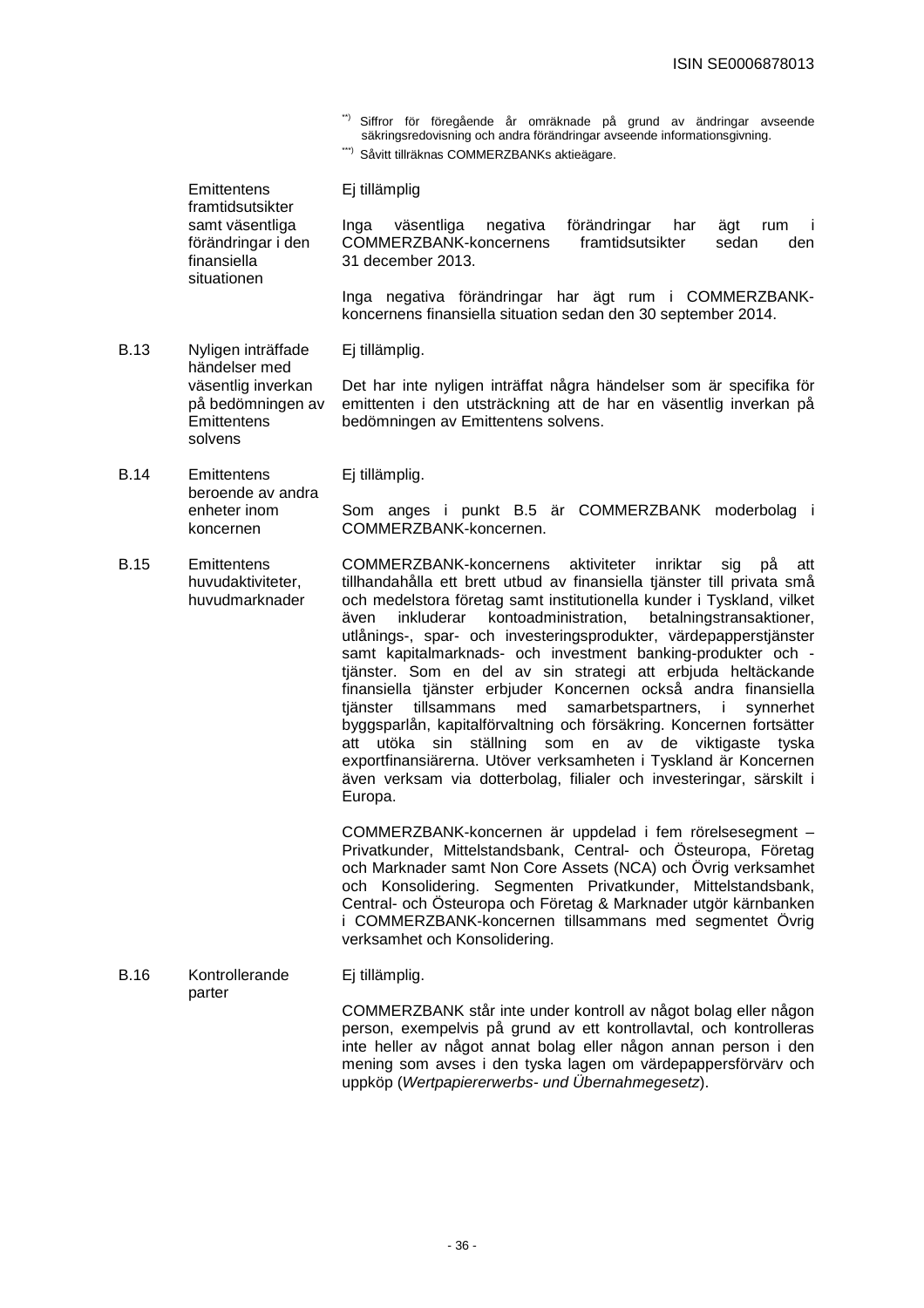- \*\*) Siffror för föregående år omräknade på grund av ändringar avseende säkringsredovisning och andra förändringar avseende informationsgivning.
- \*\*\*) Såvitt tillräknas COMMERZBANKs aktieägare.

| Emittentens<br>framtidsutsikter                                     | Ej tillämplig                                                                                                                                          |
|---------------------------------------------------------------------|--------------------------------------------------------------------------------------------------------------------------------------------------------|
| samt väsentliga<br>förändringar i den<br>finansiella<br>situationen | förändringar<br>väsentliga<br>ägt<br>negativa<br>har<br>Inga<br>rum<br>COMMERZBANK-koncernens<br>framtidsutsikter<br>sedan<br>den<br>31 december 2013. |

Inga negativa förändringar har ägt rum i COMMERZBANKkoncernens finansiella situation sedan den 30 september 2014.

B.13 Nyligen inträffade händelser med Ej tillämplig.

> väsentlig inverkan på bedömningen av **Emittentens** solvens Det har inte nyligen inträffat några händelser som är specifika för emittenten i den utsträckning att de har en väsentlig inverkan på bedömningen av Emittentens solvens.

B.14 Emittentens beroende av andra Ej tillämplig.

> enheter inom koncernen

Som anges i punkt B.5 är COMMERZBANK moderbolag i COMMERZBANK-koncernen.

B.15 Emittentens huvudaktiviteter, huvudmarknader COMMERZBANK-koncernens aktiviteter inriktar sig på att tillhandahålla ett brett utbud av finansiella tjänster till privata små och medelstora företag samt institutionella kunder i Tyskland, vilket även inkluderar kontoadministration, betalningstransaktioner, utlånings-, spar- och investeringsprodukter, värdepapperstjänster samt kapitalmarknads- och investment banking-produkter och tjänster. Som en del av sin strategi att erbjuda heltäckande finansiella tjänster erbjuder Koncernen också andra finansiella tjänster tillsammans med samarbetspartners, i synnerhet byggsparlån, kapitalförvaltning och försäkring. Koncernen fortsätter att utöka sin ställning som en av de viktigaste tyska exportfinansiärerna. Utöver verksamheten i Tyskland är Koncernen även verksam via dotterbolag, filialer och investeringar, särskilt i Europa.

> COMMERZBANK-koncernen är uppdelad i fem rörelsesegment – Privatkunder, Mittelstandsbank, Central- och Östeuropa, Företag och Marknader samt Non Core Assets (NCA) och Övrig verksamhet och Konsolidering. Segmenten Privatkunder, Mittelstandsbank, Central- och Östeuropa och Företag & Marknader utgör kärnbanken i COMMERZBANK-koncernen tillsammans med segmentet Övrig verksamhet och Konsolidering.

B.16 Kontrollerande parter Ej tillämplig. COMMERZBANK står inte under kontroll av något bolag eller någon person, exempelvis på grund av ett kontrollavtal, och kontrolleras inte heller av något annat bolag eller någon annan person i den mening som avses i den tyska lagen om värdepappersförvärv och uppköp (Wertpapiererwerbs- und Übernahmegesetz).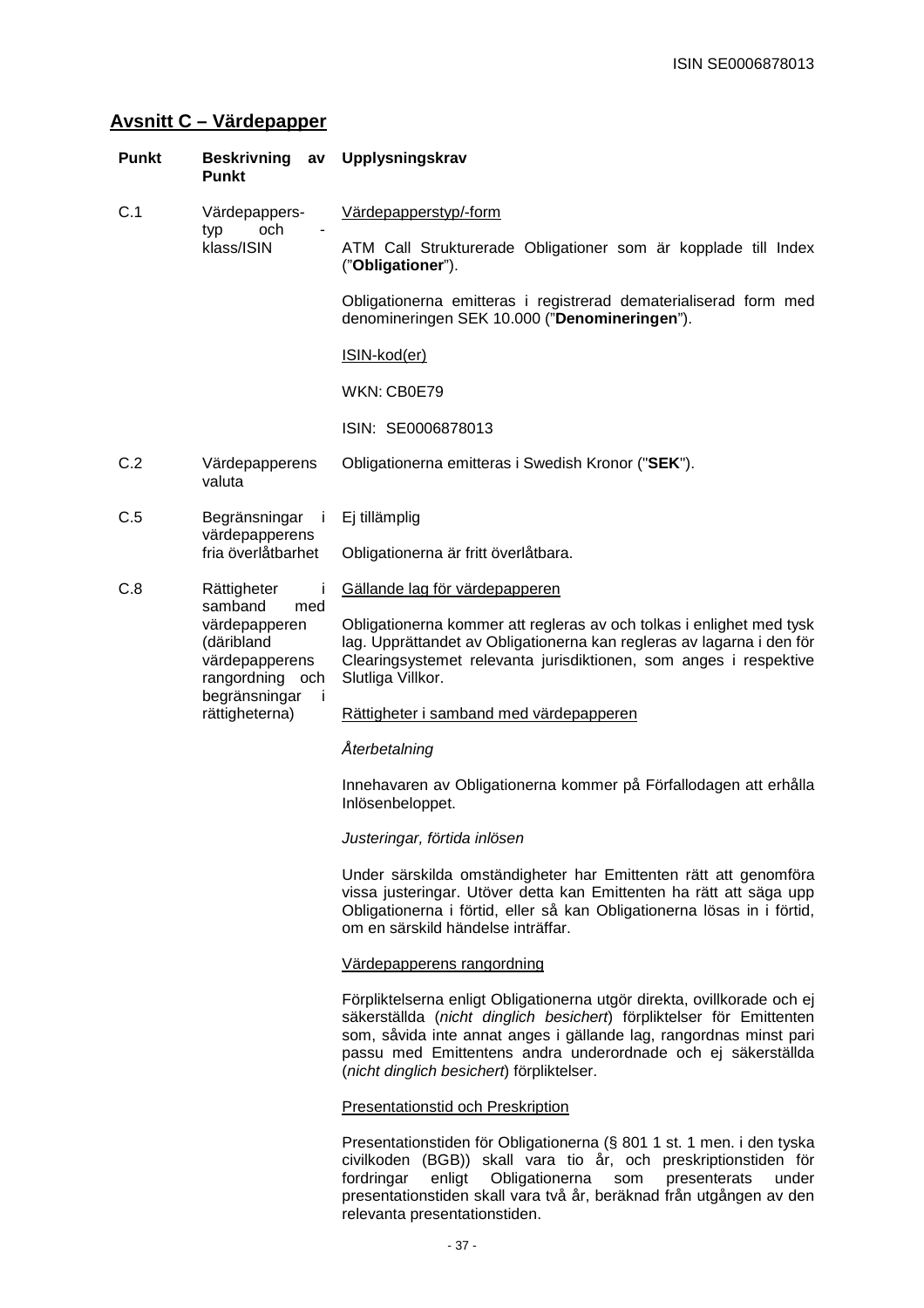# **Avsnitt C – Värdepapper**

| <b>Punkt</b> | <b>Beskrivning</b><br><b>Punkt</b>                                                 | Upplysningskrav<br>av                                                                                                                                                                                                                                                                                                              |
|--------------|------------------------------------------------------------------------------------|------------------------------------------------------------------------------------------------------------------------------------------------------------------------------------------------------------------------------------------------------------------------------------------------------------------------------------|
| C.1          | Värdepappers-                                                                      | Värdepapperstyp/-form                                                                                                                                                                                                                                                                                                              |
|              | och<br>typ<br>klass/ISIN                                                           | ATM Call Strukturerade Obligationer som är kopplade till Index<br>("Obligationer").                                                                                                                                                                                                                                                |
|              |                                                                                    | Obligationerna emitteras i registrerad dematerialiserad form med<br>denomineringen SEK 10.000 ("Denomineringen").                                                                                                                                                                                                                  |
|              |                                                                                    | ISIN-kod(er)                                                                                                                                                                                                                                                                                                                       |
|              |                                                                                    | WKN: CB0E79                                                                                                                                                                                                                                                                                                                        |
|              |                                                                                    | ISIN: SE0006878013                                                                                                                                                                                                                                                                                                                 |
| C.2          | Värdepapperens<br>valuta                                                           | Obligationerna emitteras i Swedish Kronor ("SEK").                                                                                                                                                                                                                                                                                 |
| C.5          | Begränsningar                                                                      | Ej tillämplig<br>j.                                                                                                                                                                                                                                                                                                                |
|              | värdepapperens<br>fria överlåtbarhet                                               | Obligationerna är fritt överlåtbara.                                                                                                                                                                                                                                                                                               |
| C.8          | Rättigheter                                                                        | Gällande lag för värdepapperen                                                                                                                                                                                                                                                                                                     |
|              | samband<br>med<br>värdepapperen<br>(däribland<br>värdepapperens<br>rangordning och | Obligationerna kommer att regleras av och tolkas i enlighet med tysk<br>lag. Upprättandet av Obligationerna kan regleras av lagarna i den för<br>Clearingsystemet relevanta jurisdiktionen, som anges i respektive<br>Slutliga Villkor.                                                                                            |
|              | begränsningar<br>rättigheterna)                                                    | -i<br>Rättigheter i samband med värdepapperen                                                                                                                                                                                                                                                                                      |
|              |                                                                                    | Återbetalning                                                                                                                                                                                                                                                                                                                      |
|              |                                                                                    | Innehavaren av Obligationerna kommer på Förfallodagen att erhålla<br>Inlösenbeloppet.                                                                                                                                                                                                                                              |
|              |                                                                                    | Justeringar, förtida inlösen                                                                                                                                                                                                                                                                                                       |
|              |                                                                                    | Under särskilda omständigheter har Emittenten rätt att genomföra<br>vissa justeringar. Utöver detta kan Emittenten ha rätt att säga upp<br>Obligationerna i förtid, eller så kan Obligationerna lösas in i förtid,<br>om en särskild händelse inträffar.                                                                           |
|              |                                                                                    | Värdepapperens rangordning                                                                                                                                                                                                                                                                                                         |
|              |                                                                                    | Förpliktelserna enligt Obligationerna utgör direkta, ovillkorade och ej<br>säkerställda (nicht dinglich besichert) förpliktelser för Emittenten<br>som, såvida inte annat anges i gällande lag, rangordnas minst pari<br>passu med Emittentens andra underordnade och ej säkerställda<br>(nicht dinglich besichert) förpliktelser. |
|              |                                                                                    | <b>Presentationstid och Preskription</b>                                                                                                                                                                                                                                                                                           |
|              |                                                                                    | Presentationstiden för Obligationerna (§ 801 1 st. 1 men. i den tyska<br>civilkoden (BGB)) skall vara tio år, och preskriptionstiden för<br>fordringar<br>enligt<br>Obligationerna<br>som<br>presenterats<br>under<br>presentationstiden skall vara två år, beräknad från utgången av den                                          |

relevanta presentationstiden.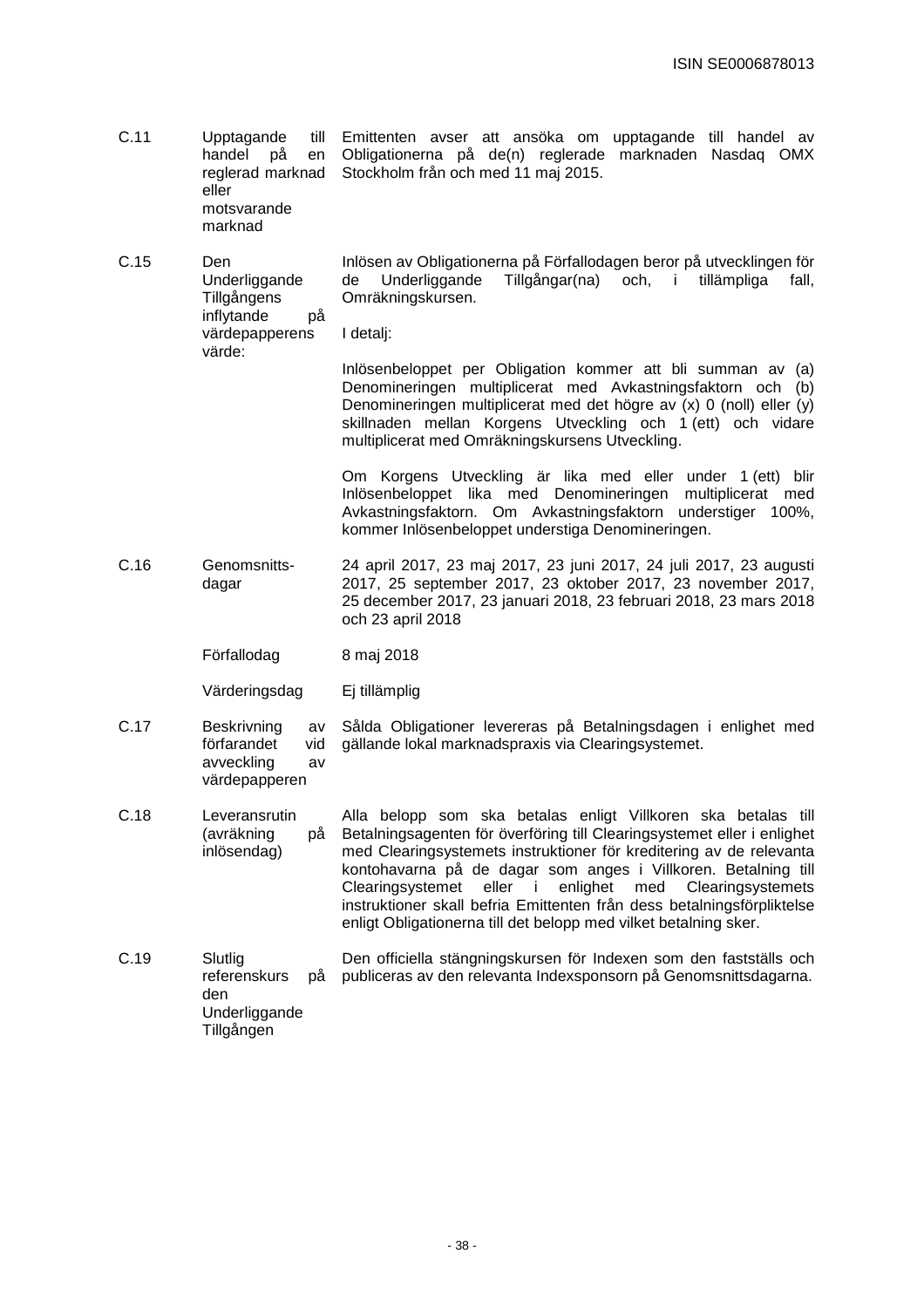- C.11 Upptagande till handel på en reglerad marknad eller motsvarande Emittenten avser att ansöka om upptagande till handel av Obligationerna på de(n) reglerade marknaden Nasdaq OMX Stockholm från och med 11 maj 2015.
	- marknad
- C.15 Den Underliggande Tillgångens inflytande på Inlösen av Obligationerna på Förfallodagen beror på utvecklingen för de Underliggande Tillgångar(na) och, i tillämpliga fall, Omräkningskursen.

värdepapperens värde: I detalj:

> Inlösenbeloppet per Obligation kommer att bli summan av (a) Denomineringen multiplicerat med Avkastningsfaktorn och (b) Denomineringen multiplicerat med det högre av (x) 0 (noll) eller (y) skillnaden mellan Korgens Utveckling och 1 (ett) och vidare multiplicerat med Omräkningskursens Utveckling.

> Om Korgens Utveckling är lika med eller under 1 (ett) blir Inlösenbeloppet lika med Denomineringen multiplicerat med Avkastningsfaktorn. Om Avkastningsfaktorn understiger 100%, kommer Inlösenbeloppet understiga Denomineringen.

- C.16 Genomsnittsdagar 24 april 2017, 23 maj 2017, 23 juni 2017, 24 juli 2017, 23 augusti 2017, 25 september 2017, 23 oktober 2017, 23 november 2017, 25 december 2017, 23 januari 2018, 23 februari 2018, 23 mars 2018 och 23 april 2018
	- Förfallodag 8 maj 2018

Värderingsdag Ej tillämplig

värdepapperen

- C.17 Beskrivning av förfarandet vid avveckling av Sålda Obligationer levereras på Betalningsdagen i enlighet med gällande lokal marknadspraxis via Clearingsystemet.
- C.18 Leveransrutin (avräkning på inlösendag) Alla belopp som ska betalas enligt Villkoren ska betalas till Betalningsagenten för överföring till Clearingsystemet eller i enlighet med Clearingsystemets instruktioner för kreditering av de relevanta kontohavarna på de dagar som anges i Villkoren. Betalning till Clearingsystemet eller i enlighet med Clearingsystemets instruktioner skall befria Emittenten från dess betalningsförpliktelse enligt Obligationerna till det belopp med vilket betalning sker.
- C.19 Slutlig referenskurs på den Underliggande Tillgången Den officiella stängningskursen för Indexen som den fastställs och publiceras av den relevanta Indexsponsorn på Genomsnittsdagarna.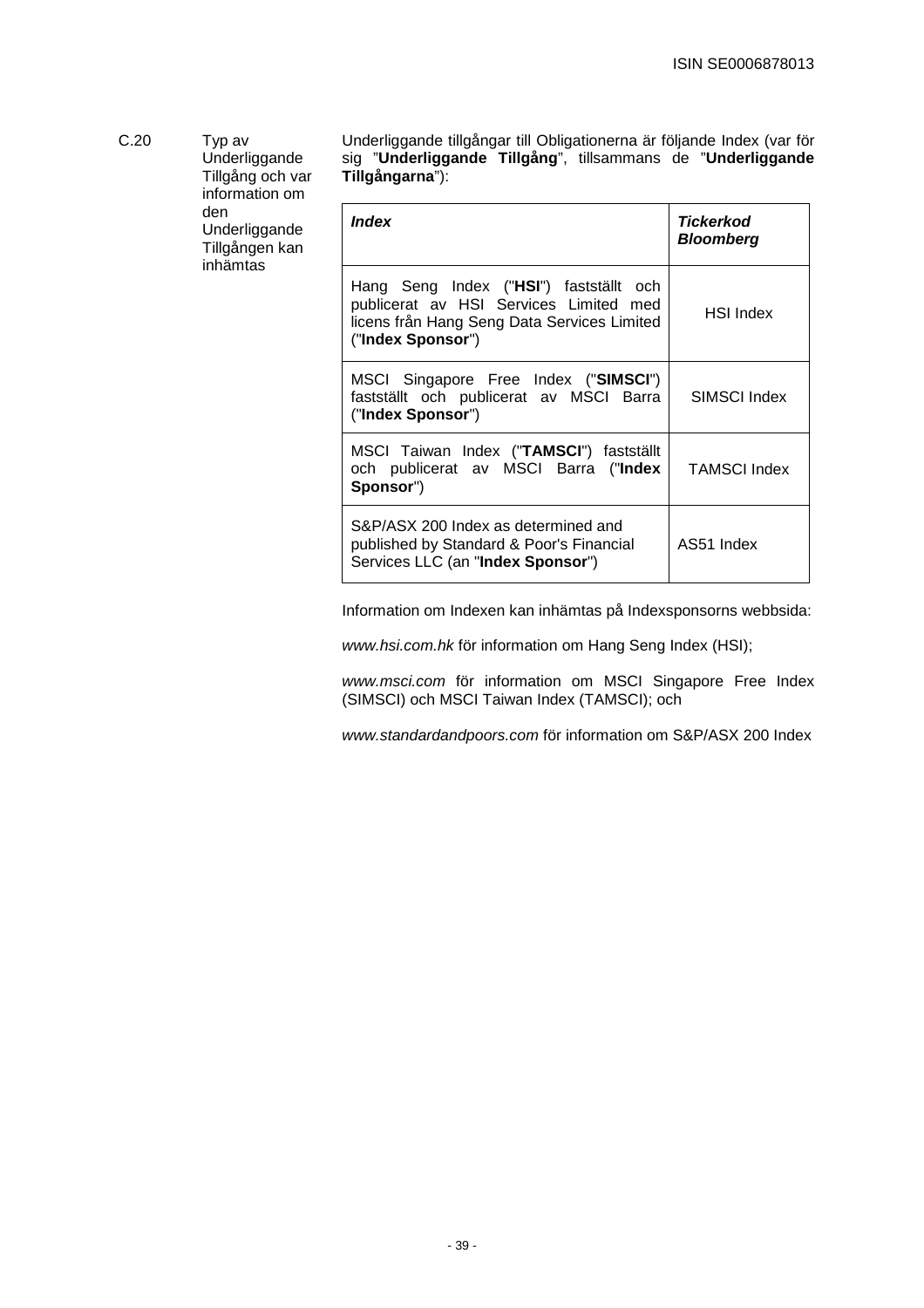| C.20<br>Typ av<br>den | Underliggande<br>Tillgång och var<br>information om | Underliggande tillgångar till Obligationerna är följande Index (var för<br>sig "Underliggande Tillgång", tillsammans de "Underliggande<br>Tillgångarna"): |                                      |
|-----------------------|-----------------------------------------------------|-----------------------------------------------------------------------------------------------------------------------------------------------------------|--------------------------------------|
|                       | Underliggande<br>Tillgången kan<br>inhämtas         | <i><b>Index</b></i>                                                                                                                                       | <b>Tickerkod</b><br><b>Bloomberg</b> |

| Hang Seng Index ("HSI") fastställt och<br>publicerat av HSI Services Limited med<br>licens från Hang Seng Data Services Limited<br>("Index Sponsor") | <b>HSI Index</b>    |
|------------------------------------------------------------------------------------------------------------------------------------------------------|---------------------|
| MSCI Singapore Free Index ("SIMSCI")<br>fastställt och publicerat av MSCI Barra<br>("Index Sponsor")                                                 | SIMSCI Index        |
| MSCI Taiwan Index ("TAMSCI") fastställt<br>och publicerat av MSCI Barra ("Index<br>Sponsor")                                                         | <b>TAMSCI Index</b> |
| S&P/ASX 200 Index as determined and<br>published by Standard & Poor's Financial<br>Services LLC (an "Index Sponsor")                                 | AS51 Index          |

Information om Indexen kan inhämtas på Indexsponsorns webbsida:

www.hsi.com.hk för information om Hang Seng Index (HSI);

www.msci.com för information om MSCI Singapore Free Index (SIMSCI) och MSCI Taiwan Index (TAMSCI); och

www.standardandpoors.com för information om S&P/ASX 200 Index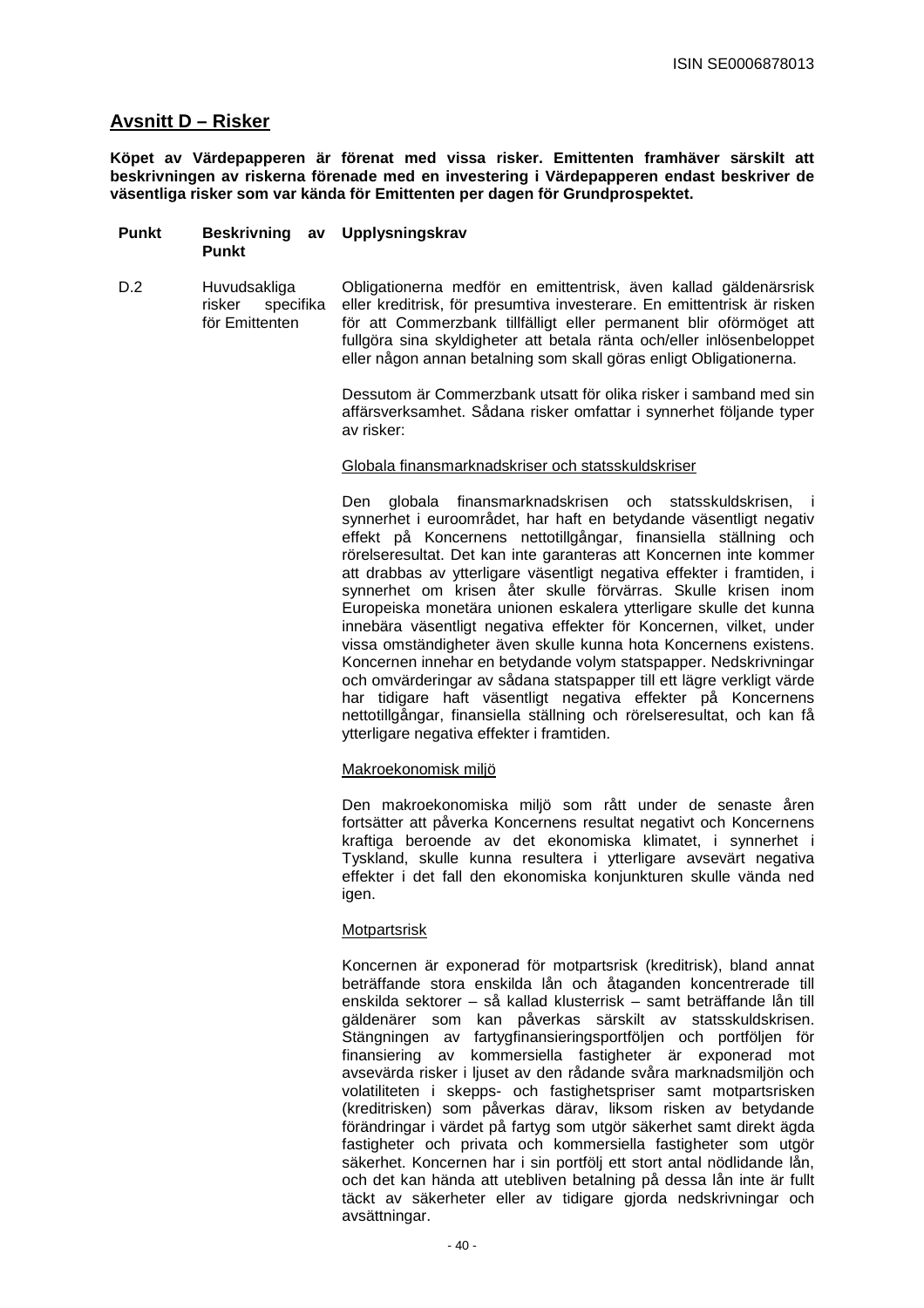# **Avsnitt D – Risker**

**Köpet av Värdepapperen är förenat med vissa risker. Emittenten framhäver särskilt att beskrivningen av riskerna förenade med en investering i Värdepapperen endast beskriver de väsentliga risker som var kända för Emittenten per dagen för Grundprospektet.** 

- **Punkt Beskrivning av Upplysningskrav Punkt**
- D.2 Huvudsakliga risker specifika för Emittenten Obligationerna medför en emittentrisk, även kallad gäldenärsrisk eller kreditrisk, för presumtiva investerare. En emittentrisk är risken för att Commerzbank tillfälligt eller permanent blir oförmöget att fullgöra sina skyldigheter att betala ränta och/eller inlösenbeloppet eller någon annan betalning som skall göras enligt Obligationerna.

Dessutom är Commerzbank utsatt för olika risker i samband med sin affärsverksamhet. Sådana risker omfattar i synnerhet följande typer av risker:

#### Globala finansmarknadskriser och statsskuldskriser

Den globala finansmarknadskrisen och statsskuldskrisen, i synnerhet i euroområdet, har haft en betydande väsentligt negativ effekt på Koncernens nettotillgångar, finansiella ställning och rörelseresultat. Det kan inte garanteras att Koncernen inte kommer att drabbas av ytterligare väsentligt negativa effekter i framtiden, i synnerhet om krisen åter skulle förvärras. Skulle krisen inom Europeiska monetära unionen eskalera ytterligare skulle det kunna innebära väsentligt negativa effekter för Koncernen, vilket, under vissa omständigheter även skulle kunna hota Koncernens existens. Koncernen innehar en betydande volym statspapper. Nedskrivningar och omvärderingar av sådana statspapper till ett lägre verkligt värde har tidigare haft väsentligt negativa effekter på Koncernens nettotillgångar, finansiella ställning och rörelseresultat, och kan få ytterligare negativa effekter i framtiden.

## Makroekonomisk miljö

Den makroekonomiska miljö som rått under de senaste åren fortsätter att påverka Koncernens resultat negativt och Koncernens kraftiga beroende av det ekonomiska klimatet, i synnerhet i Tyskland, skulle kunna resultera i ytterligare avsevärt negativa effekter i det fall den ekonomiska konjunkturen skulle vända ned igen.

## **Motpartsrisk**

Koncernen är exponerad för motpartsrisk (kreditrisk), bland annat beträffande stora enskilda lån och åtaganden koncentrerade till enskilda sektorer – så kallad klusterrisk – samt beträffande lån till gäldenärer som kan påverkas särskilt av statsskuldskrisen. Stängningen av fartygfinansieringsportföljen och portföljen för finansiering av kommersiella fastigheter är exponerad mot avsevärda risker i ljuset av den rådande svåra marknadsmiljön och volatiliteten i skepps- och fastighetspriser samt motpartsrisken (kreditrisken) som påverkas därav, liksom risken av betydande förändringar i värdet på fartyg som utgör säkerhet samt direkt ägda fastigheter och privata och kommersiella fastigheter som utgör säkerhet. Koncernen har i sin portfölj ett stort antal nödlidande lån, och det kan hända att utebliven betalning på dessa lån inte är fullt täckt av säkerheter eller av tidigare gjorda nedskrivningar och avsättningar.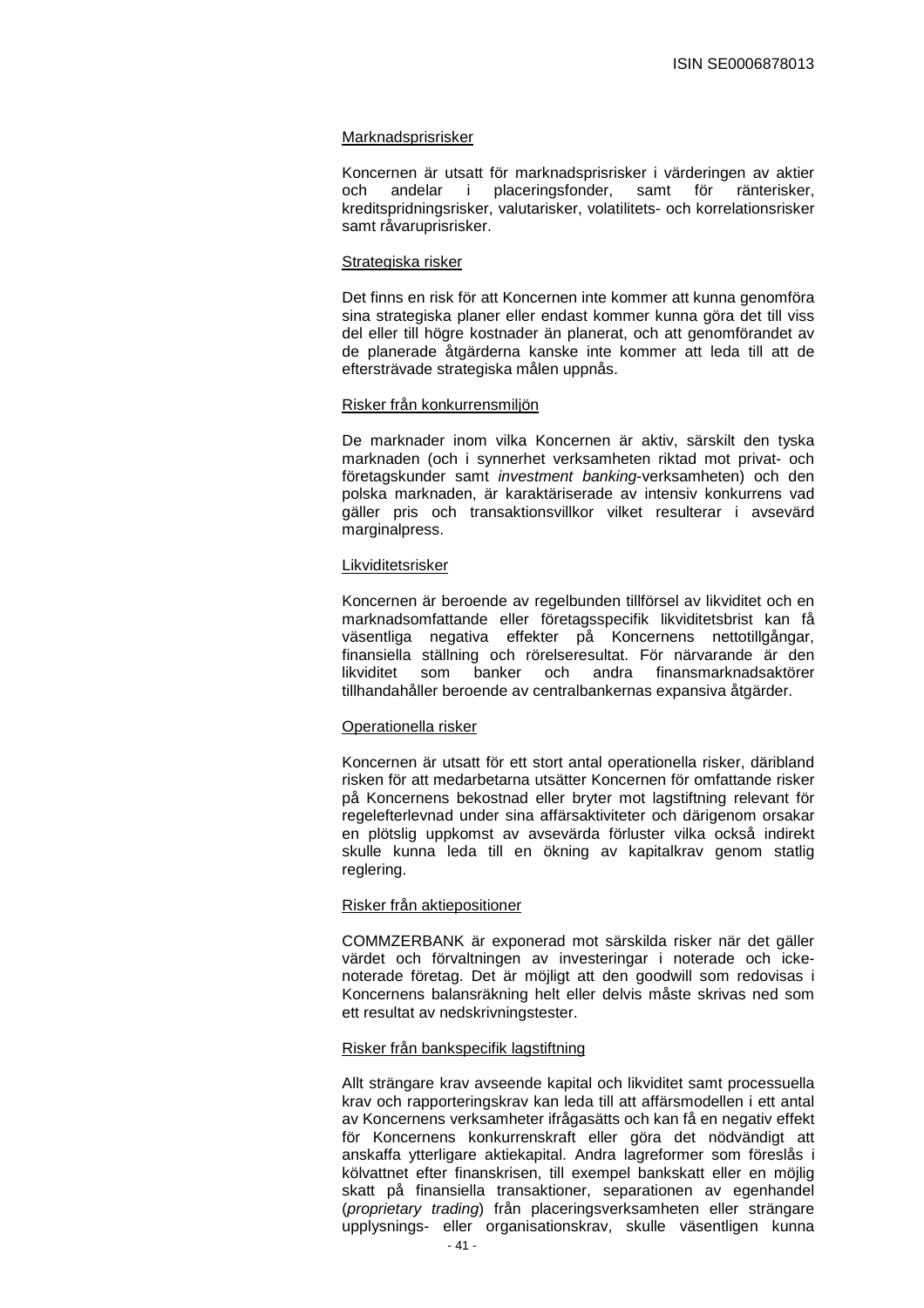#### Marknadsprisrisker

Koncernen är utsatt för marknadsprisrisker i värderingen av aktier och andelar i placeringsfonder, samt för ränterisker, kreditspridningsrisker, valutarisker, volatilitets- och korrelationsrisker samt råvaruprisrisker.

#### Strategiska risker

Det finns en risk för att Koncernen inte kommer att kunna genomföra sina strategiska planer eller endast kommer kunna göra det till viss del eller till högre kostnader än planerat, och att genomförandet av de planerade åtgärderna kanske inte kommer att leda till att de eftersträvade strategiska målen uppnås.

#### Risker från konkurrensmiljön

De marknader inom vilka Koncernen är aktiv, särskilt den tyska marknaden (och i synnerhet verksamheten riktad mot privat- och företagskunder samt *investment banking-verksamheten*) och den polska marknaden, är karaktäriserade av intensiv konkurrens vad gäller pris och transaktionsvillkor vilket resulterar i avsevärd marginalpress.

#### Likviditetsrisker

Koncernen är beroende av regelbunden tillförsel av likviditet och en marknadsomfattande eller företagsspecifik likviditetsbrist kan få väsentliga negativa effekter på Koncernens nettotillgångar, finansiella ställning och rörelseresultat. För närvarande är den likviditet som banker och andra finansmarknadsaktörer tillhandahåller beroende av centralbankernas expansiva åtgärder.

#### Operationella risker

Koncernen är utsatt för ett stort antal operationella risker, däribland risken för att medarbetarna utsätter Koncernen för omfattande risker på Koncernens bekostnad eller bryter mot lagstiftning relevant för regelefterlevnad under sina affärsaktiviteter och därigenom orsakar en plötslig uppkomst av avsevärda förluster vilka också indirekt skulle kunna leda till en ökning av kapitalkrav genom statlig reglering.

#### Risker från aktiepositioner

COMMZERBANK är exponerad mot särskilda risker när det gäller värdet och förvaltningen av investeringar i noterade och ickenoterade företag. Det är möjligt att den goodwill som redovisas i Koncernens balansräkning helt eller delvis måste skrivas ned som ett resultat av nedskrivningstester.

# Risker från bankspecifik lagstiftning

Allt strängare krav avseende kapital och likviditet samt processuella krav och rapporteringskrav kan leda till att affärsmodellen i ett antal av Koncernens verksamheter ifrågasätts och kan få en negativ effekt för Koncernens konkurrenskraft eller göra det nödvändigt att anskaffa ytterligare aktiekapital. Andra lagreformer som föreslås i kölvattnet efter finanskrisen, till exempel bankskatt eller en möjlig skatt på finansiella transaktioner, separationen av egenhandel (proprietary trading) från placeringsverksamheten eller strängare upplysnings- eller organisationskrav, skulle väsentligen kunna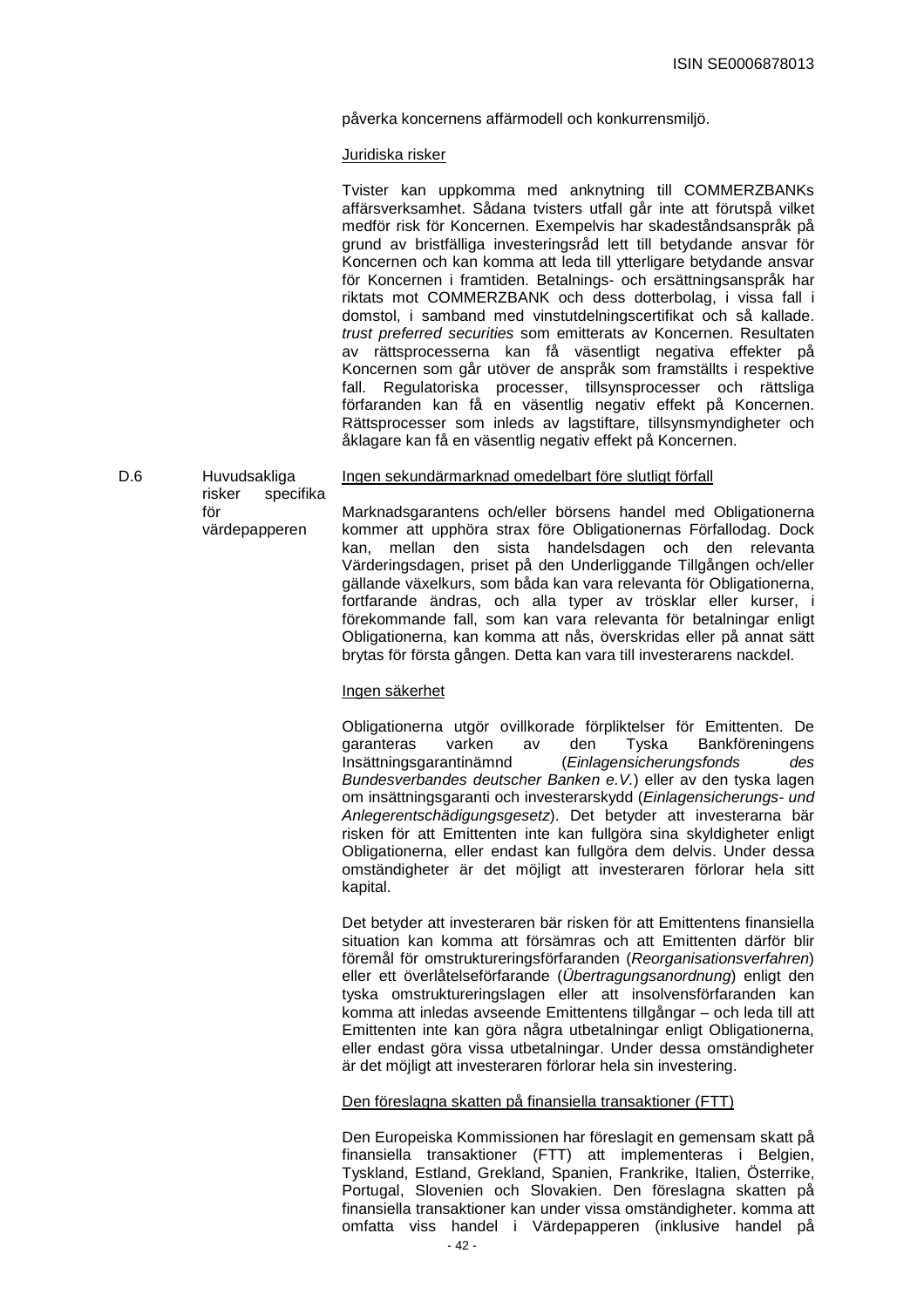påverka koncernens affärmodell och konkurrensmiljö.

# Juridiska risker

|     |                                     | Tvister kan uppkomma med anknytning till COMMERZBANKs<br>affärsverksamhet. Sådana tvisters utfall går inte att förutspå vilket<br>medför risk för Koncernen. Exempelvis har skadeståndsanspråk på<br>grund av bristfälliga investeringsråd lett till betydande ansvar för<br>Koncernen och kan komma att leda till ytterligare betydande ansvar<br>för Koncernen i framtiden. Betalnings- och ersättningsanspråk har<br>riktats mot COMMERZBANK och dess dotterbolag, i vissa fall i<br>domstol, i samband med vinstutdelningscertifikat och så kallade.<br>trust preferred securities som emitterats av Koncernen. Resultaten<br>av rättsprocesserna kan få väsentligt negativa effekter på<br>Koncernen som går utöver de anspråk som framställts i respektive<br>fall. Regulatoriska processer, tillsynsprocesser och rättsliga<br>förfaranden kan få en väsentlig negativ effekt på Koncernen.<br>Rättsprocesser som inleds av lagstiftare, tillsynsmyndigheter och<br>åklagare kan få en väsentlig negativ effekt på Koncernen. |
|-----|-------------------------------------|--------------------------------------------------------------------------------------------------------------------------------------------------------------------------------------------------------------------------------------------------------------------------------------------------------------------------------------------------------------------------------------------------------------------------------------------------------------------------------------------------------------------------------------------------------------------------------------------------------------------------------------------------------------------------------------------------------------------------------------------------------------------------------------------------------------------------------------------------------------------------------------------------------------------------------------------------------------------------------------------------------------------------------------|
| D.6 | Huvudsakliga<br>risker<br>specifika | Ingen sekundärmarknad omedelbart före slutligt förfall                                                                                                                                                                                                                                                                                                                                                                                                                                                                                                                                                                                                                                                                                                                                                                                                                                                                                                                                                                               |
|     | för<br>värdepapperen                | Marknadsgarantens och/eller börsens handel med Obligationerna<br>kommer att upphöra strax före Obligationernas Förfallodag. Dock<br>mellan den sista handelsdagen och den relevanta<br>kan,<br>Värderingsdagen, priset på den Underliggande Tillgången och/eller<br>gällande växelkurs, som båda kan vara relevanta för Obligationerna,                                                                                                                                                                                                                                                                                                                                                                                                                                                                                                                                                                                                                                                                                              |

#### Ingen säkerhet

Obligationerna utgör ovillkorade förpliktelser för Emittenten. De garanteras varken av den Tyska Bankföreningens Insättningsgarantinämnd (Einlagensicherungsfonds des Bundesverbandes deutscher Banken e.V.) eller av den tyska lagen om insättningsgaranti och investerarskydd (Einlagensicherungs- und Anlegerentschädigungsgesetz). Det betyder att investerarna bär risken för att Emittenten inte kan fullgöra sina skyldigheter enligt Obligationerna, eller endast kan fullgöra dem delvis. Under dessa omständigheter är det möjligt att investeraren förlorar hela sitt kapital.

fortfarande ändras, och alla typer av trösklar eller kurser, i förekommande fall, som kan vara relevanta för betalningar enligt Obligationerna, kan komma att nås, överskridas eller på annat sätt brytas för första gången. Detta kan vara till investerarens nackdel.

Det betyder att investeraren bär risken för att Emittentens finansiella situation kan komma att försämras och att Emittenten därför blir föremål för omstruktureringsförfaranden (Reorganisationsverfahren) eller ett överlåtelseförfarande (Übertragungsanordnung) enligt den tyska omstruktureringslagen eller att insolvensförfaranden kan komma att inledas avseende Emittentens tillgångar – och leda till att Emittenten inte kan göra några utbetalningar enligt Obligationerna, eller endast göra vissa utbetalningar. Under dessa omständigheter är det möjligt att investeraren förlorar hela sin investering.

# Den föreslagna skatten på finansiella transaktioner (FTT)

 $-42 -$ Den Europeiska Kommissionen har föreslagit en gemensam skatt på finansiella transaktioner (FTT) att implementeras i Belgien, Tyskland, Estland, Grekland, Spanien, Frankrike, Italien, Österrike, Portugal, Slovenien och Slovakien. Den föreslagna skatten på finansiella transaktioner kan under vissa omständigheter. komma att omfatta viss handel i Värdepapperen (inklusive handel på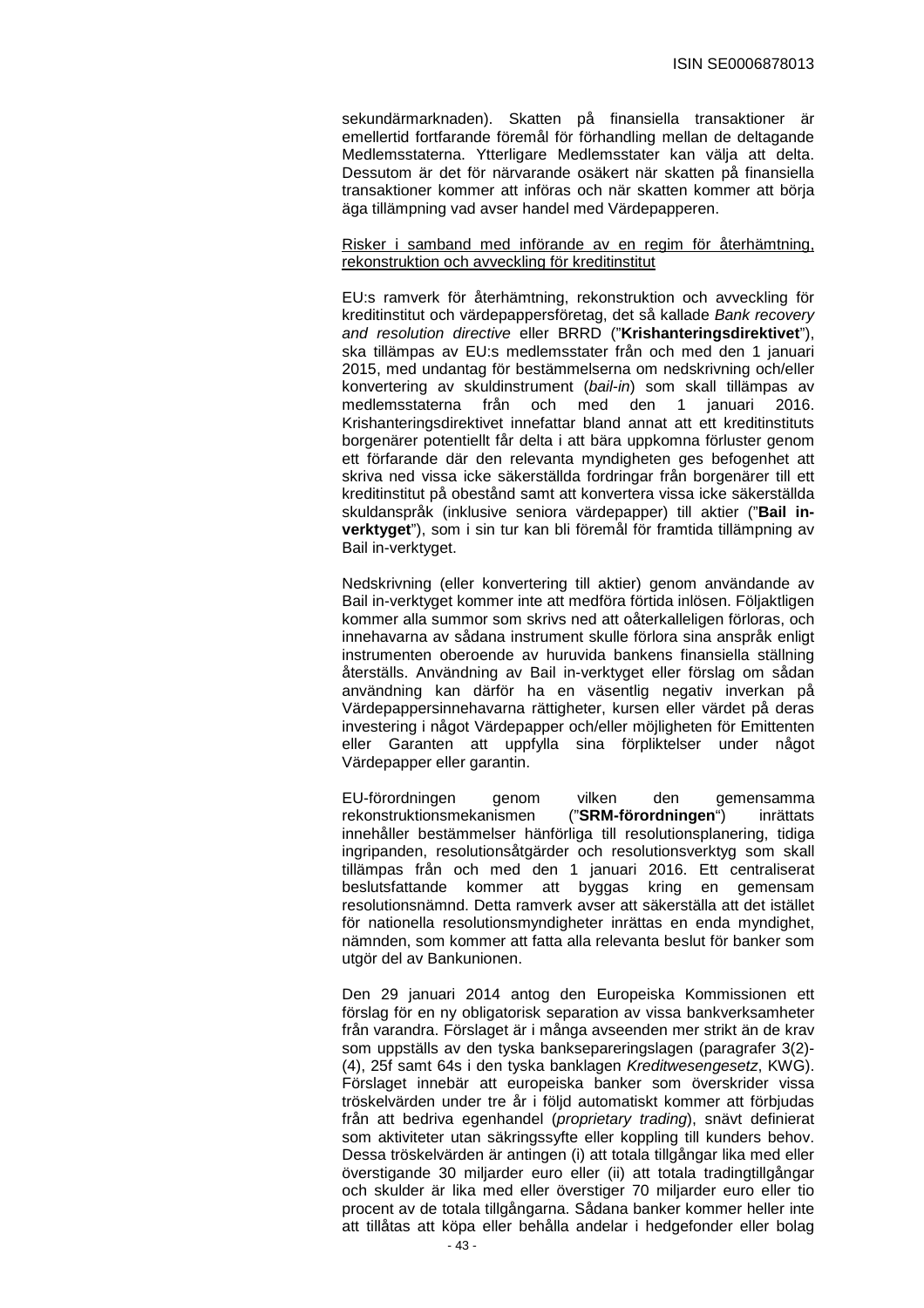sekundärmarknaden). Skatten på finansiella transaktioner är emellertid fortfarande föremål för förhandling mellan de deltagande Medlemsstaterna. Ytterligare Medlemsstater kan välja att delta. Dessutom är det för närvarande osäkert när skatten på finansiella transaktioner kommer att införas och när skatten kommer att börja äga tillämpning vad avser handel med Värdepapperen.

Risker i samband med införande av en regim för återhämtning, rekonstruktion och avveckling för kreditinstitut

EU:s ramverk för återhämtning, rekonstruktion och avveckling för kreditinstitut och värdepappersföretag, det så kallade Bank recovery and resolution directive eller BRRD ("**Krishanteringsdirektivet**"), ska tillämpas av EU:s medlemsstater från och med den 1 januari 2015, med undantag för bestämmelserna om nedskrivning och/eller konvertering av skuldinstrument (bail-in) som skall tillämpas av medlemsstaterna från och med den 1 januari 2016. Krishanteringsdirektivet innefattar bland annat att ett kreditinstituts borgenärer potentiellt får delta i att bära uppkomna förluster genom ett förfarande där den relevanta myndigheten ges befogenhet att skriva ned vissa icke säkerställda fordringar från borgenärer till ett kreditinstitut på obestånd samt att konvertera vissa icke säkerställda skuldanspråk (inklusive seniora värdepapper) till aktier ("**Bail inverktyget**"), som i sin tur kan bli föremål för framtida tillämpning av Bail in-verktyget.

Nedskrivning (eller konvertering till aktier) genom användande av Bail in-verktyget kommer inte att medföra förtida inlösen. Följaktligen kommer alla summor som skrivs ned att oåterkalleligen förloras, och innehavarna av sådana instrument skulle förlora sina anspråk enligt instrumenten oberoende av huruvida bankens finansiella ställning återställs. Användning av Bail in-verktyget eller förslag om sådan användning kan därför ha en väsentlig negativ inverkan på Värdepappersinnehavarna rättigheter, kursen eller värdet på deras investering i något Värdepapper och/eller möjligheten för Emittenten eller Garanten att uppfylla sina förpliktelser under något Värdepapper eller garantin.

EU-förordningen genom vilken den gemensamma rekonstruktionsmekanismen ("**SRM-förordningen**") inrättats innehåller bestämmelser hänförliga till resolutionsplanering, tidiga ingripanden, resolutionsåtgärder och resolutionsverktyg som skall tillämpas från och med den 1 januari 2016. Ett centraliserat beslutsfattande kommer att byggas kring en gemensam resolutionsnämnd. Detta ramverk avser att säkerställa att det istället för nationella resolutionsmyndigheter inrättas en enda myndighet, nämnden, som kommer att fatta alla relevanta beslut för banker som utgör del av Bankunionen.

Den 29 januari 2014 antog den Europeiska Kommissionen ett förslag för en ny obligatorisk separation av vissa bankverksamheter från varandra. Förslaget är i många avseenden mer strikt än de krav som uppställs av den tyska banksepareringslagen (paragrafer 3(2)- (4), 25f samt 64s i den tyska banklagen Kreditwesengesetz, KWG). Förslaget innebär att europeiska banker som överskrider vissa tröskelvärden under tre år i följd automatiskt kommer att förbjudas från att bedriva egenhandel (proprietary trading), snävt definierat som aktiviteter utan säkringssyfte eller koppling till kunders behov. Dessa tröskelvärden är antingen (i) att totala tillgångar lika med eller överstigande 30 miljarder euro eller (ii) att totala tradingtillgångar och skulder är lika med eller överstiger 70 miljarder euro eller tio procent av de totala tillgångarna. Sådana banker kommer heller inte att tillåtas att köpa eller behålla andelar i hedgefonder eller bolag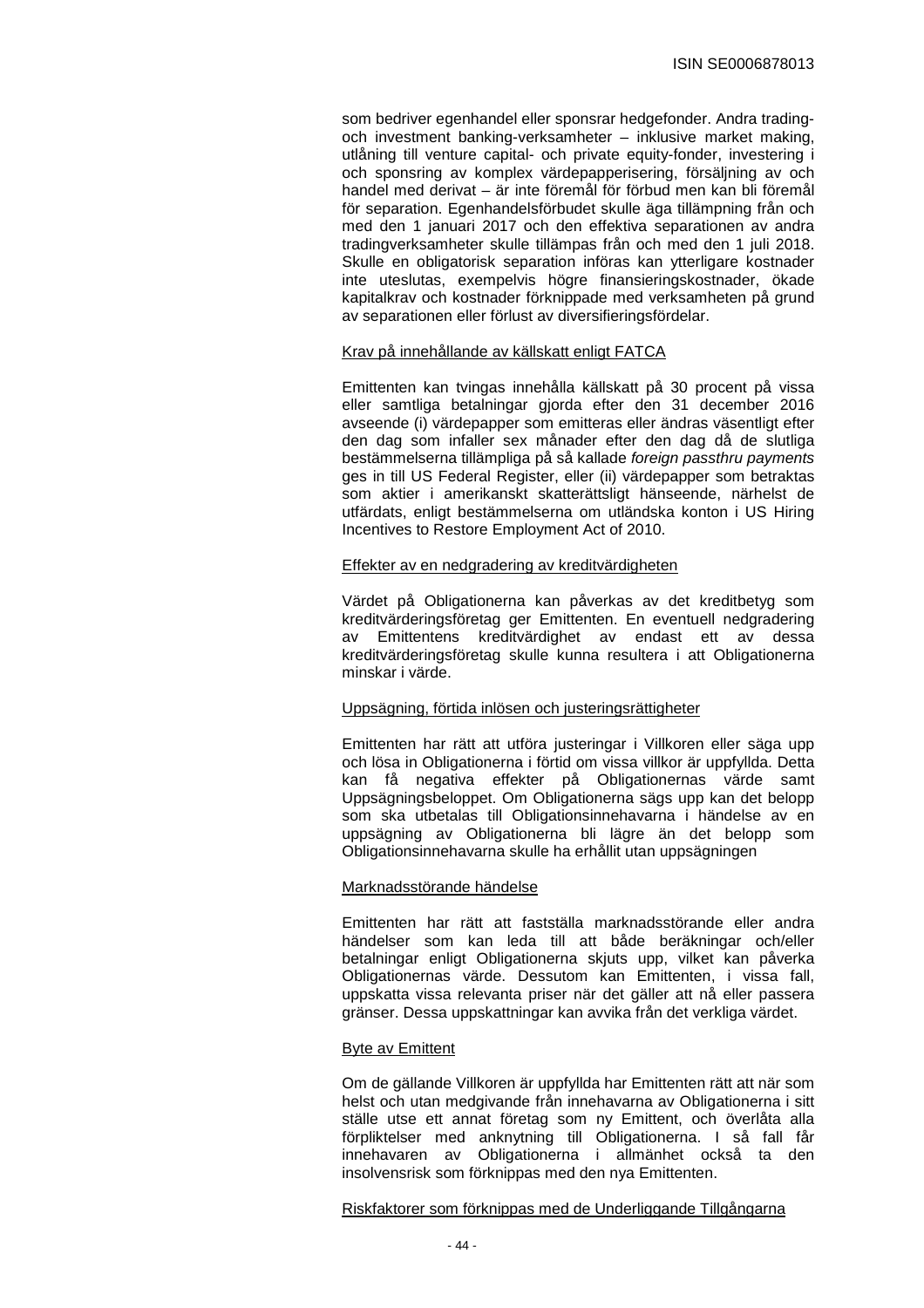som bedriver egenhandel eller sponsrar hedgefonder. Andra tradingoch investment banking-verksamheter – inklusive market making, utlåning till venture capital- och private equity-fonder, investering i och sponsring av komplex värdepapperisering, försäljning av och handel med derivat – är inte föremål för förbud men kan bli föremål för separation. Egenhandelsförbudet skulle äga tillämpning från och med den 1 januari 2017 och den effektiva separationen av andra tradingverksamheter skulle tillämpas från och med den 1 juli 2018. Skulle en obligatorisk separation införas kan ytterligare kostnader inte uteslutas, exempelvis högre finansieringskostnader, ökade kapitalkrav och kostnader förknippade med verksamheten på grund av separationen eller förlust av diversifieringsfördelar.

#### Krav på innehållande av källskatt enligt FATCA

Emittenten kan tvingas innehålla källskatt på 30 procent på vissa eller samtliga betalningar gjorda efter den 31 december 2016 avseende (i) värdepapper som emitteras eller ändras väsentligt efter den dag som infaller sex månader efter den dag då de slutliga bestämmelserna tillämpliga på så kallade foreign passthru payments ges in till US Federal Register, eller (ii) värdepapper som betraktas som aktier i amerikanskt skatterättsligt hänseende, närhelst de utfärdats, enligt bestämmelserna om utländska konton i US Hiring Incentives to Restore Employment Act of 2010.

#### Effekter av en nedgradering av kreditvärdigheten

Värdet på Obligationerna kan påverkas av det kreditbetyg som kreditvärderingsföretag ger Emittenten. En eventuell nedgradering av Emittentens kreditvärdighet av endast ett av dessa kreditvärderingsföretag skulle kunna resultera i att Obligationerna minskar i värde.

#### Uppsägning, förtida inlösen och justeringsrättigheter

Emittenten har rätt att utföra justeringar i Villkoren eller säga upp och lösa in Obligationerna i förtid om vissa villkor är uppfyllda. Detta kan få negativa effekter på Obligationernas värde samt Uppsägningsbeloppet. Om Obligationerna sägs upp kan det belopp som ska utbetalas till Obligationsinnehavarna i händelse av en uppsägning av Obligationerna bli lägre än det belopp som Obligationsinnehavarna skulle ha erhållit utan uppsägningen

#### Marknadsstörande händelse

Emittenten har rätt att fastställa marknadsstörande eller andra händelser som kan leda till att både beräkningar och/eller betalningar enligt Obligationerna skjuts upp, vilket kan påverka Obligationernas värde. Dessutom kan Emittenten, i vissa fall, uppskatta vissa relevanta priser när det gäller att nå eller passera gränser. Dessa uppskattningar kan avvika från det verkliga värdet.

#### Byte av Emittent

Om de gällande Villkoren är uppfyllda har Emittenten rätt att när som helst och utan medgivande från innehavarna av Obligationerna i sitt ställe utse ett annat företag som ny Emittent, och överlåta alla förpliktelser med anknytning till Obligationerna. I så fall får innehavaren av Obligationerna i allmänhet också ta den insolvensrisk som förknippas med den nya Emittenten.

#### Riskfaktorer som förknippas med de Underliggande Tillgångarna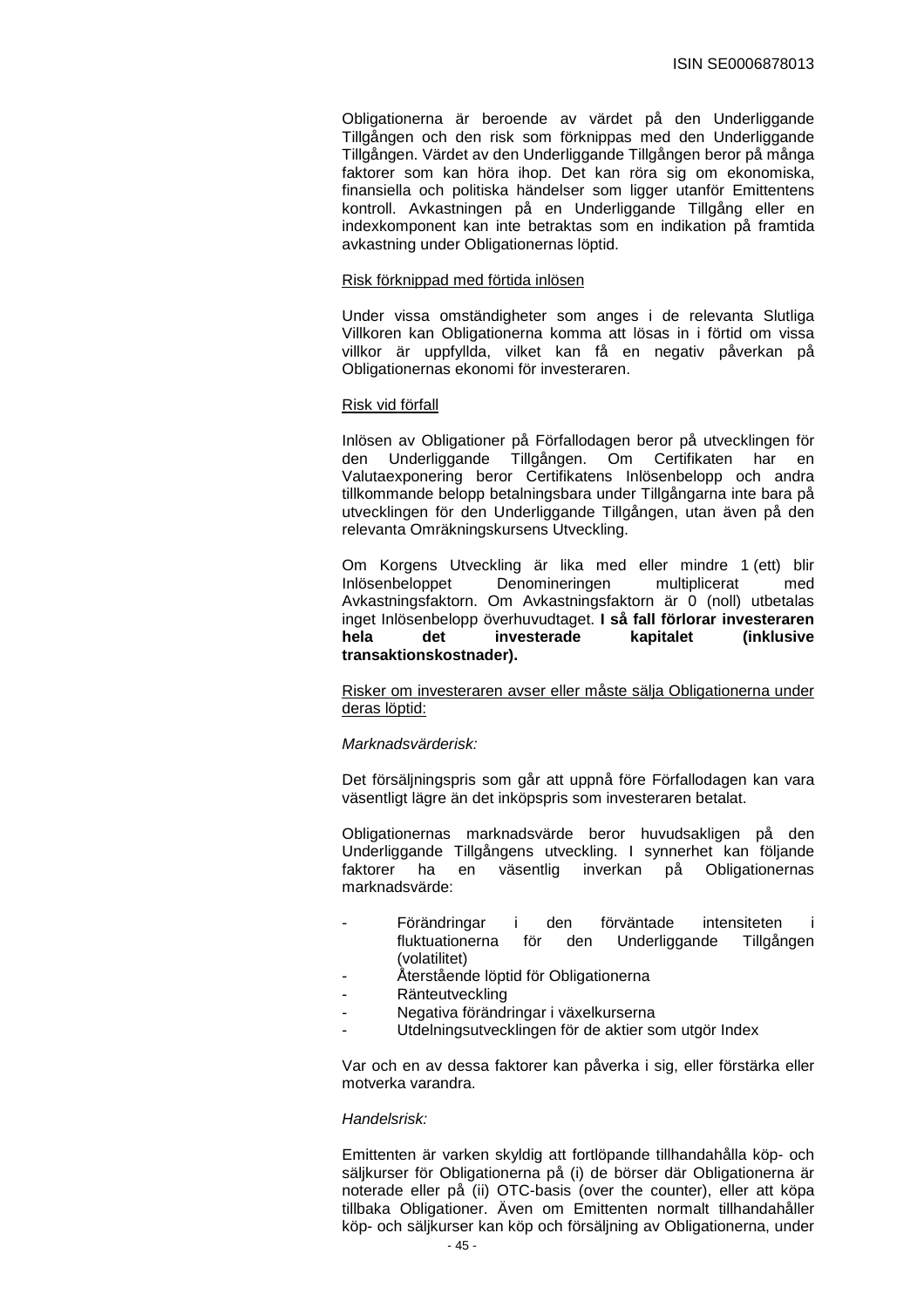Obligationerna är beroende av värdet på den Underliggande Tillgången och den risk som förknippas med den Underliggande Tillgången. Värdet av den Underliggande Tillgången beror på många faktorer som kan höra ihop. Det kan röra sig om ekonomiska, finansiella och politiska händelser som ligger utanför Emittentens kontroll. Avkastningen på en Underliggande Tillgång eller en indexkomponent kan inte betraktas som en indikation på framtida avkastning under Obligationernas löptid.

#### Risk förknippad med förtida inlösen

Under vissa omständigheter som anges i de relevanta Slutliga Villkoren kan Obligationerna komma att lösas in i förtid om vissa villkor är uppfyllda, vilket kan få en negativ påverkan på Obligationernas ekonomi för investeraren.

#### Risk vid förfall

Inlösen av Obligationer på Förfallodagen beror på utvecklingen för den Underliggande Tillgången. Om Certifikaten har en Valutaexponering beror Certifikatens Inlösenbelopp och andra tillkommande belopp betalningsbara under Tillgångarna inte bara på utvecklingen för den Underliggande Tillgången, utan även på den relevanta Omräkningskursens Utveckling.

Om Korgens Utveckling är lika med eller mindre 1 (ett) blir Inlösenbeloppet Denomineringen multiplicerat med Avkastningsfaktorn. Om Avkastningsfaktorn är 0 (noll) utbetalas inget Inlösenbelopp överhuvudtaget. **I så fall förlorar investeraren hela det investerade kapitalet (inklusive transaktionskostnader).** 

Risker om investeraren avser eller måste sälja Obligationerna under deras löptid:

#### Marknadsvärderisk:

Det försäljningspris som går att uppnå före Förfallodagen kan vara väsentligt lägre än det inköpspris som investeraren betalat.

Obligationernas marknadsvärde beror huvudsakligen på den Underliggande Tillgångens utveckling. I synnerhet kan följande<br>faktorer ha en väsentlig inverkan på Obligationernas faktorer ha en väsentlig inverkan på Obligationernas marknadsvärde:

- Förändringar i den förväntade intensiteten i fluktuationerna för den Underliggande Tillgången (volatilitet)
	- Återstående löptid för Obligationerna
- **Ränteutveckling**
- Negativa förändringar i växelkurserna
- Utdelningsutvecklingen för de aktier som utgör Index

Var och en av dessa faktorer kan påverka i sig, eller förstärka eller motverka varandra.

#### Handelsrisk:

Emittenten är varken skyldig att fortlöpande tillhandahålla köp- och säljkurser för Obligationerna på (i) de börser där Obligationerna är noterade eller på (ii) OTC-basis (over the counter), eller att köpa tillbaka Obligationer. Även om Emittenten normalt tillhandahåller köp- och säljkurser kan köp och försäljning av Obligationerna, under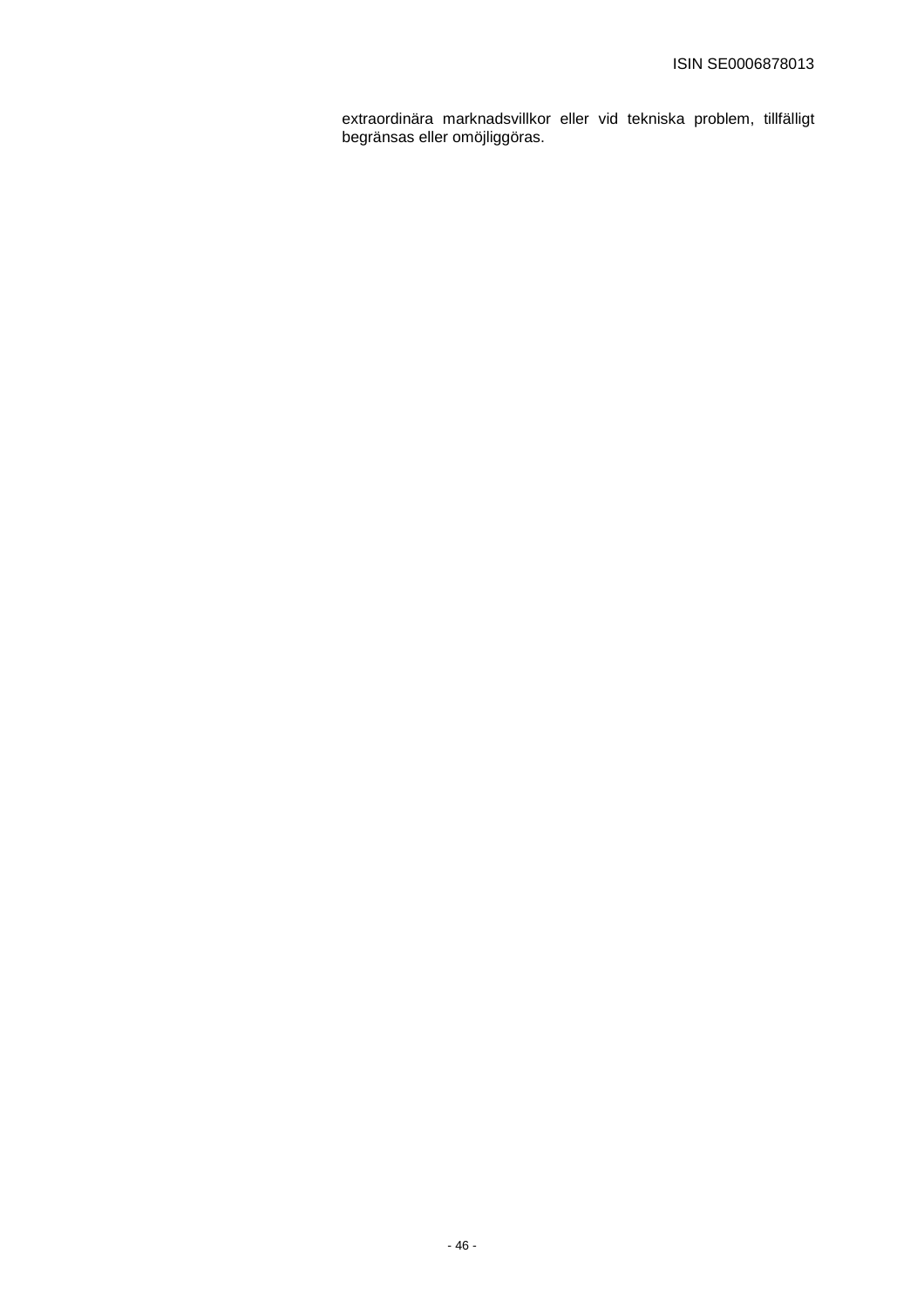extraordinära marknadsvillkor eller vid tekniska problem, tillfälligt begränsas eller omöjliggöras.